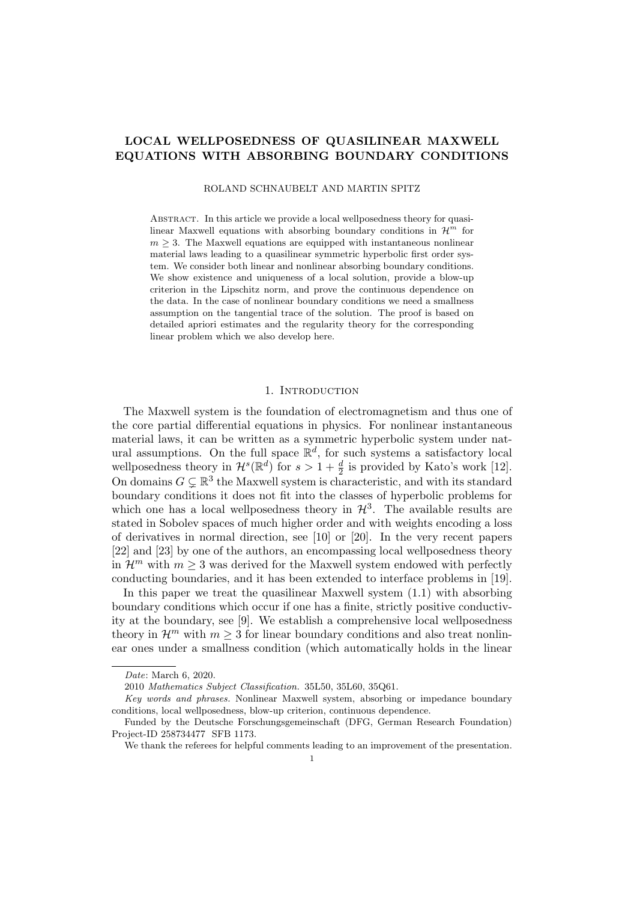# LOCAL WELLPOSEDNESS OF QUASILINEAR MAXWELL EQUATIONS WITH ABSORBING BOUNDARY CONDITIONS

ROLAND SCHNAUBELT AND MARTIN SPITZ

ABSTRACT. In this article we provide a local wellposedness theory for quasilinear Maxwell equations with absorbing boundary conditions in  $\mathcal{H}^m$  for  $m \geq 3$ . The Maxwell equations are equipped with instantaneous nonlinear material laws leading to a quasilinear symmetric hyperbolic first order system. We consider both linear and nonlinear absorbing boundary conditions. We show existence and uniqueness of a local solution, provide a blow-up criterion in the Lipschitz norm, and prove the continuous dependence on the data. In the case of nonlinear boundary conditions we need a smallness assumption on the tangential trace of the solution. The proof is based on detailed apriori estimates and the regularity theory for the corresponding linear problem which we also develop here.

### 1. Introduction

The Maxwell system is the foundation of electromagnetism and thus one of the core partial differential equations in physics. For nonlinear instantaneous material laws, it can be written as a symmetric hyperbolic system under natural assumptions. On the full space  $\mathbb{R}^d$ , for such systems a satisfactory local wellposedness theory in  $\mathcal{H}^s(\mathbb{R}^d)$  for  $s > 1 + \frac{d}{2}$  is provided by Kato's work [12]. On domains  $G \subsetneq \mathbb{R}^3$  the Maxwell system is characteristic, and with its standard boundary conditions it does not fit into the classes of hyperbolic problems for which one has a local wellposedness theory in  $\mathcal{H}^3$ . The available results are stated in Sobolev spaces of much higher order and with weights encoding a loss of derivatives in normal direction, see [10] or [20]. In the very recent papers [22] and [23] by one of the authors, an encompassing local wellposedness theory in  $\mathcal{H}^m$  with  $m \geq 3$  was derived for the Maxwell system endowed with perfectly conducting boundaries, and it has been extended to interface problems in [19].

In this paper we treat the quasilinear Maxwell system (1.1) with absorbing boundary conditions which occur if one has a finite, strictly positive conductivity at the boundary, see [9]. We establish a comprehensive local wellposedness theory in  $\mathcal{H}^m$  with  $m \geq 3$  for linear boundary conditions and also treat nonlinear ones under a smallness condition (which automatically holds in the linear

Date: March 6, 2020.

<sup>2010</sup> Mathematics Subject Classification. 35L50, 35L60, 35Q61.

Key words and phrases. Nonlinear Maxwell system, absorbing or impedance boundary conditions, local wellposedness, blow-up criterion, continuous dependence.

Funded by the Deutsche Forschungsgemeinschaft (DFG, German Research Foundation) Project-ID 258734477 SFB 1173.

We thank the referees for helpful comments leading to an improvement of the presentation.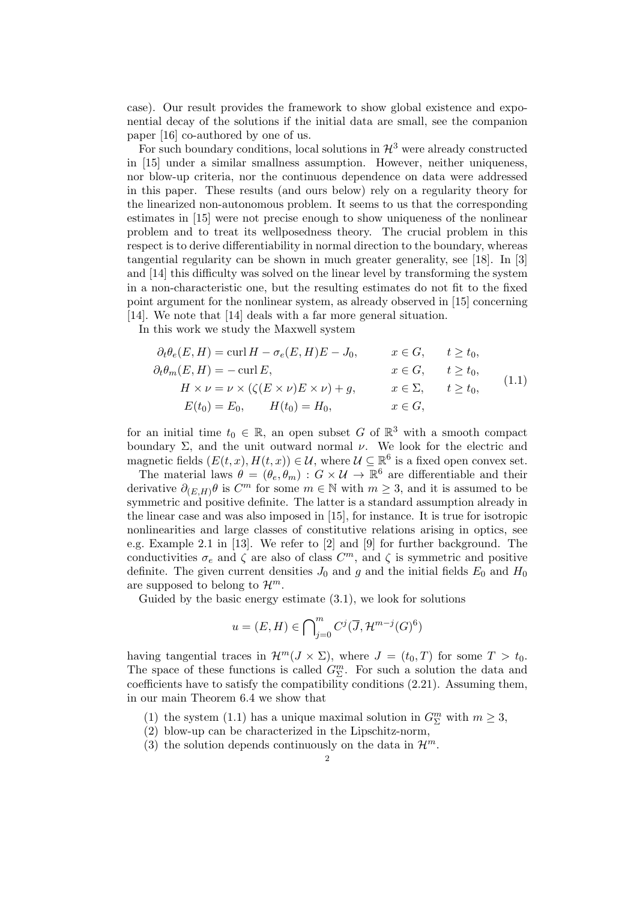case). Our result provides the framework to show global existence and exponential decay of the solutions if the initial data are small, see the companion paper [16] co-authored by one of us.

For such boundary conditions, local solutions in  $\mathcal{H}^3$  were already constructed in [15] under a similar smallness assumption. However, neither uniqueness, nor blow-up criteria, nor the continuous dependence on data were addressed in this paper. These results (and ours below) rely on a regularity theory for the linearized non-autonomous problem. It seems to us that the corresponding estimates in [15] were not precise enough to show uniqueness of the nonlinear problem and to treat its wellposedness theory. The crucial problem in this respect is to derive differentiability in normal direction to the boundary, whereas tangential regularity can be shown in much greater generality, see [18]. In [3] and [14] this difficulty was solved on the linear level by transforming the system in a non-characteristic one, but the resulting estimates do not fit to the fixed point argument for the nonlinear system, as already observed in [15] concerning [14]. We note that [14] deals with a far more general situation.

In this work we study the Maxwell system

$$
\partial_t \theta_e(E, H) = \text{curl } H - \sigma_e(E, H)E - J_0, \qquad x \in G, \qquad t \ge t_0,
$$
  
\n
$$
\partial_t \theta_m(E, H) = -\text{curl } E, \qquad x \in G, \qquad t \ge t_0,
$$
  
\n
$$
H \times \nu = \nu \times (\zeta(E \times \nu)E \times \nu) + g, \qquad x \in \Sigma, \qquad t \ge t_0,
$$
  
\n
$$
E(t_0) = E_0, \qquad H(t_0) = H_0, \qquad x \in G,
$$
\n(1.1)

for an initial time  $t_0 \in \mathbb{R}$ , an open subset G of  $\mathbb{R}^3$  with a smooth compact boundary  $\Sigma$ , and the unit outward normal  $\nu$ . We look for the electric and magnetic fields  $(E(t, x), H(t, x)) \in \mathcal{U}$ , where  $\mathcal{U} \subseteq \mathbb{R}^6$  is a fixed open convex set.

The material laws  $\theta = (\theta_e, \theta_m) : G \times \mathcal{U} \to \mathbb{R}^6$  are differentiable and their derivative  $\partial_{(E,H)} \theta$  is  $C^m$  for some  $m \in \mathbb{N}$  with  $m \geq 3$ , and it is assumed to be symmetric and positive definite. The latter is a standard assumption already in the linear case and was also imposed in [15], for instance. It is true for isotropic nonlinearities and large classes of constitutive relations arising in optics, see e.g. Example 2.1 in [13]. We refer to [2] and [9] for further background. The conductivities  $\sigma_e$  and  $\zeta$  are also of class  $C^m$ , and  $\zeta$  is symmetric and positive definite. The given current densities  $J_0$  and g and the initial fields  $E_0$  and  $H_0$ are supposed to belong to  $\mathcal{H}^m$ .

Guided by the basic energy estimate (3.1), we look for solutions

$$
u=(E,H)\in {\bigcap}_{j=0}^m\, C^j(\overline{J},\mathcal{H}^{m-j}(G)^6)
$$

having tangential traces in  $\mathcal{H}^m(J \times \Sigma)$ , where  $J = (t_0, T)$  for some  $T > t_0$ . The space of these functions is called  $G^m_{\Sigma}$ . For such a solution the data and coefficients have to satisfy the compatibility conditions (2.21). Assuming them, in our main Theorem 6.4 we show that

- (1) the system (1.1) has a unique maximal solution in  $G^m_{\Sigma}$  with  $m \geq 3$ ,
- (2) blow-up can be characterized in the Lipschitz-norm,
- (3) the solution depends continuously on the data in  $\mathcal{H}^m$ .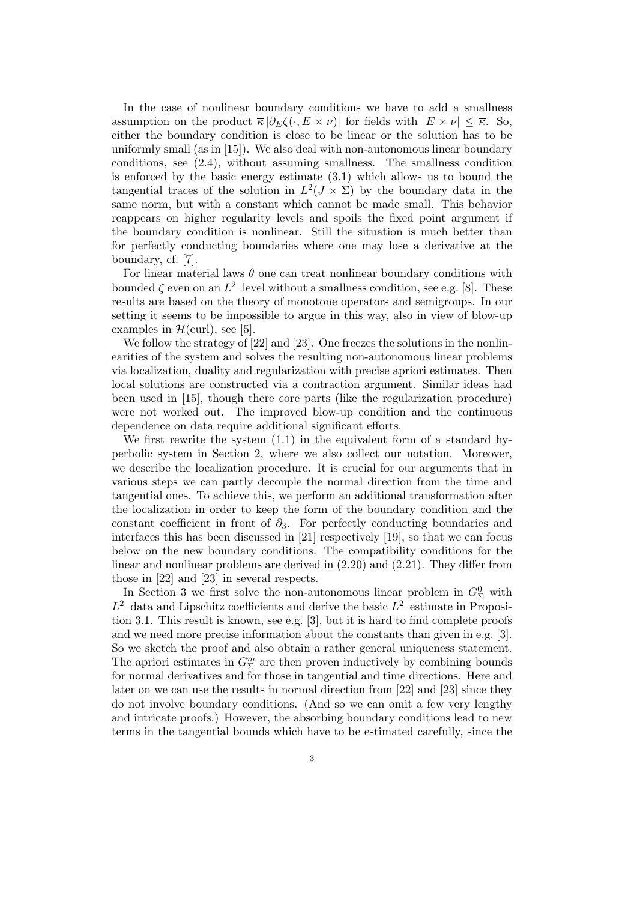In the case of nonlinear boundary conditions we have to add a smallness assumption on the product  $\bar{\kappa} |\partial_E \zeta(\cdot, E \times \nu)|$  for fields with  $|E \times \nu| \leq \bar{\kappa}$ . So, either the boundary condition is close to be linear or the solution has to be uniformly small (as in [15]). We also deal with non-autonomous linear boundary conditions, see (2.4), without assuming smallness. The smallness condition is enforced by the basic energy estimate  $(3.1)$  which allows us to bound the tangential traces of the solution in  $L^2(J \times \Sigma)$  by the boundary data in the same norm, but with a constant which cannot be made small. This behavior reappears on higher regularity levels and spoils the fixed point argument if the boundary condition is nonlinear. Still the situation is much better than for perfectly conducting boundaries where one may lose a derivative at the boundary, cf. [7].

For linear material laws  $\theta$  one can treat nonlinear boundary conditions with bounded  $\zeta$  even on an  $L^2$ -level without a smallness condition, see e.g. [8]. These results are based on the theory of monotone operators and semigroups. In our setting it seems to be impossible to argue in this way, also in view of blow-up examples in  $\mathcal{H}(\text{curl})$ , see [5].

We follow the strategy of [22] and [23]. One freezes the solutions in the nonlinearities of the system and solves the resulting non-autonomous linear problems via localization, duality and regularization with precise apriori estimates. Then local solutions are constructed via a contraction argument. Similar ideas had been used in [15], though there core parts (like the regularization procedure) were not worked out. The improved blow-up condition and the continuous dependence on data require additional significant efforts.

We first rewrite the system (1.1) in the equivalent form of a standard hyperbolic system in Section 2, where we also collect our notation. Moreover, we describe the localization procedure. It is crucial for our arguments that in various steps we can partly decouple the normal direction from the time and tangential ones. To achieve this, we perform an additional transformation after the localization in order to keep the form of the boundary condition and the constant coefficient in front of  $\partial_3$ . For perfectly conducting boundaries and interfaces this has been discussed in [21] respectively [19], so that we can focus below on the new boundary conditions. The compatibility conditions for the linear and nonlinear problems are derived in (2.20) and (2.21). They differ from those in [22] and [23] in several respects.

In Section 3 we first solve the non-autonomous linear problem in  $G^0_{\Sigma}$  with  $L^2$ -data and Lipschitz coefficients and derive the basic  $L^2$ -estimate in Proposition 3.1. This result is known, see e.g. [3], but it is hard to find complete proofs and we need more precise information about the constants than given in e.g. [3]. So we sketch the proof and also obtain a rather general uniqueness statement. The apriori estimates in  $G^m_{\Sigma}$  are then proven inductively by combining bounds for normal derivatives and for those in tangential and time directions. Here and later on we can use the results in normal direction from [22] and [23] since they do not involve boundary conditions. (And so we can omit a few very lengthy and intricate proofs.) However, the absorbing boundary conditions lead to new terms in the tangential bounds which have to be estimated carefully, since the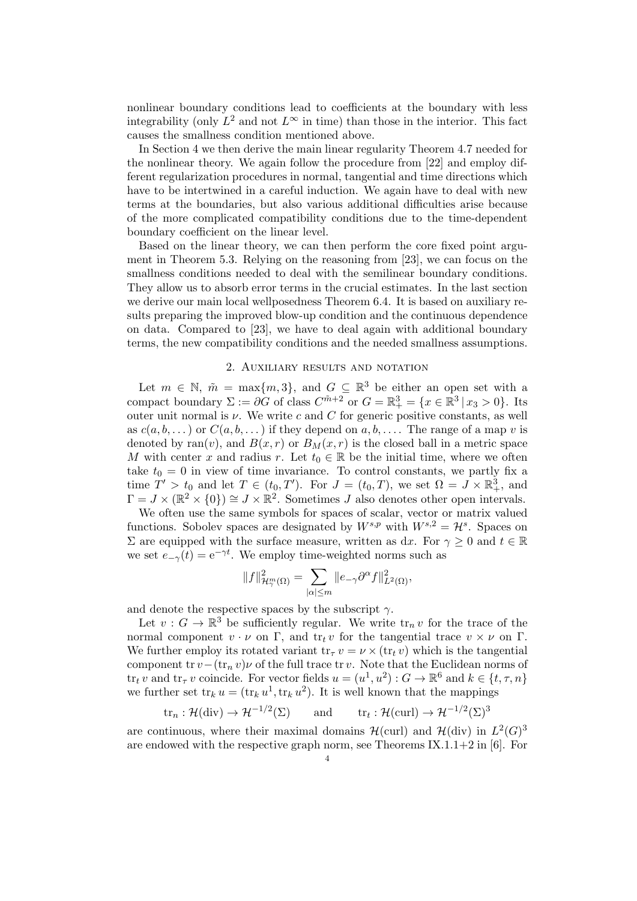nonlinear boundary conditions lead to coefficients at the boundary with less integrability (only  $L^2$  and not  $L^{\infty}$  in time) than those in the interior. This fact causes the smallness condition mentioned above.

In Section 4 we then derive the main linear regularity Theorem 4.7 needed for the nonlinear theory. We again follow the procedure from [22] and employ different regularization procedures in normal, tangential and time directions which have to be intertwined in a careful induction. We again have to deal with new terms at the boundaries, but also various additional difficulties arise because of the more complicated compatibility conditions due to the time-dependent boundary coefficient on the linear level.

Based on the linear theory, we can then perform the core fixed point argument in Theorem 5.3. Relying on the reasoning from [23], we can focus on the smallness conditions needed to deal with the semilinear boundary conditions. They allow us to absorb error terms in the crucial estimates. In the last section we derive our main local wellposedness Theorem 6.4. It is based on auxiliary results preparing the improved blow-up condition and the continuous dependence on data. Compared to [23], we have to deal again with additional boundary terms, the new compatibility conditions and the needed smallness assumptions.

#### 2. Auxiliary results and notation

Let  $m \in \mathbb{N}$ ,  $\tilde{m} = \max\{m, 3\}$ , and  $G \subseteq \mathbb{R}^3$  be either an open set with a compact boundary  $\Sigma := \partial G$  of class  $C^{\tilde{m}+2}$  or  $G = \mathbb{R}^3_+ = \{x \in \mathbb{R}^3 \mid x_3 > 0\}$ . Its outer unit normal is  $\nu$ . We write c and C for generic positive constants, as well as  $c(a, b, \dots)$  or  $C(a, b, \dots)$  if they depend on  $a, b, \dots$ . The range of a map v is denoted by ran(v), and  $B(x, r)$  or  $B<sub>M</sub>(x, r)$  is the closed ball in a metric space M with center x and radius r. Let  $t_0 \in \mathbb{R}$  be the initial time, where we often take  $t_0 = 0$  in view of time invariance. To control constants, we partly fix a time  $T' > t_0$  and let  $T \in (t_0, T')$ . For  $J = (t_0, T)$ , we set  $\Omega = \overline{J} \times \mathbb{R}^3_+$ , and  $\Gamma = J \times (\mathbb{R}^2 \times \{0\}) \cong J \times \mathbb{R}^2$ . Sometimes J also denotes other open intervals.

We often use the same symbols for spaces of scalar, vector or matrix valued functions. Sobolev spaces are designated by  $W^{s,p}$  with  $W^{s,2} = \mathcal{H}^s$ . Spaces on  $\Sigma$  are equipped with the surface measure, written as dx. For  $\gamma \geq 0$  and  $t \in \mathbb{R}$ we set  $e_{-\gamma}(t) = e^{-\gamma t}$ . We employ time-weighted norms such as

$$
||f||_{\mathcal{H}_{\gamma}^{m}(\Omega)}^{2} = \sum_{|\alpha| \leq m} ||e_{-\gamma} \partial^{\alpha} f||_{L^{2}(\Omega)}^{2},
$$

and denote the respective spaces by the subscript  $\gamma$ .

Let  $v: G \to \mathbb{R}^3$  be sufficiently regular. We write  $\operatorname{tr}_n v$  for the trace of the normal component  $v \cdot \nu$  on  $\Gamma$ , and  $\text{tr}_t v$  for the tangential trace  $v \times \nu$  on  $\Gamma$ . We further employ its rotated variant  $\text{tr}_{\tau} v = \nu \times (\text{tr}_{t} v)$  which is the tangential component tr  $v-(\text{tr}_n v)\nu$  of the full trace tr v. Note that the Euclidean norms of tr<sub>t</sub> v and tr<sub> $\tau$ </sub> v coincide. For vector fields  $u = (u^1, u^2) : G \to \mathbb{R}^6$  and  $k \in \{t, \tau, n\}$ we further set  $tr_k u = (tr_k u^1, tr_k u^2)$ . It is well known that the mappings

$$
\text{tr}_n: \mathcal{H}(\text{div}) \to \mathcal{H}^{-1/2}(\Sigma) \qquad \text{and} \qquad \text{tr}_t: \mathcal{H}(\text{curl}) \to \mathcal{H}^{-1/2}(\Sigma)^3
$$

are continuous, where their maximal domains  $\mathcal{H}(\text{curl})$  and  $\mathcal{H}(\text{div})$  in  $L^2(G)^3$ are endowed with the respective graph norm, see Theorems  $IX.1.1+2$  in [6]. For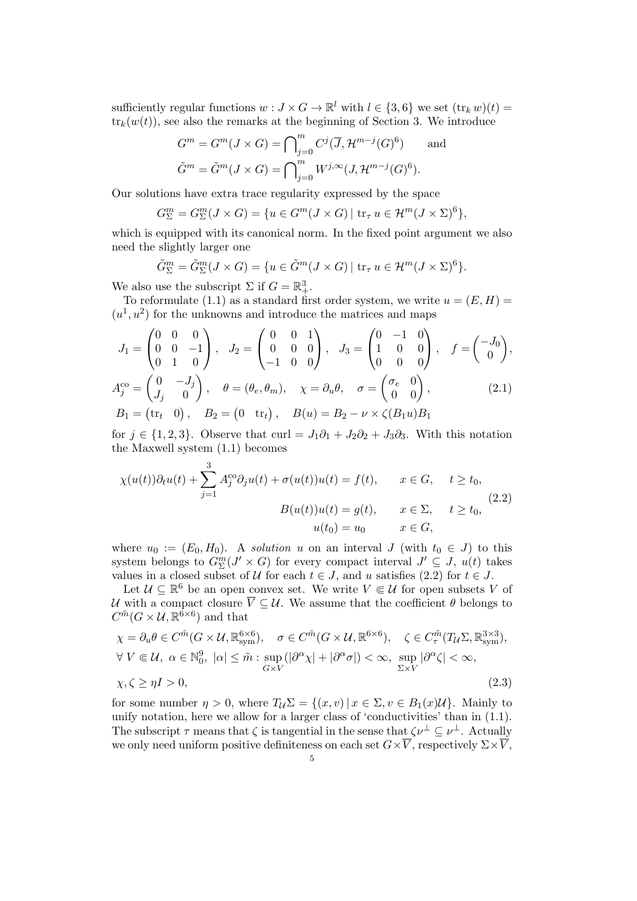sufficiently regular functions  $w: J \times G \to \mathbb{R}^l$  with  $l \in \{3, 6\}$  we set  $(\text{tr}_k w)(t) =$  $\text{tr}_k(w(t))$ , see also the remarks at the beginning of Section 3. We introduce

$$
G^{m} = G^{m}(J \times G) = \bigcap_{j=0}^{m} C^{j}(\overline{J}, \mathcal{H}^{m-j}(G)^{6}) \quad \text{and}
$$

$$
\tilde{G}^{m} = \tilde{G}^{m}(J \times G) = \bigcap_{j=0}^{m} W^{j,\infty}(J, \mathcal{H}^{m-j}(G)^{6}).
$$

Our solutions have extra trace regularity expressed by the space

$$
G_{\Sigma}^{m} = G_{\Sigma}^{m}(J \times G) = \{ u \in G^{m}(J \times G) \mid \text{tr}_{\tau} u \in \mathcal{H}^{m}(J \times \Sigma)^{6} \},
$$

which is equipped with its canonical norm. In the fixed point argument we also need the slightly larger one

$$
\tilde{G}_{\Sigma}^{m} = \tilde{G}_{\Sigma}^{m}(J \times G) = \{ u \in \tilde{G}^{m}(J \times G) \mid \text{tr}_{\tau} u \in \mathcal{H}^{m}(J \times \Sigma)^{6} \}.
$$

We also use the subscript  $\Sigma$  if  $G = \mathbb{R}^3_+$ .

To reformulate (1.1) as a standard first order system, we write  $u = (E, H)$  $(u^1, u^2)$  for the unknowns and introduce the matrices and maps

$$
J_1 = \begin{pmatrix} 0 & 0 & 0 \\ 0 & 0 & -1 \\ 0 & 1 & 0 \end{pmatrix}, \quad J_2 = \begin{pmatrix} 0 & 0 & 1 \\ 0 & 0 & 0 \\ -1 & 0 & 0 \end{pmatrix}, \quad J_3 = \begin{pmatrix} 0 & -1 & 0 \\ 1 & 0 & 0 \\ 0 & 0 & 0 \end{pmatrix}, \quad f = \begin{pmatrix} -J_0 \\ 0 \end{pmatrix},
$$
  

$$
A_j^{co} = \begin{pmatrix} 0 & -J_j \\ J_j & 0 \end{pmatrix}, \quad \theta = (\theta_e, \theta_m), \quad \chi = \partial_u \theta, \quad \sigma = \begin{pmatrix} \sigma_e & 0 \\ 0 & 0 \end{pmatrix},
$$
  

$$
B_1 = (\text{tr}_t \quad 0), \quad B_2 = \begin{pmatrix} 0 & \text{tr}_t \\ 0 & 0 \end{pmatrix}, \quad B(u) = B_2 - \nu \times \zeta(B_1 u) B_1
$$
 (2.1)

for  $j \in \{1, 2, 3\}$ . Observe that curl =  $J_1\partial_1 + J_2\partial_2 + J_3\partial_3$ . With this notation the Maxwell system (1.1) becomes

$$
\chi(u(t))\partial_t u(t) + \sum_{j=1}^3 A_j^{co} \partial_j u(t) + \sigma(u(t))u(t) = f(t), \qquad x \in G, \qquad t \ge t_0,
$$
  

$$
B(u(t))u(t) = g(t), \qquad x \in \Sigma, \qquad t \ge t_0,
$$
  

$$
u(t_0) = u_0 \qquad x \in G,
$$
 (2.2)

where  $u_0 := (E_0, H_0)$ . A solution u on an interval J (with  $t_0 \in J$ ) to this system belongs to  $G_{\Sigma}^{m}(J' \times G)$  for every compact interval  $J' \subseteq J$ ,  $u(t)$  takes values in a closed subset of U for each  $t \in J$ , and u satisfies (2.2) for  $t \in J$ .

Let  $\mathcal{U} \subseteq \mathbb{R}^6$  be an open convex set. We write  $V \in \mathcal{U}$  for open subsets V of U with a compact closure  $\overline{V} \subseteq U$ . We assume that the coefficient  $\theta$  belongs to  $C^{\tilde{m}}(G \times \mathcal{U}, \mathbb{R}^{\tilde{6} \times 6})$  and that

$$
\chi = \partial_u \theta \in C^{\tilde{m}}(G \times \mathcal{U}, \mathbb{R}^{6 \times 6}_{sym}), \quad \sigma \in C^{\tilde{m}}(G \times \mathcal{U}, \mathbb{R}^{6 \times 6}), \quad \zeta \in C^{\tilde{m}}_{\tau}(T_{\mathcal{U}}\Sigma, \mathbb{R}^{3 \times 3}_{sym}), \forall V \in \mathcal{U}, \alpha \in \mathbb{N}_0^9, |\alpha| \leq \tilde{m} : \sup_{G \times V} |\partial^{\alpha} \chi| + |\partial^{\alpha} \sigma|) < \infty, \sup_{\Sigma \times V} |\partial^{\alpha} \zeta| < \infty, \chi, \zeta \geq \eta I > 0,
$$
\n(2.3)

for some number  $\eta > 0$ , where  $T_{\mathcal{U}} \Sigma = \{(x, v) | x \in \Sigma, v \in B_1(x) \mathcal{U}\}\)$ . Mainly to unify notation, here we allow for a larger class of 'conductivities' than in (1.1). The subscript  $\tau$  means that  $\zeta$  is tangential in the sense that  $\zeta \nu^{\perp} \subseteq \nu^{\perp}$ . Actually we only need uniform positive definiteness on each set  $G\times\overline{V}$ , respectively  $\Sigma\times\overline{V}$ ,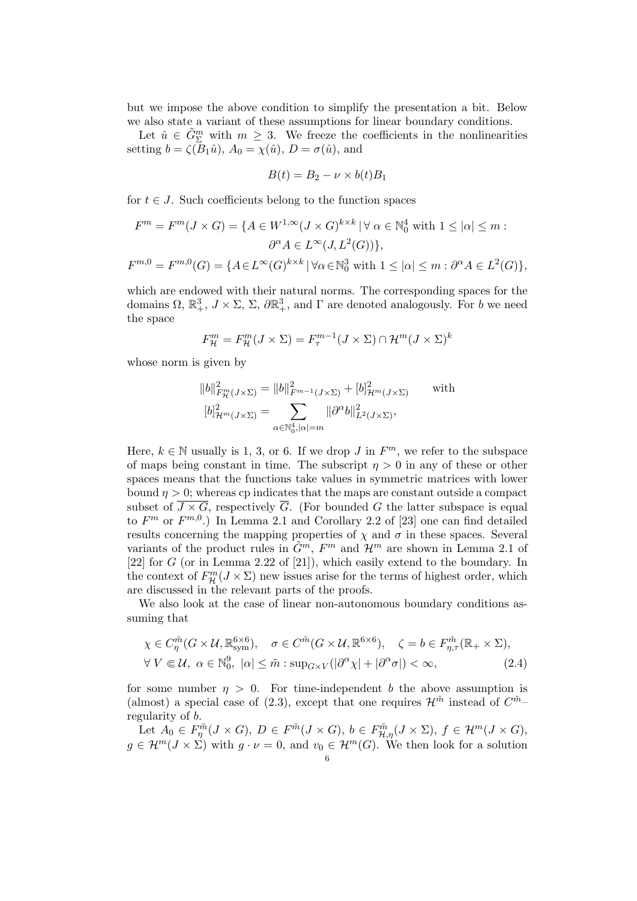but we impose the above condition to simplify the presentation a bit. Below we also state a variant of these assumptions for linear boundary conditions.

Let  $\hat{u} \in \tilde{G}_{\Sigma}^{m}$  with  $m \geq 3$ . We freeze the coefficients in the nonlinearities setting  $b = \zeta(B_1\hat{u}), A_0 = \chi(\hat{u}), D = \sigma(\hat{u}),$  and

$$
B(t) = B_2 - \nu \times b(t)B_1
$$

for  $t \in J$ . Such coefficients belong to the function spaces

$$
F^{m} = F^{m}(J \times G) = \{ A \in W^{1,\infty}(J \times G)^{k \times k} \mid \forall \alpha \in \mathbb{N}_{0}^{4} \text{ with } 1 \leq |\alpha| \leq m :
$$

$$
\partial^{\alpha} A \in L^{\infty}(J, L^{2}(G)) \},
$$

$$
F^{m,0} = F^{m,0}(G) = \{ A \in L^{\infty}(G)^{k \times k} \mid \forall \alpha \in \mathbb{N}_{0}^{3} \text{ with } 1 \leq |\alpha| \leq m : \partial^{\alpha} A \in L^{2}(G) \},
$$

which are endowed with their natural norms. The corresponding spaces for the domains  $\Omega$ ,  $\mathbb{R}^3_+$ ,  $J \times \Sigma$ ,  $\Sigma$ ,  $\partial \mathbb{R}^3_+$ , and  $\Gamma$  are denoted analogously. For b we need the space

$$
F_{\mathcal{H}}^{m} = F_{\mathcal{H}}^{m}(J \times \Sigma) = F_{\tau}^{m-1}(J \times \Sigma) \cap \mathcal{H}^{m}(J \times \Sigma)^{k}
$$

whose norm is given by

$$
||b||_{F_{\mathcal{H}}^m(J\times \Sigma)}^2 = ||b||_{F^{m-1}(J\times \Sigma)}^2 + [b]_{\mathcal{H}^m(J\times \Sigma)}^2 \quad \text{with}
$$
  

$$
[b]_{\mathcal{H}^m(J\times \Sigma)}^2 = \sum_{\alpha \in \mathbb{N}_0^4, |\alpha| = m} ||\partial^{\alpha}b||_{L^2(J\times \Sigma)}^2,
$$

Here,  $k \in \mathbb{N}$  usually is 1, 3, or 6. If we drop J in  $F^m$ , we refer to the subspace of maps being constant in time. The subscript  $\eta > 0$  in any of these or other spaces means that the functions take values in symmetric matrices with lower bound  $\eta > 0$ ; whereas cp indicates that the maps are constant outside a compact subset of  $\overline{J \times G}$ , respectively  $\overline{G}$ . (For bounded G the latter subspace is equal to  $F^m$  or  $F^{m,0}$ .) In Lemma 2.1 and Corollary 2.2 of [23] one can find detailed results concerning the mapping properties of  $\chi$  and  $\sigma$  in these spaces. Several variants of the product rules in  $\tilde{G}^m$ ,  $F^m$  and  $\mathcal{H}^m$  are shown in Lemma 2.1 of [22] for  $G$  (or in Lemma 2.22 of [21]), which easily extend to the boundary. In the context of  $F_{\mathcal{H}}^m(J \times \Sigma)$  new issues arise for the terms of highest order, which are discussed in the relevant parts of the proofs.

We also look at the case of linear non-autonomous boundary conditions assuming that

$$
\chi \in C_{\eta}^{\tilde{m}}(G \times \mathcal{U}, \mathbb{R}_{sym}^{6 \times 6}), \quad \sigma \in C^{\tilde{m}}(G \times \mathcal{U}, \mathbb{R}^{6 \times 6}), \quad \zeta = b \in F_{\eta, \tau}^{\tilde{m}}(\mathbb{R}_{+} \times \Sigma),
$$
  
\n
$$
\forall V \in \mathcal{U}, \ \alpha \in \mathbb{N}_{0}^{9}, \ |\alpha| \leq \tilde{m} : \sup_{G \times V}(|\partial^{\alpha} \chi| + |\partial^{\alpha} \sigma|) < \infty,
$$
\n(2.4)

for some number  $\eta > 0$ . For time-independent b the above assumption is (almost) a special case of (2.3), except that one requires  $\mathcal{H}^{\tilde{m}}$  instead of  $C^{\tilde{m}}$ regularity of b.

Let  $A_0 \in F_{\eta}^{\tilde{m}}(J \times G), D \in F^{\tilde{m}}(J \times G), b \in F_{\mathcal{H},\eta}^{\tilde{m}}(J \times \Sigma), f \in \mathcal{H}^m(J \times G),$  $g \in \mathcal{H}^m(J \times \Sigma)$  with  $g \cdot \nu = 0$ , and  $v_0 \in \mathcal{H}^m(G)$ . We then look for a solution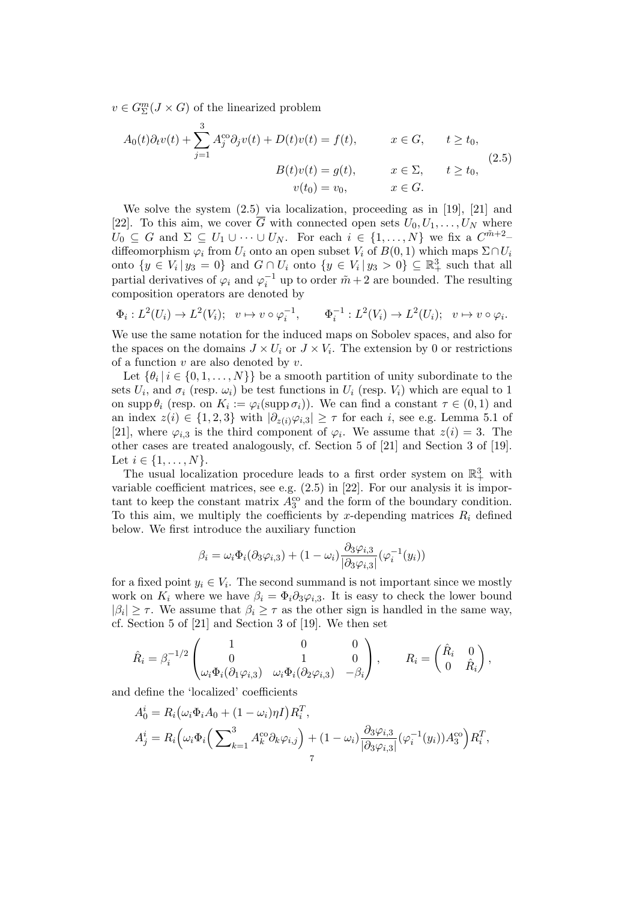$v \in G_{\Sigma}^{m}(J \times G)$  of the linearized problem

$$
A_0(t)\partial_t v(t) + \sum_{j=1}^3 A_j^{co} \partial_j v(t) + D(t)v(t) = f(t), \qquad x \in G, \qquad t \ge t_0,
$$
  
\n
$$
B(t)v(t) = g(t), \qquad x \in \Sigma, \qquad t \ge t_0,
$$
  
\n
$$
v(t_0) = v_0, \qquad x \in G.
$$
\n(2.5)

We solve the system  $(2.5)$  via localization, proceeding as in [19], [21] and [22]. To this aim, we cover  $\overline{G}$  with connected open sets  $U_0, U_1, \ldots, U_N$  where  $U_0 \subseteq G$  and  $\Sigma \subseteq U_1 \cup \cdots \cup U_N$ . For each  $i \in \{1, \ldots, N\}$  we fix a  $C^{\tilde{m}+2}$ diffeomorphism  $\varphi_i$  from  $U_i$  onto an open subset  $V_i$  of  $B(0, 1)$  which maps  $\Sigma \cap U_i$ onto  $\{y \in V_i | y_3 = 0\}$  and  $G \cap U_i$  onto  $\{y \in V_i | y_3 > 0\} \subseteq \mathbb{R}^3_+$  such that all partial derivatives of  $\varphi_i$  and  $\varphi_i^{-1}$  up to order  $\tilde{m}+2$  are bounded. The resulting composition operators are denoted by

$$
\Phi_i: L^2(U_i) \to L^2(V_i); \quad v \mapsto v \circ \varphi_i^{-1}, \qquad \Phi_i^{-1}: L^2(V_i) \to L^2(U_i); \quad v \mapsto v \circ \varphi_i.
$$

We use the same notation for the induced maps on Sobolev spaces, and also for the spaces on the domains  $J \times U_i$  or  $J \times V_i$ . The extension by 0 or restrictions of a function  $v$  are also denoted by  $v$ .

Let  $\{\theta_i \mid i \in \{0, 1, ..., N\}\}\$ be a smooth partition of unity subordinate to the sets  $U_i$ , and  $\sigma_i$  (resp.  $\omega_i$ ) be test functions in  $U_i$  (resp.  $V_i$ ) which are equal to 1 on supp  $\theta_i$  (resp. on  $K_i := \varphi_i(\text{supp }\sigma_i)$ ). We can find a constant  $\tau \in (0,1)$  and an index  $z(i) \in \{1,2,3\}$  with  $|\partial_{z(i)}\varphi_{i,3}| \geq \tau$  for each i, see e.g. Lemma 5.1 of [21], where  $\varphi_{i,3}$  is the third component of  $\varphi_i$ . We assume that  $z(i) = 3$ . The other cases are treated analogously, cf. Section 5 of [21] and Section 3 of [19]. Let  $i \in \{1, ..., N\}$ .

The usual localization procedure leads to a first order system on  $\mathbb{R}^3_+$  with variable coefficient matrices, see e.g. (2.5) in [22]. For our analysis it is important to keep the constant matrix  $A_3^{\text{co}}$  and the form of the boundary condition. To this aim, we multiply the coefficients by x-depending matrices  $R_i$  defined below. We first introduce the auxiliary function

$$
\beta_i = \omega_i \Phi_i(\partial_3 \varphi_{i,3}) + (1 - \omega_i) \frac{\partial_3 \varphi_{i,3}}{|\partial_3 \varphi_{i,3}|} (\varphi_i^{-1}(y_i))
$$

for a fixed point  $y_i \in V_i$ . The second summand is not important since we mostly work on  $K_i$  where we have  $\beta_i = \Phi_i \partial_3 \varphi_{i,3}$ . It is easy to check the lower bound  $|\beta_i| \geq \tau$ . We assume that  $\beta_i \geq \tau$  as the other sign is handled in the same way, cf. Section 5 of [21] and Section 3 of [19]. We then set

$$
\hat{R}_i = \beta_i^{-1/2} \begin{pmatrix} 1 & 0 & 0 \\ 0 & 1 & 0 \\ \omega_i \Phi_i(\partial_1 \varphi_{i,3}) & \omega_i \Phi_i(\partial_2 \varphi_{i,3}) & -\beta_i \end{pmatrix}, \qquad R_i = \begin{pmatrix} \hat{R}_i & 0 \\ 0 & \hat{R}_i \end{pmatrix},
$$

and define the 'localized' coefficients

$$
A_0^i = R_i \left( \omega_i \Phi_i A_0 + (1 - \omega_i) \eta I \right) R_i^T,
$$
  
\n
$$
A_j^i = R_i \left( \omega_i \Phi_i \left( \sum_{k=1}^3 A_k^{co} \partial_k \varphi_{i,j} \right) + (1 - \omega_i) \frac{\partial_3 \varphi_{i,3}}{\partial_3 \varphi_{i,3}} (\varphi_i^{-1}(y_i)) A_3^{co} \right) R_i^T,
$$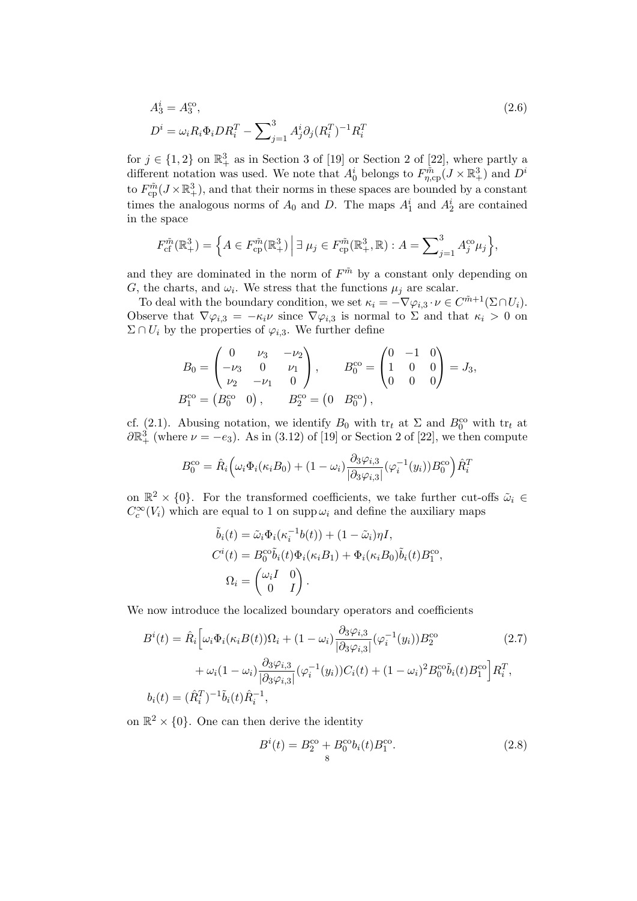$$
A_3^i = A_3^{\text{co}},
$$
  
\n
$$
D^i = \omega_i R_i \Phi_i D R_i^T - \sum_{j=1}^3 A_j^i \partial_j (R_i^T)^{-1} R_i^T
$$
\n(2.6)

for  $j \in \{1,2\}$  on  $\mathbb{R}^3_+$  as in Section 3 of [19] or Section 2 of [22], where partly a different notation was used. We note that  $A_0^i$  belongs to  $F_{\eta,\text{cp}}^{\tilde{m}}(J \times \mathbb{R}^3_+)$  and  $D^i$ to  $F_{\text{cp}}^{\tilde{m}}(J \times \mathbb{R}^3_+)$ , and that their norms in these spaces are bounded by a constant times the analogous norms of  $A_0$  and D. The maps  $A_1^i$  and  $A_2^i$  are contained in the space

$$
F_{\rm cf}^{\tilde{m}}(\mathbb{R}^3_+) = \left\{ A \in F_{\rm cp}^{\tilde{m}}(\mathbb{R}^3_+) \, \middle| \, \exists \, \mu_j \in F_{\rm cp}^{\tilde{m}}(\mathbb{R}^3_+,\mathbb{R}) : A = \sum_{j=1}^3 A_j^{\rm co} \mu_j \right\},\
$$

and they are dominated in the norm of  $F^{\tilde{m}}$  by a constant only depending on G, the charts, and  $\omega_i$ . We stress that the functions  $\mu_j$  are scalar.

To deal with the boundary condition, we set  $\kappa_i = -\nabla \varphi_{i,3} \cdot \nu \in C^{\tilde{m}+1}(\Sigma \cap U_i)$ . Observe that  $\nabla \varphi_{i,3} = -\kappa_i \nu$  since  $\nabla \varphi_{i,3}$  is normal to  $\Sigma$  and that  $\kappa_i > 0$  on  $\Sigma \cap U_i$  by the properties of  $\varphi_{i,3}$ . We further define

$$
B_0 = \begin{pmatrix} 0 & \nu_3 & -\nu_2 \\ -\nu_3 & 0 & \nu_1 \\ \nu_2 & -\nu_1 & 0 \end{pmatrix}, \qquad B_0^{\text{co}} = \begin{pmatrix} 0 & -1 & 0 \\ 1 & 0 & 0 \\ 0 & 0 & 0 \end{pmatrix} = J_3,
$$
  

$$
B_1^{\text{co}} = \begin{pmatrix} B_0^{\text{co}} & 0 \end{pmatrix}, \qquad B_2^{\text{co}} = \begin{pmatrix} 0 & B_0^{\text{co}} \end{pmatrix},
$$

cf. (2.1). Abusing notation, we identify  $B_0$  with  $tr_t$  at  $\Sigma$  and  $B_0^{\text{co}}$  with  $tr_t$  at  $\partial \mathbb{R}^3_+$  (where  $\nu = -e_3$ ). As in (3.12) of [19] or Section 2 of [22], we then compute

$$
B_0^{\text{co}} = \hat{R}_i \left( \omega_i \Phi_i (\kappa_i B_0) + (1 - \omega_i) \frac{\partial_3 \varphi_{i,3}}{\partial_3 \varphi_{i,3}} (\varphi_i^{-1}(y_i)) B_0^{\text{co}} \right) \hat{R}_i^T
$$

on  $\mathbb{R}^2 \times \{0\}$ . For the transformed coefficients, we take further cut-offs  $\tilde{\omega}_i \in$  $C_c^{\infty}(V_i)$  which are equal to 1 on supp  $\omega_i$  and define the auxiliary maps

$$
\tilde{b}_i(t) = \tilde{\omega}_i \Phi_i(\kappa_i^{-1} b(t)) + (1 - \tilde{\omega}_i) \eta I,
$$
  
\n
$$
C^i(t) = B_0^{\text{co}} \tilde{b}_i(t) \Phi_i(\kappa_i B_1) + \Phi_i(\kappa_i B_0) \tilde{b}_i(t) B_1^{\text{co}},
$$
  
\n
$$
\Omega_i = \begin{pmatrix} \omega_i I & 0 \\ 0 & I \end{pmatrix}.
$$

We now introduce the localized boundary operators and coefficients

$$
B^{i}(t) = \hat{R}_{i} \Big[ \omega_{i} \Phi_{i}(\kappa_{i} B(t)) \Omega_{i} + (1 - \omega_{i}) \frac{\partial_{3} \varphi_{i,3}}{|\partial_{3} \varphi_{i,3}|} (\varphi_{i}^{-1}(y_{i})) B_{2}^{\text{co}} \qquad (2.7)
$$

$$
+ \omega_{i} (1 - \omega_{i}) \frac{\partial_{3} \varphi_{i,3}}{|\partial_{3} \varphi_{i,3}|} (\varphi_{i}^{-1}(y_{i})) C_{i}(t) + (1 - \omega_{i})^{2} B_{0}^{\text{co}} \tilde{b}_{i}(t) B_{1}^{\text{co}} \Big] R_{i}^{T},
$$

$$
b_{i}(t) = (\hat{R}_{i}^{T})^{-1} \tilde{b}_{i}(t) \hat{R}_{i}^{-1},
$$

on  $\mathbb{R}^2 \times \{0\}$ . One can then derive the identity

$$
B^{i}(t) = B_{2}^{\text{co}} + B_{0}^{\text{co}} b_{i}(t) B_{1}^{\text{co}}.
$$
\n(2.8)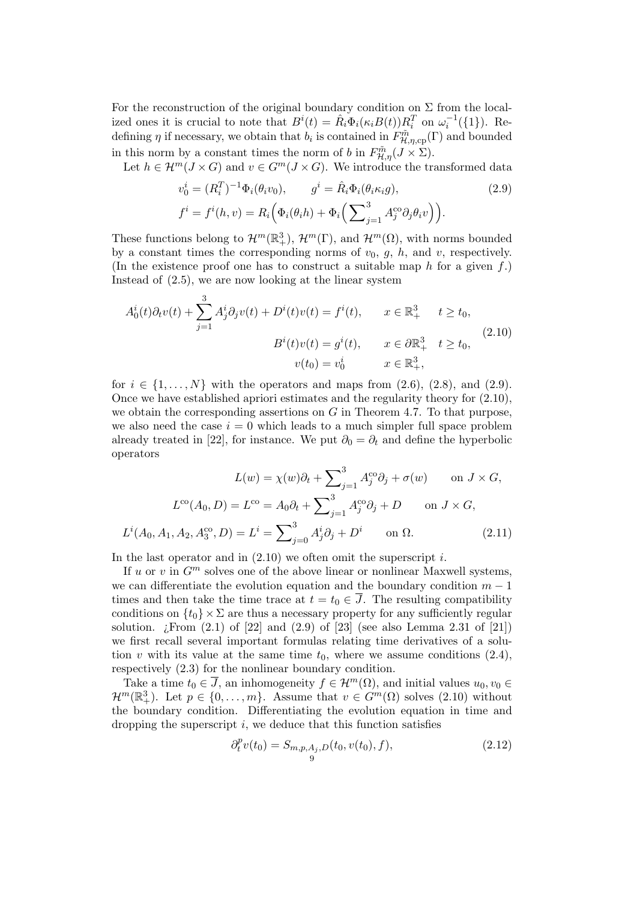For the reconstruction of the original boundary condition on  $\Sigma$  from the localized ones it is crucial to note that  $B^{i}(t) = \hat{R}_{i} \Phi_{i}(\kappa_{i} B(t)) R_{i}^{T}$  on  $\omega_{i}^{-1}(\{1\})$ . Redefining  $\eta$  if necessary, we obtain that  $b_i$  is contained in  $F^{\tilde{m}}_{\mathcal{H},\eta,\text{cp}}(\Gamma)$  and bounded in this norm by a constant times the norm of b in  $F_{\mathcal{H},\eta}^{\tilde{m}}(J \times \Sigma)$ .

Let  $h \in \mathcal{H}^m(J \times G)$  and  $v \in G^m(J \times G)$ . We introduce the transformed data

$$
v_0^i = (R_i^T)^{-1} \Phi_i(\theta_i v_0), \qquad g^i = \hat{R}_i \Phi_i(\theta_i \kappa_i g),
$$
  
\n
$$
f^i = f^i(h, v) = R_i \Big( \Phi_i(\theta_i h) + \Phi_i \Big( \sum_{j=1}^3 A_j^{co} \partial_j \theta_i v \Big) \Big).
$$
\n(2.9)

These functions belong to  $\mathcal{H}^m(\mathbb{R}^3_+)$ ,  $\mathcal{H}^m(\Gamma)$ , and  $\mathcal{H}^m(\Omega)$ , with norms bounded by a constant times the corresponding norms of  $v_0$ ,  $q$ ,  $h$ , and  $v$ , respectively. (In the existence proof one has to construct a suitable map h for a given  $f$ .) Instead of (2.5), we are now looking at the linear system

$$
A_0^i(t)\partial_t v(t) + \sum_{j=1}^3 A_j^i \partial_j v(t) + D^i(t)v(t) = f^i(t), \qquad x \in \mathbb{R}_+^3 \qquad t \ge t_0,
$$
  

$$
B^i(t)v(t) = g^i(t), \qquad x \in \partial \mathbb{R}_+^3 \qquad t \ge t_0,
$$
  

$$
v(t_0) = v_0^i \qquad x \in \mathbb{R}_+^3,
$$
 (2.10)

for  $i \in \{1, \ldots, N\}$  with the operators and maps from  $(2.6)$ ,  $(2.8)$ , and  $(2.9)$ . Once we have established apriori estimates and the regularity theory for (2.10), we obtain the corresponding assertions on  $G$  in Theorem 4.7. To that purpose, we also need the case  $i = 0$  which leads to a much simpler full space problem already treated in [22], for instance. We put  $\partial_0 = \partial_t$  and define the hyperbolic operators

$$
L(w) = \chi(w)\partial_t + \sum_{j=1}^3 A_j^{co}\partial_j + \sigma(w) \quad \text{on } J \times G,
$$
  

$$
L^{co}(A_0, D) = L^{co} = A_0 \partial_t + \sum_{j=1}^3 A_j^{co}\partial_j + D \quad \text{on } J \times G,
$$
  

$$
L^i(A_0, A_1, A_2, A_3^{co}, D) = L^i = \sum_{j=0}^3 A_j^i \partial_j + D^i \quad \text{on } \Omega.
$$
 (2.11)

In the last operator and in  $(2.10)$  we often omit the superscript i.

If u or v in  $G<sup>m</sup>$  solves one of the above linear or nonlinear Maxwell systems, we can differentiate the evolution equation and the boundary condition  $m-1$ times and then take the time trace at  $t = t_0 \in \overline{J}$ . The resulting compatibility conditions on  $\{t_0\} \times \Sigma$  are thus a necessary property for any sufficiently regular solution.  $\chi$ From  $(2.1)$  of  $[22]$  and  $(2.9)$  of  $[23]$  (see also Lemma 2.31 of  $[21]$ ) we first recall several important formulas relating time derivatives of a solution v with its value at the same time  $t_0$ , where we assume conditions  $(2.4)$ , respectively (2.3) for the nonlinear boundary condition.

Take a time  $t_0 \in \overline{J}$ , an inhomogeneity  $f \in \mathcal{H}^m(\Omega)$ , and initial values  $u_0, v_0 \in$  $\mathcal{H}^m(\mathbb{R}^3_+)$ . Let  $p \in \{0, \ldots, m\}$ . Assume that  $v \in G^m(\Omega)$  solves  $(2.10)$  without the boundary condition. Differentiating the evolution equation in time and dropping the superscript  $i$ , we deduce that this function satisfies

$$
\partial_t^p v(t_0) = S_{m,p,A_j,D}(t_0, v(t_0), f), \tag{2.12}
$$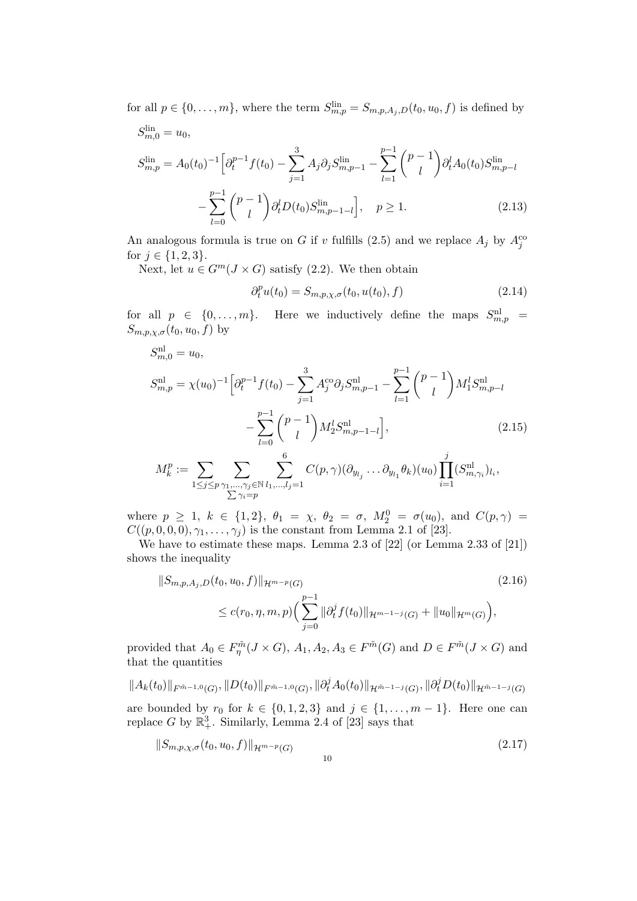for all  $p \in \{0, \ldots, m\}$ , where the term  $S_{m,p}^{\text{lin}} = S_{m,p,A_j,D}(t_0, u_0, f)$  is defined by

$$
S_{m,p}^{\text{lin}} = u_0,
$$
  
\n
$$
S_{m,p}^{\text{lin}} = A_0(t_0)^{-1} \Big[ \partial_t^{p-1} f(t_0) - \sum_{j=1}^3 A_j \partial_j S_{m,p-1}^{\text{lin}} - \sum_{l=1}^{p-1} {p-1 \choose l} \partial_t^l A_0(t_0) S_{m,p-l}^{\text{lin}} - \sum_{l=0}^{p-1} {p-1 \choose l} \partial_t^l D(t_0) S_{m,p-1-l}^{\text{lin}} \Big], \quad p \ge 1.
$$
\n(2.13)

An analogous formula is true on G if v fulfills (2.5) and we replace  $A_j$  by  $A_j^{cc}$ for  $j \in \{1, 2, 3\}$ .

Next, let  $u \in G^m(J \times G)$  satisfy (2.2). We then obtain

$$
\partial_t^p u(t_0) = S_{m, p, \chi, \sigma}(t_0, u(t_0), f) \tag{2.14}
$$

for all  $p \in \{0, \ldots, m\}$ . Here we inductively define the maps  $S_{m,p}^{\text{nl}} =$  $S_{m,p,\chi,\sigma}(t_0,u_0,f)$  by

$$
S_{m,p}^{\text{nl}} = u_0,
$$
  
\n
$$
S_{m,p}^{\text{nl}} = \chi(u_0)^{-1} \left[ \partial_t^{p-1} f(t_0) - \sum_{j=1}^3 A_j^{\text{co}} \partial_j S_{m,p-1}^{\text{nl}} - \sum_{l=1}^{p-1} {p-1 \choose l} M_1^l S_{m,p-l}^{\text{nl}} - \sum_{l=0}^{p-1} {p-1 \choose l} M_2^l S_{m,p-1-l}^{\text{nl}} \right],
$$
\n
$$
M_k^p := \sum_{1 \le j \le p} \sum_{\substack{\gamma_1, \dots, \gamma_j \in \mathbb{N}^l}} \sum_{l_1, \dots, l_j = 1}^6 C(p, \gamma) (\partial_{y_{l_j}} \dots \partial_{y_{l_1}} \theta_k)(u_0) \prod_{i=1}^j (S_{m, \gamma_i}^{\text{nl}})_{l_i},
$$
\n
$$
\sum_{j=1}^{\gamma_i = p} \sum_{j=1}^{\gamma_i = p} C(p, \gamma) (\partial_{y_{l_j}} \dots \partial_{y_{l_1}} \theta_k)(u_0) \prod_{i=1}^j (S_{m, \gamma_i}^{\text{nl}})_{l_i},
$$
\n(2.15)

where  $p \ge 1$ ,  $k \in \{1, 2\}$ ,  $\theta_1 = \chi$ ,  $\theta_2 = \sigma$ ,  $M_2^0 = \sigma(u_0)$ , and  $C(p, \gamma) =$  $C((p, 0, 0, 0), \gamma_1, \ldots, \gamma_j)$  is the constant from Lemma 2.1 of [23].

We have to estimate these maps. Lemma 2.3 of [22] (or Lemma 2.33 of [21]) shows the inequality

$$
||S_{m,p,A_j,D}(t_0, u_0, f)||_{\mathcal{H}^{m-p}(G)}
$$
\n
$$
\leq c(r_0, \eta, m, p) \Big( \sum_{j=0}^{p-1} ||\partial_t^j f(t_0)||_{\mathcal{H}^{m-1-j}(G)} + ||u_0||_{\mathcal{H}^m(G)} \Big),
$$
\n(2.16)

provided that  $A_0 \in F_{\eta}^{\tilde{m}}(J \times G)$ ,  $A_1, A_2, A_3 \in F^{\tilde{m}}(G)$  and  $D \in F^{\tilde{m}}(J \times G)$  and that the quantities

$$
||A_{k}(t_{0})||_{F^{\tilde{m}-1,0}(G)},||D(t_{0})||_{F^{\tilde{m}-1,0}(G)},||\partial_{t}^{j}A_{0}(t_{0})||_{\mathcal{H}^{\tilde{m}-1-j}(G)},||\partial_{t}^{j}D(t_{0})||_{\mathcal{H}^{\tilde{m}-1-j}(G)}
$$

are bounded by  $r_0$  for  $k \in \{0, 1, 2, 3\}$  and  $j \in \{1, ..., m-1\}$ . Here one can replace G by  $\mathbb{R}^3_+$ . Similarly, Lemma 2.4 of [23] says that

$$
||S_{m,p,\chi,\sigma}(t_0,u_0,f)||_{\mathcal{H}^{m-p}(G)} \tag{2.17}
$$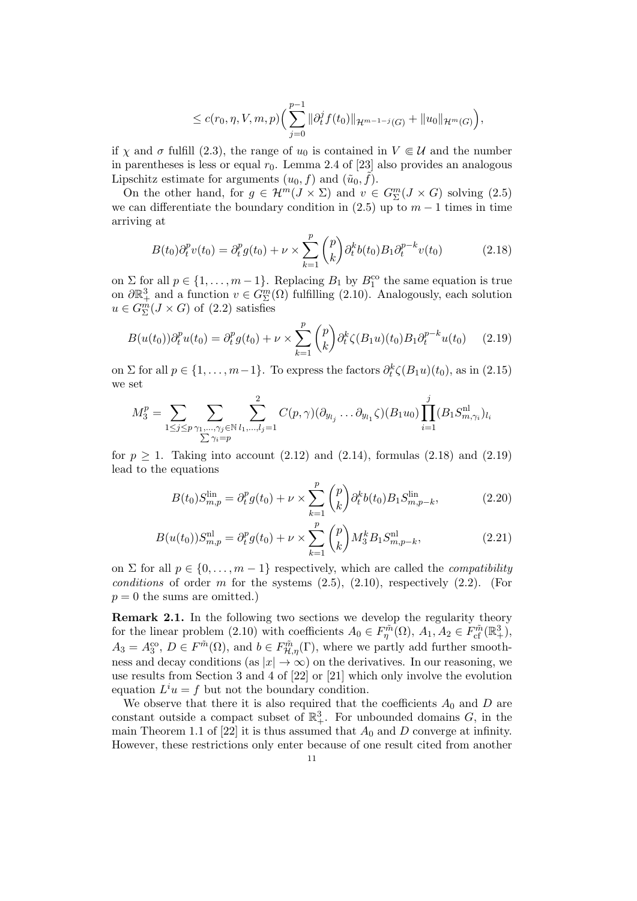$$
\leq c(r_0, \eta, V, m, p) \Big( \sum_{j=0}^{p-1} \|\partial_t^j f(t_0)\|_{\mathcal{H}^{m-1-j}(G)} + \|u_0\|_{\mathcal{H}^m(G)} \Big),
$$

if  $\chi$  and  $\sigma$  fulfill (2.3), the range of  $u_0$  is contained in  $V \in \mathcal{U}$  and the number in parentheses is less or equal  $r_0$ . Lemma 2.4 of [23] also provides an analogous Lipschitz estimate for arguments  $(u_0, f)$  and  $(\tilde{u}_0, \tilde{f})$ .

On the other hand, for  $g \in \mathcal{H}^m(J \times \Sigma)$  and  $v \in G_{\Sigma}^m(J \times G)$  solving (2.5) we can differentiate the boundary condition in  $(2.5)$  up to  $m-1$  times in time arriving at

$$
B(t_0)\partial_t^p v(t_0) = \partial_t^p g(t_0) + \nu \times \sum_{k=1}^p {p \choose k} \partial_t^k b(t_0) B_1 \partial_t^{p-k} v(t_0)
$$
 (2.18)

on  $\Sigma$  for all  $p \in \{1, \ldots, m-1\}$ . Replacing  $B_1$  by  $B_1^{\text{co}}$  the same equation is true on  $\partial \mathbb{R}^3_+$  and a function  $v \in G^m_{\Sigma}(\Omega)$  fulfilling  $(2.10)$ . Analogously, each solution  $u \in G_{\Sigma}^{m}(J \times G)$  of  $(2.2)$  satisfies

$$
B(u(t_0))\partial_t^p u(t_0) = \partial_t^p g(t_0) + \nu \times \sum_{k=1}^p {p \choose k} \partial_t^k \zeta(B_1 u)(t_0) B_1 \partial_t^{p-k} u(t_0) \qquad (2.19)
$$

on  $\Sigma$  for all  $p \in \{1, \ldots, m-1\}$ . To express the factors  $\partial_t^k \zeta(B_1 u)(t_0)$ , as in  $(2.15)$ we set

$$
M_3^p = \sum_{1 \le j \le p} \sum_{\substack{\gamma_1, \dots, \gamma_j \in \mathbb{N} \\ \sum \gamma_i = p}} \sum_{l_1, \dots, l_j = 1}^2 C(p, \gamma)(\partial_{y_{l_j}} \dots \partial_{y_{l_1}} \zeta)(B_1 u_0) \prod_{i=1}^j (B_1 S_{m, \gamma_i}^{\text{nl}})_{l_i}
$$

for  $p \geq 1$ . Taking into account (2.12) and (2.14), formulas (2.18) and (2.19) lead to the equations

$$
B(t_0)S_{m,p}^{\text{lin}} = \partial_t^p g(t_0) + \nu \times \sum_{k=1}^p {p \choose k} \partial_t^k b(t_0) B_1 S_{m,p-k}^{\text{lin}},\tag{2.20}
$$

$$
B(u(t_0))S_{m,p}^{\text{nl}} = \partial_t^p g(t_0) + \nu \times \sum_{k=1}^p \binom{p}{k} M_3^k B_1 S_{m,p-k}^{\text{nl}},\tag{2.21}
$$

on  $\Sigma$  for all  $p \in \{0, \ldots, m-1\}$  respectively, which are called the *compatibility* conditions of order m for the systems  $(2.5)$ ,  $(2.10)$ , respectively  $(2.2)$ . (For  $p = 0$  the sums are omitted.)

Remark 2.1. In the following two sections we develop the regularity theory for the linear problem (2.10) with coefficients  $A_0 \in F_{\eta}^{\tilde{m}}(\Omega)$ ,  $A_1, A_2 \in F_{\text{cf}}^{\tilde{m}}(\mathbb{R}^3_+)$ ,  $A_3 = A_3^{\text{co}}, D \in F^{\tilde{m}}(\Omega)$ , and  $b \in F^{\tilde{m}}_{\mathcal{H},\eta}(\Gamma)$ , where we partly add further smoothness and decay conditions (as  $|x| \to \infty$ ) on the derivatives. In our reasoning, we use results from Section 3 and 4 of [22] or [21] which only involve the evolution equation  $L^i u = f$  but not the boundary condition.

We observe that there it is also required that the coefficients  $A_0$  and  $D$  are constant outside a compact subset of  $\mathbb{R}^3_+$ . For unbounded domains G, in the main Theorem 1.1 of [22] it is thus assumed that  $A_0$  and D converge at infinity. However, these restrictions only enter because of one result cited from another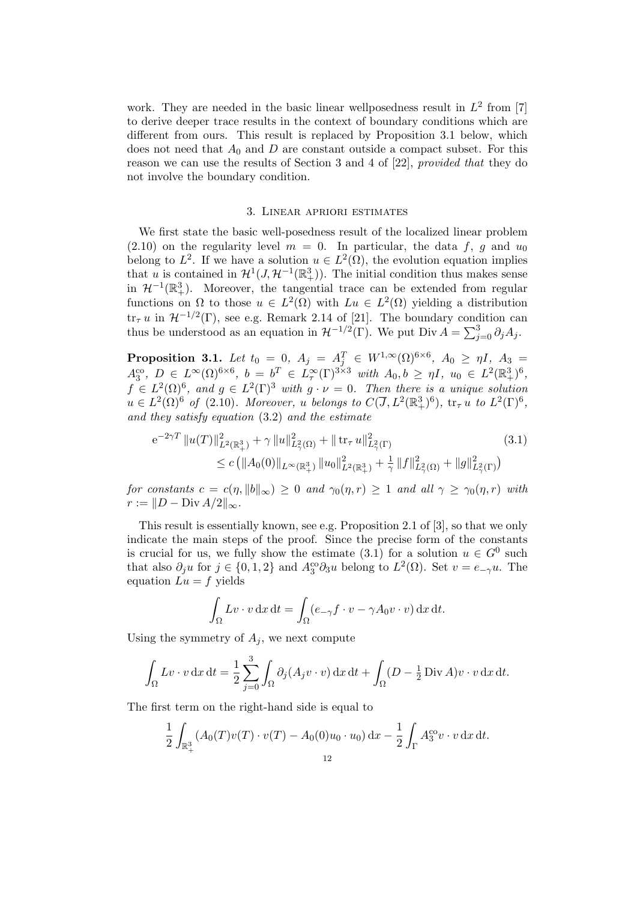work. They are needed in the basic linear wellposedness result in  $L^2$  from [7] to derive deeper trace results in the context of boundary conditions which are different from ours. This result is replaced by Proposition 3.1 below, which does not need that  $A_0$  and D are constant outside a compact subset. For this reason we can use the results of Section 3 and 4 of [22], provided that they do not involve the boundary condition.

#### 3. Linear apriori estimates

We first state the basic well-posedness result of the localized linear problem  $(2.10)$  on the regularity level  $m = 0$ . In particular, the data f, g and  $u_0$ belong to  $L^2$ . If we have a solution  $u \in L^2(\Omega)$ , the evolution equation implies that u is contained in  $\mathcal{H}^1(J, \mathcal{H}^{-1}(\mathbb{R}^3_+))$ . The initial condition thus makes sense in  $\mathcal{H}^{-1}(\mathbb{R}^3_+)$ . Moreover, the tangential trace can be extended from regular functions on  $\Omega$  to those  $u \in L^2(\Omega)$  with  $Lu \in L^2(\Omega)$  yielding a distribution  $\text{tr}_{\tau} u$  in  $\mathcal{H}^{-1/2}(\Gamma)$ , see e.g. Remark 2.14 of [21]. The boundary condition can thus be understood as an equation in  $\mathcal{H}^{-1/2}(\Gamma)$ . We put Div  $A = \sum_{j=0}^{3} \partial_j A_j$ .

**Proposition 3.1.** Let  $t_0 = 0$ ,  $A_j = A_j^T \in W^{1,\infty}(\Omega)^{6 \times 6}$ ,  $A_0 \geq \eta I$ ,  $A_3 =$  $A_3^{\text{co}}, D \in L^{\infty}(\Omega)^{6 \times 6}, b = b^T \in L^{\infty}_{\tau}(\Gamma)^{3 \times 3}$  with  $A_0, b \geq \eta I$ ,  $u_0 \in L^2(\mathbb{R}^3_+)^6$ ,  $f \in L^2(\Omega)^6$ , and  $g \in L^2(\Gamma)^3$  with  $g \cdot \nu = 0$ . Then there is a unique solution  $u \in L^2(\Omega)^6$  of (2.10). Moreover, u belongs to  $C(\overline{J}, L^2(\mathbb{R}^3_+)^6)$ ,  $\text{tr}_{\tau} u$  to  $L^2(\Gamma)^6$ , and they satisfy equation (3.2) and the estimate

$$
e^{-2\gamma T} \|u(T)\|_{L^{2}(\mathbb{R}^{3}_{+})}^{2} + \gamma \|u\|_{L^{2}(\Omega)}^{2} + \|\operatorname{tr}_{\tau} u\|_{L^{2}(\Gamma)}^{2} \tag{3.1}
$$
  

$$
\leq c \left( \|A_{0}(0)\|_{L^{\infty}(\mathbb{R}^{3}_{+})} \|u_{0}\|_{L^{2}(\mathbb{R}^{3}_{+})}^{2} + \frac{1}{\gamma} \|f\|_{L^{2}(\Omega)}^{2} + \|g\|_{L^{2}(\Gamma)}^{2} \right)
$$

for constants  $c = c(\eta, \|b\|_{\infty}) \geq 0$  and  $\gamma_0(\eta, r) \geq 1$  and all  $\gamma \geq \gamma_0(\eta, r)$  with  $r := ||D - \text{Div } A/2||_{\infty}.$ 

This result is essentially known, see e.g. Proposition 2.1 of [3], so that we only indicate the main steps of the proof. Since the precise form of the constants is crucial for us, we fully show the estimate (3.1) for a solution  $u \in G^0$  such that also  $\partial_j u$  for  $j \in \{0, 1, 2\}$  and  $A_3^{\circ\circ} \partial_3 u$  belong to  $L^2(\Omega)$ . Set  $v = e_{-\gamma} u$ . The equation  $Lu = f$  yields

$$
\int_{\Omega} Lv \cdot v \, \mathrm{d}x \, \mathrm{d}t = \int_{\Omega} (e_{-\gamma} f \cdot v - \gamma A_0 v \cdot v) \, \mathrm{d}x \, \mathrm{d}t.
$$

Using the symmetry of  $A_j$ , we next compute

$$
\int_{\Omega} Lv \cdot v \, dx \, dt = \frac{1}{2} \sum_{j=0}^{3} \int_{\Omega} \partial_j (A_j v \cdot v) \, dx \, dt + \int_{\Omega} (D - \frac{1}{2} \operatorname{Div} A) v \cdot v \, dx \, dt.
$$

The first term on the right-hand side is equal to

$$
\frac{1}{2} \int_{\mathbb{R}^3_+} (A_0(T) v(T) \cdot v(T) - A_0(0) u_0 \cdot u_0) \, dx - \frac{1}{2} \int_{\Gamma} A_3^{\text{co}} v \cdot v \, dx \, dt.
$$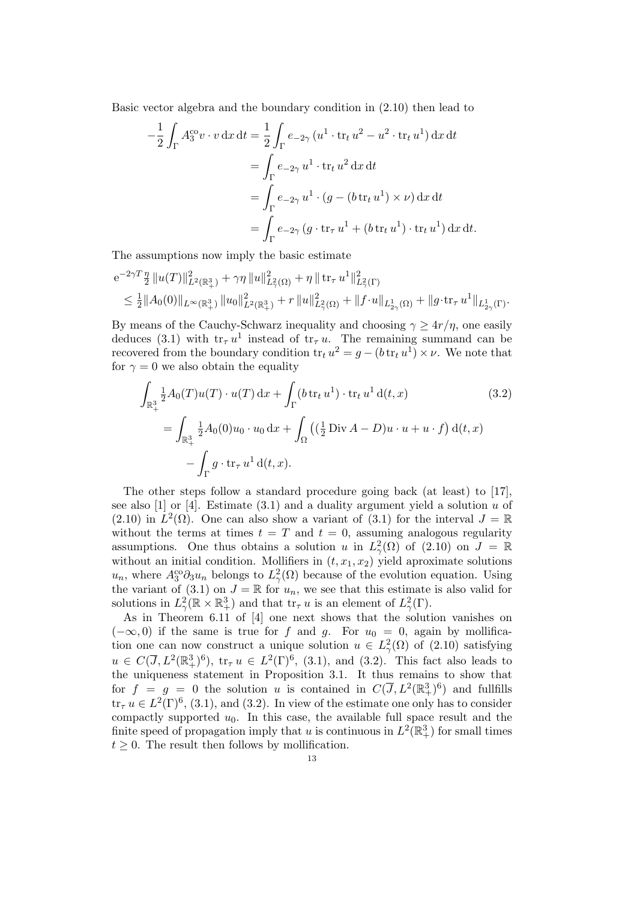Basic vector algebra and the boundary condition in (2.10) then lead to

$$
-\frac{1}{2} \int_{\Gamma} A_3^{\text{co}} v \cdot v \, dx \, dt = \frac{1}{2} \int_{\Gamma} e_{-2\gamma} (u^1 \cdot \text{tr}_t u^2 - u^2 \cdot \text{tr}_t u^1) \, dx \, dt
$$

$$
= \int_{\Gamma} e_{-2\gamma} u^1 \cdot \text{tr}_t u^2 \, dx \, dt
$$

$$
= \int_{\Gamma} e_{-2\gamma} u^1 \cdot (g - (b \, \text{tr}_t u^1) \times \nu) \, dx \, dt
$$

$$
= \int_{\Gamma} e_{-2\gamma} (g \cdot \text{tr}_\tau u^1 + (b \, \text{tr}_t u^1) \cdot \text{tr}_t u^1) \, dx \, dt.
$$

The assumptions now imply the basic estimate

$$
e^{-2\gamma T} \frac{\eta}{2} ||u(T)||^{2}_{L^{2}(\mathbb{R}^{3}_{+})} + \gamma \eta ||u||^{2}_{L^{2}_{\gamma}(\Omega)} + \eta ||\operatorname{tr}_{\tau} u^{1}||^{2}_{L^{2}_{\gamma}(\Gamma)}
$$
  
\n
$$
\leq \frac{1}{2} ||A_{0}(0)||_{L^{\infty}(\mathbb{R}^{3}_{+})} ||u_{0}||^{2}_{L^{2}(\mathbb{R}^{3}_{+})} + r ||u||^{2}_{L^{2}_{\gamma}(\Omega)} + ||f \cdot u||_{L^{1}_{2\gamma}(\Omega)} + ||g \cdot \operatorname{tr}_{\tau} u^{1}||_{L^{1}_{2\gamma}(\Gamma)}.
$$

By means of the Cauchy-Schwarz inequality and choosing  $\gamma \geq 4r/\eta$ , one easily deduces (3.1) with  $tr_{\tau} u^1$  instead of  $tr_{\tau} u$ . The remaining summand can be recovered from the boundary condition  $\text{tr}_t u^2 = g - (b \text{ tr}_t u^1) \times \nu$ . We note that for  $\gamma = 0$  we also obtain the equality

$$
\int_{\mathbb{R}^3_+} \frac{1}{2} A_0(T) u(T) \cdot u(T) \, dx + \int_{\Gamma} (b \operatorname{tr}_t u^1) \cdot \operatorname{tr}_t u^1 \, d(t, x) \tag{3.2}
$$
\n
$$
= \int_{\mathbb{R}^3_+} \frac{1}{2} A_0(0) u_0 \cdot u_0 \, dx + \int_{\Omega} \left( (\frac{1}{2} \operatorname{Div} A - D) u \cdot u + u \cdot f \right) \, d(t, x)
$$
\n
$$
- \int_{\Gamma} g \cdot \operatorname{tr}_{\tau} u^1 \, d(t, x).
$$

The other steps follow a standard procedure going back (at least) to [17], see also [1] or [4]. Estimate  $(3.1)$  and a duality argument yield a solution u of  $(2.10)$  in  $L^2(\Omega)$ . One can also show a variant of  $(3.1)$  for the interval  $J = \mathbb{R}$ without the terms at times  $t = T$  and  $t = 0$ , assuming analogous regularity assumptions. One thus obtains a solution u in  $L^2_\gamma(\Omega)$  of  $(2.10)$  on  $J = \mathbb{R}$ without an initial condition. Mollifiers in  $(t, x_1, x_2)$  yield aproximate solutions  $u_n$ , where  $A_3^{\text{co}} \partial_3 u_n$  belongs to  $L^2_\gamma(\Omega)$  because of the evolution equation. Using the variant of (3.1) on  $J = \mathbb{R}$  for  $u_n$ , we see that this estimate is also valid for solutions in  $L^2_\gamma(\mathbb{R} \times \mathbb{R}^3_+)$  and that  $\operatorname{tr}_{\tau} u$  is an element of  $L^2_\gamma(\Gamma)$ .

As in Theorem 6.11 of [4] one next shows that the solution vanishes on  $(-\infty, 0)$  if the same is true for f and g. For  $u_0 = 0$ , again by mollification one can now construct a unique solution  $u \in L^2_\gamma(\Omega)$  of  $(2.10)$  satisfying  $u \in C(\overline{J}, L^2(\mathbb{R}^3_+)^6)$ ,  $tr_{\tau} u \in L^2(\Gamma)^6$ , (3.1), and (3.2). This fact also leads to the uniqueness statement in Proposition 3.1. It thus remains to show that for  $f = g = 0$  the solution u is contained in  $C(\overline{J}, L^2(\mathbb{R}^3_+)^6)$  and fullfills  $\text{tr}_{\tau} u \in L^2(\Gamma)^6$ , (3.1), and (3.2). In view of the estimate one only has to consider compactly supported  $u_0$ . In this case, the available full space result and the finite speed of propagation imply that u is continuous in  $L^2(\mathbb{R}^3_+)$  for small times  $t \geq 0$ . The result then follows by mollification.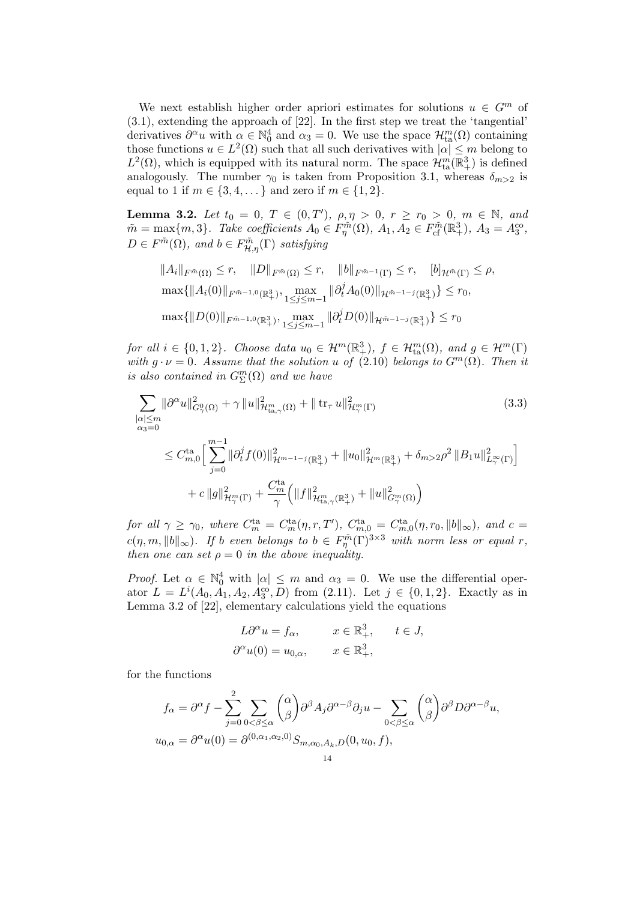We next establish higher order apriori estimates for solutions  $u \in G^m$  of (3.1), extending the approach of [22]. In the first step we treat the 'tangential' derivatives  $\partial^{\alpha} u$  with  $\alpha \in \mathbb{N}_0^4$  and  $\alpha_3 = 0$ . We use the space  $\mathcal{H}_{{\rm ta}}^m(\Omega)$  containing those functions  $u \in L^2(\Omega)$  such that all such derivatives with  $|\alpha| \leq m$  belong to  $L^2(\Omega)$ , which is equipped with its natural norm. The space  $\mathcal{H}_{\text{ta}}^m(\mathbb{R}^3_+)$  is defined analogously. The number  $\gamma_0$  is taken from Proposition 3.1, whereas  $\delta_{m>2}$  is equal to 1 if  $m \in \{3, 4, ...\}$  and zero if  $m \in \{1, 2\}$ .

**Lemma 3.2.** Let  $t_0 = 0, T \in (0,T)$ ,  $\rho, \eta > 0, r \ge r_0 > 0, m \in \mathbb{N}$ , and  $\tilde{m} = \max\{m, 3\}$ . Take coefficients  $A_0 \in F_{\eta}^{\tilde{m}}(\Omega)$ ,  $A_1, A_2 \in F_{\text{cf}}^{\tilde{m}}(\mathbb{R}^3_+)$ ,  $A_3 = A_3^{\text{co}}$ ,  $D \in F^{\tilde{m}}(\Omega)$ , and  $b \in F^{\tilde{m}}_{\mathcal{H},\eta}(\Gamma)$  satisfying

$$
||A_i||_{F^{\tilde{m}}(\Omega)} \le r, \quad ||D||_{F^{\tilde{m}}(\Omega)} \le r, \quad ||b||_{F^{\tilde{m}-1}(\Gamma)} \le r, \quad [b]_{\mathcal{H}^{\tilde{m}}(\Gamma)} \le \rho,
$$
  

$$
\max\{||A_i(0)||_{F^{\tilde{m}-1,0}(\mathbb{R}^3_+)}, \max_{1 \le j \le m-1} ||\partial_t^j A_0(0)||_{\mathcal{H}^{\tilde{m}-1-j}(\mathbb{R}^3_+)}\} \le r_0,
$$
  

$$
\max\{||D(0)||_{F^{\tilde{m}-1,0}(\mathbb{R}^3_+)}, \max_{1 \le j \le m-1} ||\partial_t^j D(0)||_{\mathcal{H}^{\tilde{m}-1-j}(\mathbb{R}^3_+)}\} \le r_0
$$

for all  $i \in \{0,1,2\}$ . Choose data  $u_0 \in \mathcal{H}^m(\mathbb{R}^3_+)$ ,  $f \in \mathcal{H}^m(\Omega)$ , and  $g \in \mathcal{H}^m(\Gamma)$ with  $g \cdot \nu = 0$ . Assume that the solution u of (2.10) belongs to  $G^m(\Omega)$ . Then it is also contained in  $G^m_{\Sigma}(\Omega)$  and we have

$$
\sum_{\substack{\alpha|\leq m\\ \alpha_3=0}} \|\partial^{\alpha}u\|_{G_{\gamma}^0(\Omega)}^2 + \gamma \|u\|_{\mathcal{H}_{\text{ta},\gamma}^m(\Omega)}^2 + \|\operatorname{tr}_{\tau}u\|_{\mathcal{H}_{\gamma}^m(\Gamma)}^2 \tag{3.3}
$$
\n
$$
\leq C_{m,0}^{\operatorname{ta}} \Big[\sum_{j=0}^{m-1} \|\partial_t^j f(0)\|_{\mathcal{H}^{m-1-j}(\mathbb{R}^3_+)}^2 + \|u_0\|_{\mathcal{H}^m(\mathbb{R}^3_+)}^2 + \delta_{m>2}\rho^2 \|B_1 u\|_{L_{\gamma}^{\infty}(\Gamma)}^2\Big]
$$
\n
$$
+ c \|g\|_{\mathcal{H}_{\gamma}^m(\Gamma)}^2 + \frac{C_m^{\operatorname{ta}}}{\gamma} \Big(\|f\|_{\mathcal{H}_{\text{ta},\gamma}^m(\mathbb{R}^3_+)}^2 + \|u\|_{G_{\gamma}^m(\Omega)}^2\Big)
$$

for all  $\gamma \ge \gamma_0$ , where  $C_m^{\text{ta}} = C_m^{\text{ta}}(\eta, r, T')$ ,  $C_{m,0}^{\text{ta}} = C_{m,0}^{\text{ta}}(\eta, r_0, ||b||_{\infty})$ , and  $c =$  $c(\eta, m, ||b||_{\infty})$ . If b even belongs to  $b \in F_{\eta}^{\tilde{m}}(\Gamma)^{3 \times 3}$  with norm less or equal r, then one can set  $\rho = 0$  in the above inequality.

*Proof.* Let  $\alpha \in \mathbb{N}_0^4$  with  $|\alpha| \leq m$  and  $\alpha_3 = 0$ . We use the differential operator  $L = L^{i}(A_0, \tilde{A}_1, A_2, \tilde{A}_3^{\text{co}}, D)$  from (2.11). Let  $j \in \{0, 1, 2\}$ . Exactly as in Lemma 3.2 of [22], elementary calculations yield the equations

$$
L\partial^{\alpha} u = f_{\alpha}, \qquad x \in \mathbb{R}^3_+, \qquad t \in J,
$$
  

$$
\partial^{\alpha} u(0) = u_{0,\alpha}, \qquad x \in \mathbb{R}^3_+,
$$

for the functions

 $\overline{\phantom{a}}$ 

$$
f_{\alpha} = \partial^{\alpha} f - \sum_{j=0}^{2} \sum_{0 < \beta \leq \alpha} \binom{\alpha}{\beta} \partial^{\beta} A_{j} \partial^{\alpha-\beta} \partial_{j} u - \sum_{0 < \beta \leq \alpha} \binom{\alpha}{\beta} \partial^{\beta} D \partial^{\alpha-\beta} u,
$$
\n
$$
u_{0,\alpha} = \partial^{\alpha} u(0) = \partial^{(0,\alpha_1,\alpha_2,0)} S_{m,\alpha_0,A_k,D}(0, u_0, f),
$$
\n
$$
u_1
$$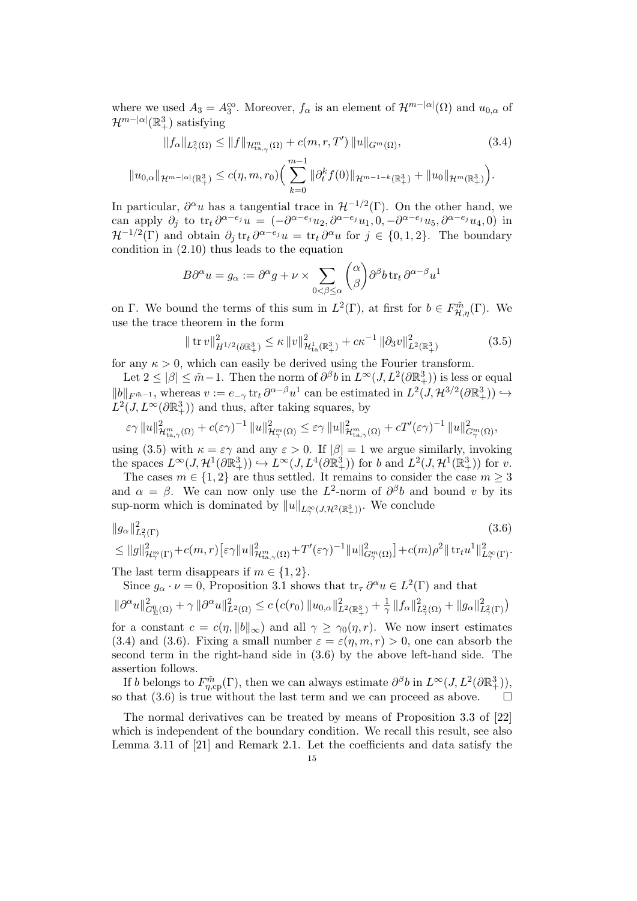where we used  $A_3 = A_3^{\text{co}}$ . Moreover,  $f_\alpha$  is an element of  $\mathcal{H}^{m-|\alpha|}(\Omega)$  and  $u_{0,\alpha}$  of  $\mathcal{H}^{m-|\alpha|}(\mathbb{R}^3_+)$  satisfying

$$
||f_{\alpha}||_{L_{\gamma}^{2}(\Omega)} \leq ||f||_{\mathcal{H}_{\tan_{\gamma}}^{m}(\Omega)} + c(m, r, T') ||u||_{G^{m}(\Omega)},
$$
\n
$$
||u_{0,\alpha}||_{\mathcal{H}^{m-|\alpha|}(\mathbb{R}^{3}_{+})} \leq c(\eta, m, r_{0}) \Big( \sum_{k=0}^{m-1} ||\partial_{t}^{k} f(0)||_{\mathcal{H}^{m-1-k}(\mathbb{R}^{3}_{+})} + ||u_{0}||_{\mathcal{H}^{m}(\mathbb{R}^{3}_{+})} \Big).
$$
\n(3.4)

In particular,  $\partial^{\alpha} u$  has a tangential trace in  $\mathcal{H}^{-1/2}(\Gamma)$ . On the other hand, we can apply  $\partial_j$  to  $\mathrm{tr}_t \, \partial^{\alpha - e_j} u = \left( -\partial^{\alpha - e_j} u_2, \partial^{\alpha - e_j} u_1, 0, -\partial^{\alpha - e_j} u_5, \partial^{\alpha - e_j} u_4, 0 \right)$  in  $\mathcal{H}^{-1/2}(\Gamma)$  and obtain  $\partial_j \text{tr}_t \, \partial^{\alpha-e_j} u = \text{tr}_t \, \partial^\alpha u$  for  $j \in \{0,1,2\}$ . The boundary condition in (2.10) thus leads to the equation

$$
B\partial^{\alpha} u = g_{\alpha} := \partial^{\alpha} g + \nu \times \sum_{0 < \beta \le \alpha} {\alpha \choose \beta} \partial^{\beta} b \operatorname{tr}_{t} \partial^{\alpha - \beta} u^{1}
$$

on Γ. We bound the terms of this sum in  $L^2(\Gamma)$ , at first for  $b \in F_{\mathcal{H},\eta}^{\tilde{m}}(\Gamma)$ . We use the trace theorem in the form

$$
\|\operatorname{tr} v\|_{H^{1/2}(\partial \mathbb{R}^3_+)}^2 \le \kappa \|v\|_{\mathcal{H}^1_{\text{ta}}(\mathbb{R}^3_+)}^2 + c\kappa^{-1} \|\partial_3 v\|_{L^2(\mathbb{R}^3_+)}^2 \tag{3.5}
$$

for any  $\kappa > 0$ , which can easily be derived using the Fourier transform.

Let  $2 \le |\beta| \le \tilde{m} - 1$ . Then the norm of  $\partial^{\beta}b$  in  $L^{\infty}(J, L^{2}(\partial \mathbb{R}^{3}_{+}))$  is less or equal  $||b||_{F^{\tilde{m}-1}}$ , whereas  $v := e_{-\gamma} \operatorname{tr}_t \partial^{\alpha-\beta} u^1$  can be estimated in  $L^2(J, \mathcal{H}^{3/2}(\partial \mathbb{R}^3_+)) \hookrightarrow$  $L^2(J, L^\infty(\partial \mathbb{R}^3_+))$  and thus, after taking squares, by

$$
\varepsilon\gamma\|u\|_{\mathcal{H}^m_{\mathrm{ta},\gamma}(\Omega)}^2+c(\varepsilon\gamma)^{-1}\|u\|_{\mathcal{H}^m_\gamma(\Omega)}^2\leq\varepsilon\gamma\|u\|_{\mathcal{H}^m_{\mathrm{ta},\gamma}(\Omega)}^2+cT'(\varepsilon\gamma)^{-1}\|u\|_{G_\gamma^m(\Omega)}^2,
$$

using (3.5) with  $\kappa = \varepsilon \gamma$  and any  $\varepsilon > 0$ . If  $|\beta| = 1$  we argue similarly, invoking the spaces  $L^{\infty}(J, \mathcal{H}^1(\partial \mathbb{R}^3_+)) \hookrightarrow L^{\infty}(J, L^4(\partial \mathbb{R}^3_+))$  for b and  $L^2(J, \mathcal{H}^1(\mathbb{R}^3_+))$  for v.

The cases  $m \in \{1,2\}$  are thus settled. It remains to consider the case  $m \geq 3$ and  $\alpha = \beta$ . We can now only use the  $L^2$ -norm of  $\partial^{\beta}b$  and bound v by its sup-norm which is dominated by  $||u||_{L^{\infty}_{\gamma}(J, \mathcal{H}^2(\mathbb{R}^3_+))}$ . We conclude

$$
\|g_{\alpha}\|_{L^2_{\gamma}(\Gamma)}^2
$$
\n
$$
\leq \|g\|_{\mathcal{H}_{\gamma}^m(\Gamma)}^2 + c(m,r) \left[\varepsilon \gamma \|u\|_{\mathcal{H}_{\text{ta},\gamma}^m(\Omega)}^2 + T'(\varepsilon \gamma)^{-1} \|u\|_{G_{\gamma}^m(\Omega)}^2\right] + c(m)\rho^2 \| \operatorname{tr}_{t} u^1 \|_{L^{\infty}_{\gamma}(\Gamma)}^2.
$$
\n(3.6)

The last term disappears if  $m \in \{1, 2\}.$ 

Since  $g_{\alpha} \cdot \nu = 0$ , Proposition 3.1 shows that  $\operatorname{tr}_{\tau} \partial^{\alpha} u \in L^2(\Gamma)$  and that  $\|\partial^{\alpha}u\|_{G_{\Sigma}^0(\Omega)}^2 + \gamma \|\partial^{\alpha}u\|_{L^2(\Omega)}^2 \leq c \left(c(r_0) \|u_{0,\alpha}\|_{L^2(\mathbb{R}^3_+)}^2 + \frac{1}{\gamma}\right)$  $\frac{1}{\gamma} \|f_{\alpha}\|_{L^2_{\gamma}(\Omega)}^2 + \|g_{\alpha}\|_{L^2_{\gamma}(\Gamma)}^2$ 

for a constant  $c = c(\eta, \|b\|_{\infty})$  and all  $\gamma \geq \gamma_0(\eta, r)$ . We now insert estimates (3.4) and (3.6). Fixing a small number  $\varepsilon = \varepsilon(\eta, m, r) > 0$ , one can absorb the second term in the right-hand side in (3.6) by the above left-hand side. The assertion follows.

If b belongs to  $F_{\eta,\text{cp}}^{\tilde{m}}(\Gamma)$ , then we can always estimate  $\partial^{\beta}b$  in  $L^{\infty}(J, L^{2}(\partial \mathbb{R}^{3}_{+})),$ so that (3.6) is true without the last term and we can proceed as above.  $\square$ 

The normal derivatives can be treated by means of Proposition 3.3 of [22] which is independent of the boundary condition. We recall this result, see also Lemma 3.11 of [21] and Remark 2.1. Let the coefficients and data satisfy the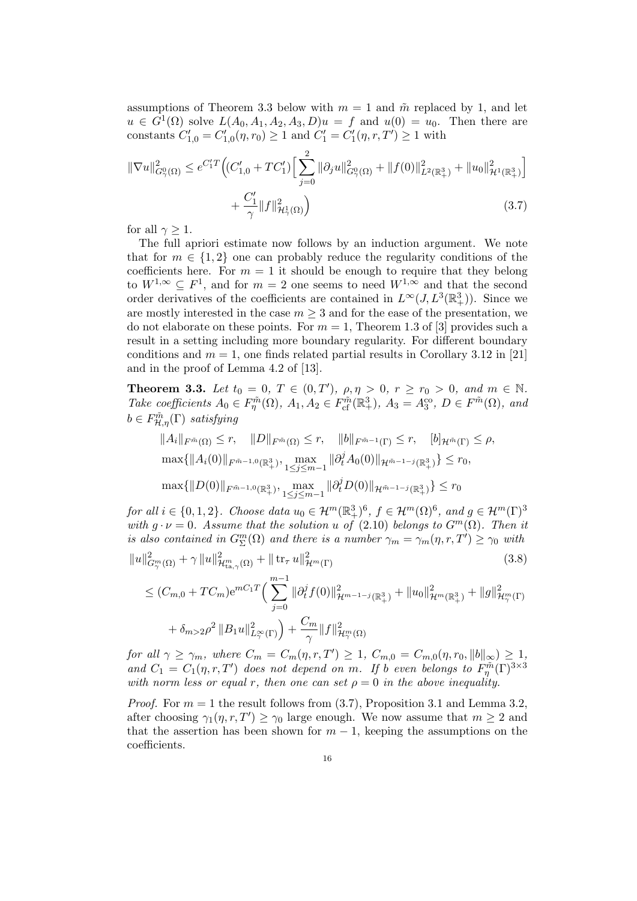assumptions of Theorem 3.3 below with  $m = 1$  and  $\tilde{m}$  replaced by 1, and let  $u \in G^1(\Omega)$  solve  $L(A_0, A_1, A_2, A_3, D)u = f$  and  $u(0) = u_0$ . Then there are constants  $C'_{1,0} = C'_{1,0}(\eta, r_0) \ge 1$  and  $C'_{1} = C'_{1}(\eta, r, T') \ge 1$  with

$$
\|\nabla u\|_{G_{\gamma}^0(\Omega)}^2 \le e^{C_1'T} \Big( (C_{1,0}'+TC_1') \Big[ \sum_{j=0}^2 \|\partial_j u\|_{G_{\gamma}^0(\Omega)}^2 + \|f(0)\|_{L^2(\mathbb{R}^3_+)}^2 + \|u_0\|_{\mathcal{H}^1(\mathbb{R}^3_+)}^2 \Big] + \frac{C_1'}{\gamma} \|f\|_{\mathcal{H}_{\gamma}^1(\Omega)}^2 \Big)
$$
(3.7)

for all  $\gamma \geq 1$ .

The full apriori estimate now follows by an induction argument. We note that for  $m \in \{1,2\}$  one can probably reduce the regularity conditions of the coefficients here. For  $m = 1$  it should be enough to require that they belong to  $W^{1,\infty} \subseteq F^1$ , and for  $m = 2$  one seems to need  $W^{1,\infty}$  and that the second order derivatives of the coefficients are contained in  $L^{\infty}(J, L^{3}(\mathbb{R}^{3}_{+}))$ . Since we are mostly interested in the case  $m \geq 3$  and for the ease of the presentation, we do not elaborate on these points. For  $m = 1$ , Theorem 1.3 of [3] provides such a result in a setting including more boundary regularity. For different boundary conditions and  $m = 1$ , one finds related partial results in Corollary 3.12 in [21] and in the proof of Lemma 4.2 of [13].

**Theorem 3.3.** Let  $t_0 = 0, T \in (0, T'), \rho, \eta > 0, r \ge r_0 > 0, \text{ and } m \in \mathbb{N}.$ Take coefficients  $A_0 \in F^{\tilde{m}}(\Omega)$ ,  $A_1, A_2 \in F^{\tilde{m}}_{cf}(\mathbb{R}^3_+)$ ,  $A_3 = A_3^{\text{co}}, D \in F^{\tilde{m}}(\Omega)$ , and  $b \in F^{\tilde{m}}_{\mathcal{H},\eta}(\Gamma)$  satisfying

$$
||A_i||_{F^{\tilde{m}}(\Omega)} \le r, \quad ||D||_{F^{\tilde{m}}(\Omega)} \le r, \quad ||b||_{F^{\tilde{m}-1}(\Gamma)} \le r, \quad [b]_{\mathcal{H}^{\tilde{m}}(\Gamma)} \le \rho,
$$
  

$$
\max\{||A_i(0)||_{F^{\tilde{m}-1,0}(\mathbb{R}^3_+), \max_{1 \le j \le m-1} ||\partial_t^j A_0(0)||_{\mathcal{H}^{\tilde{m}-1-j}(\mathbb{R}^3_+)} \} \le r_0,
$$
  

$$
\max\{||D(0)||_{F^{\tilde{m}-1,0}(\mathbb{R}^3_+)}, \max_{1 \le j \le m-1} ||\partial_t^j D(0)||_{\mathcal{H}^{\tilde{m}-1-j}(\mathbb{R}^3_+)} \} \le r_0
$$

for all  $i \in \{0,1,2\}$ . Choose data  $u_0 \in \mathcal{H}^m(\mathbb{R}^3_+)^6$ ,  $f \in \mathcal{H}^m(\Omega)^6$ , and  $g \in \mathcal{H}^m(\Gamma)^3$ with  $q \cdot \nu = 0$ . Assume that the solution u of (2.10) belongs to  $G^m(\Omega)$ . Then it is also contained in  $G^m_{\Sigma}(\Omega)$  and there is a number  $\gamma_m = \gamma_m(\eta, r, T') \ge \gamma_0$  with

$$
||u||_{G_{\gamma}^{m}(\Omega)}^{2} + \gamma ||u||_{\mathcal{H}_{\text{ta},\gamma}^{m}(\Omega)}^{2} + || \operatorname{tr}_{\tau} u||_{\mathcal{H}^{m}(\Gamma)}^{2}
$$
\n(3.8)

$$
\leq (C_{m,0} + TC_m) e^{mC_1 T} \Big( \sum_{j=0}^{m-1} \|\partial_t^j f(0)\|_{\mathcal{H}^{m-1-j}(\mathbb{R}^3_+)}^2 + \|u_0\|_{\mathcal{H}^m(\mathbb{R}^3_+)}^2 + \|g\|_{\mathcal{H}^m(\Gamma)}^2 + \delta_{m>2} \rho^2 \|B_1 u\|_{L^\infty(\Gamma)}^2 \Big) + \frac{C_m}{\gamma} \|f\|_{\mathcal{H}^m(\Omega)}^2
$$

for all  $\gamma \ge \gamma_m$ , where  $C_m = C_m(\eta, r, T') \ge 1$ ,  $C_{m,0} = C_{m,0}(\eta, r_0, ||b||_{\infty}) \ge 1$ , and  $C_1 = C_1(\eta, r, T')$  does not depend on m. If b even belongs to  $F_{\eta}^{\tilde{m}}(\Gamma)^{3 \times 3}$ with norm less or equal r, then one can set  $\rho = 0$  in the above inequality.

*Proof.* For  $m = 1$  the result follows from (3.7), Proposition 3.1 and Lemma 3.2, after choosing  $\gamma_1(\eta, r, T') \ge \gamma_0$  large enough. We now assume that  $m \ge 2$  and that the assertion has been shown for  $m-1$ , keeping the assumptions on the coefficients.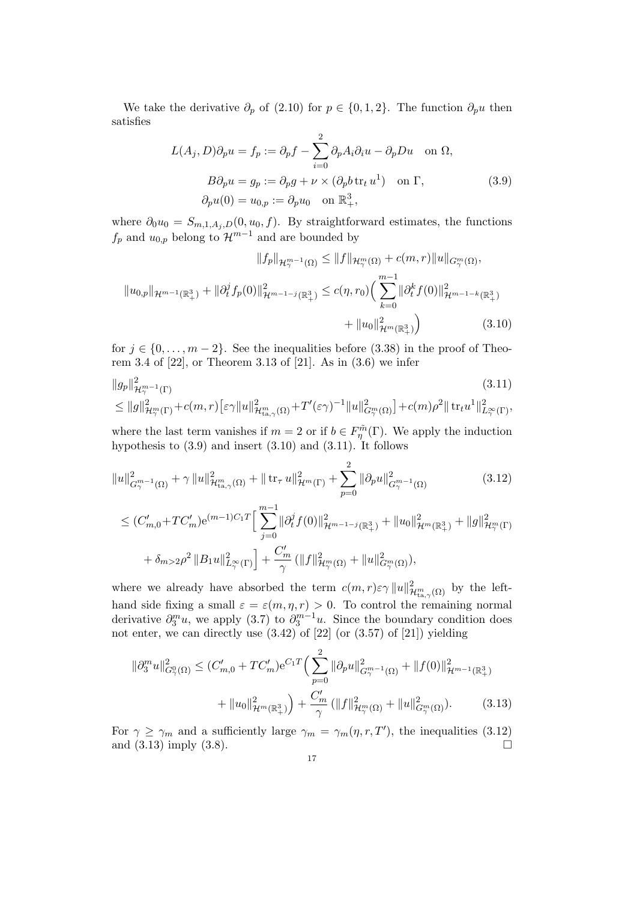We take the derivative  $\partial_p$  of (2.10) for  $p \in \{0, 1, 2\}$ . The function  $\partial_p u$  then satisfies

$$
L(A_j, D)\partial_p u = f_p := \partial_p f - \sum_{i=0}^2 \partial_p A_i \partial_i u - \partial_p Du \text{ on } \Omega,
$$
  
\n
$$
B\partial_p u = g_p := \partial_p g + \nu \times (\partial_p b \operatorname{tr}_t u^1) \text{ on } \Gamma,
$$
  
\n
$$
\partial_p u(0) = u_{0,p} := \partial_p u_0 \text{ on } \mathbb{R}^3_+,
$$
\n(3.9)

where  $\partial_0 u_0 = S_{m,1,A_j,D}(0,u_0,f)$ . By straightforward estimates, the functions  $f_p$  and  $u_{0,p}$  belong to  $\mathcal{H}^{m-1}$  and are bounded by

$$
||f_p||_{\mathcal{H}^{m-1}_{\gamma}(\Omega)} \le ||f||_{\mathcal{H}^m_{\gamma}(\Omega)} + c(m,r)||u||_{G^m_{\gamma}(\Omega)},
$$
  

$$
||u_{0,p}||_{\mathcal{H}^{m-1}(\mathbb{R}^3_+)} + ||\partial_t^j f_p(0)||^2_{\mathcal{H}^{m-1-j}(\mathbb{R}^3_+)} \le c(\eta, r_0) \Big(\sum_{k=0}^{m-1} ||\partial_t^k f(0)||^2_{\mathcal{H}^{m-1-k}(\mathbb{R}^3_+)}
$$
  

$$
+ ||u_0||^2_{\mathcal{H}^m(\mathbb{R}^3_+)}\Big) \qquad (3.10)
$$

for  $j \in \{0, \ldots, m-2\}$ . See the inequalities before (3.38) in the proof of Theorem 3.4 of [22], or Theorem 3.13 of [21]. As in (3.6) we infer

$$
\|g_p\|_{\mathcal{H}^{m-1}_{\gamma}(\Gamma)}^2
$$
\n
$$
\leq \|g\|_{\mathcal{H}^m_{\gamma}(\Gamma)}^2 + c(m,r) \left[\varepsilon \gamma \|u\|_{\mathcal{H}^m_{\text{t.a},\gamma}(\Omega)}^2 + T'(\varepsilon \gamma)^{-1} \|u\|_{G^m_{\gamma}(\Omega)}^2\right] + c(m)\rho^2 \| \operatorname{tr}_{t} u^1 \|_{L^{\infty}_{\gamma}(\Gamma)}^2,
$$
\n(3.11)

where the last term vanishes if  $m = 2$  or if  $b \in F_{\eta}^{\tilde{m}}(\Gamma)$ . We apply the induction hypothesis to  $(3.9)$  and insert  $(3.10)$  and  $(3.11)$ . It follows

$$
||u||_{G_{\gamma}^{m-1}(\Omega)}^{2} + \gamma ||u||_{\mathcal{H}_{\tan}^{m}(\Omega)}^{2} + || \operatorname{tr}_{\tau} u||_{\mathcal{H}^{m}(\Gamma)}^{2} + \sum_{p=0}^{2} ||\partial_{p} u||_{G_{\gamma}^{m-1}(\Omega)}^{2} \qquad (3.12)
$$
  

$$
\leq (C'_{m,0} + TC'_{m})e^{(m-1)C_{1}T} \Big[ \sum_{j=0}^{m-1} ||\partial_{t}^{j} f(0)||_{\mathcal{H}^{m-1-j}(\mathbb{R}^{3}_{+})}^{2} + ||u_{0}||_{\mathcal{H}^{m}(\mathbb{R}^{3}_{+})}^{2} + ||g||_{\mathcal{H}_{\gamma}^{m}(\Gamma)}^{2} + \delta_{m>2}\rho^{2} ||B_{1} u||_{L_{\gamma}^{\infty}(\Gamma)}^{2} + \frac{C'_{m}}{\gamma} (||f||_{\mathcal{H}_{\gamma}^{m}(\Omega)}^{2} + ||u||_{G_{\gamma}^{m}(\Omega)}^{2}),
$$

where we already have absorbed the term  $c(m,r)\varepsilon\gamma ||u||^2_{\mathcal{H}^m_{\text{ta},\gamma}(\Omega)}$  by the lefthand side fixing a small  $\varepsilon = \varepsilon(m, \eta, r) > 0$ . To control the remaining normal derivative  $\partial_3^m u$ , we apply (3.7) to  $\partial_3^{m-1} u$ . Since the boundary condition does not enter, we can directly use (3.42) of [22] (or (3.57) of [21]) yielding

$$
\|\partial_3^m u\|_{G_\gamma^0(\Omega)}^2 \le (C'_{m,0} + TC'_m) e^{C_1 T} \Big(\sum_{p=0}^2 \|\partial_p u\|_{G_\gamma^{m-1}(\Omega)}^2 + \|f(0)\|_{\mathcal{H}^{m-1}(\mathbb{R}^3_+)}^2 + \|u_0\|_{\mathcal{H}^m(\mathbb{R}^3_+)}^2\Big) + \frac{C'_m}{\gamma} \left(\|f\|_{\mathcal{H}_\gamma^m(\Omega)}^2 + \|u\|_{G_\gamma^m(\Omega)}^2\right). \tag{3.13}
$$

For  $\gamma \ge \gamma_m$  and a sufficiently large  $\gamma_m = \gamma_m(\eta, r, T')$ , the inequalities (3.12) and  $(3.13)$  imply  $(3.8)$ .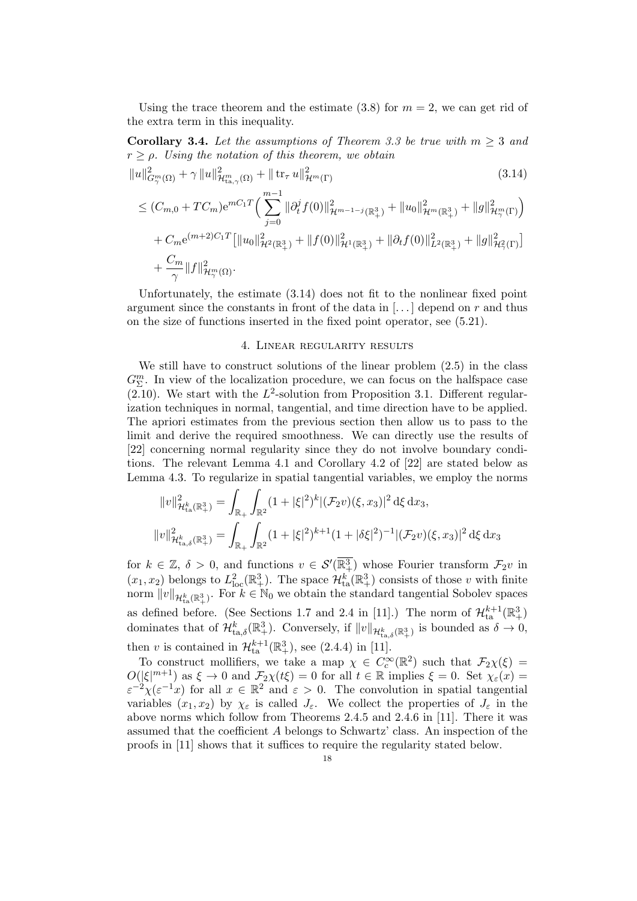Using the trace theorem and the estimate  $(3.8)$  for  $m = 2$ , we can get rid of the extra term in this inequality.

**Corollary 3.4.** Let the assumptions of Theorem 3.3 be true with  $m \geq 3$  and  $r \geq \rho$ . Using the notation of this theorem, we obtain

$$
||u||_{G_{\gamma}^{m}(\Omega)}^{2} + \gamma ||u||_{\mathcal{H}_{\text{ta},\gamma}^{m}(\Omega)}^{2} + || \operatorname{tr}_{\tau} u||_{\mathcal{H}^{m}(\Gamma)}^{2}
$$
\n
$$
\leq (C_{m,0} + TC_{m})e^{mC_{1}T} \Big( \sum_{j=0}^{m-1} ||\partial_{t}^{j} f(0)||_{\mathcal{H}^{m-1-j}(\mathbb{R}^{3}_{+})}^{2} + ||u_{0}||_{\mathcal{H}^{m}(\mathbb{R}^{3}_{+})}^{2} + ||g||_{\mathcal{H}_{\gamma}^{m}(\Gamma)}^{2} \Big)
$$
\n
$$
+ C_{m}e^{(m+2)C_{1}T} \Big[ ||u_{0}||_{\mathcal{H}^{2}(\mathbb{R}^{3}_{+})}^{2} + ||f(0)||_{\mathcal{H}^{1}(\mathbb{R}^{3}_{+})}^{2} + ||\partial_{t} f(0)||_{L^{2}(\mathbb{R}^{3}_{+})}^{2} + ||g||_{\mathcal{H}_{\gamma}^{2}(\Gamma)}^{2} \Big]
$$
\n
$$
+ \frac{C_{m}}{\gamma} ||f||_{\mathcal{H}_{\gamma}^{m}(\Omega)}^{2}.
$$
\n(3.14)

Unfortunately, the estimate (3.14) does not fit to the nonlinear fixed point argument since the constants in front of the data in  $\left[\ldots\right]$  depend on r and thus on the size of functions inserted in the fixed point operator, see (5.21).

### 4. Linear regularity results

We still have to construct solutions of the linear problem (2.5) in the class  $G^m_{\Sigma}$ . In view of the localization procedure, we can focus on the halfspace case  $(2.10)$ . We start with the  $L^2$ -solution from Proposition 3.1. Different regularization techniques in normal, tangential, and time direction have to be applied. The apriori estimates from the previous section then allow us to pass to the limit and derive the required smoothness. We can directly use the results of [22] concerning normal regularity since they do not involve boundary conditions. The relevant Lemma 4.1 and Corollary 4.2 of [22] are stated below as Lemma 4.3. To regularize in spatial tangential variables, we employ the norms

$$
||v||_{\mathcal{H}_{\text{ta}}^k(\mathbb{R}^3_+)}^2 = \int_{\mathbb{R}_+} \int_{\mathbb{R}^2} (1 + |\xi|^2)^k |(\mathcal{F}_2 v)(\xi, x_3)|^2 d\xi dx_3,
$$
  

$$
||v||_{\mathcal{H}_{\text{ta},\delta}^k(\mathbb{R}^3_+)}^2 = \int_{\mathbb{R}_+} \int_{\mathbb{R}^2} (1 + |\xi|^2)^{k+1} (1 + |\delta \xi|^2)^{-1} |(\mathcal{F}_2 v)(\xi, x_3)|^2 d\xi dx_3
$$

for  $k \in \mathbb{Z}$ ,  $\delta > 0$ , and functions  $v \in \mathcal{S}'(\overline{\mathbb{R}^3_+})$  whose Fourier transform  $\mathcal{F}_2v$  in  $(x_1, x_2)$  belongs to  $L^2_{\text{loc}}(\mathbb{R}^3_+)$ . The space  $\mathcal{H}^k_{\text{ta}}(\mathbb{R}^3_+)$  consists of those v with finite norm  $||v||_{\mathcal{H}_{\text{ta}}^k(\mathbb{R}^3_+)}$ . For  $k \in \mathbb{N}_0$  we obtain the standard tangential Sobolev spaces as defined before. (See Sections 1.7 and 2.4 in [11].) The norm of  $\mathcal{H}_{\text{ta}}^{k+1}(\mathbb{R}^3_+)$ dominates that of  $\mathcal{H}_{\text{ta},\delta}^k(\mathbb{R}^3_+)$ . Conversely, if  $||v||_{\mathcal{H}_{\text{ta},\delta}^k(\mathbb{R}^3_+)}$  is bounded as  $\delta \to 0$ , then *v* is contained in  $\mathcal{H}_{\text{ta}}^{k+1}(\mathbb{R}^3_+)$ , see (2.4.4) in [11].

To construct mollifiers, we take a map  $\chi \in C_c^{\infty}(\mathbb{R}^2)$  such that  $\mathcal{F}_2\chi(\xi) =$  $O(|\xi|^{m+1})$  as  $\xi \to 0$  and  $\mathcal{F}_2\chi(t\xi) = 0$  for all  $t \in \mathbb{R}$  implies  $\xi = 0$ . Set  $\chi_{\varepsilon}(x) =$  $\varepsilon^{-2} \chi(\varepsilon^{-1} x)$  for all  $x \in \mathbb{R}^2$  and  $\varepsilon > 0$ . The convolution in spatial tangential variables  $(x_1, x_2)$  by  $\chi_{\varepsilon}$  is called  $J_{\varepsilon}$ . We collect the properties of  $J_{\varepsilon}$  in the above norms which follow from Theorems 2.4.5 and 2.4.6 in [11]. There it was assumed that the coefficient A belongs to Schwartz' class. An inspection of the proofs in [11] shows that it suffices to require the regularity stated below.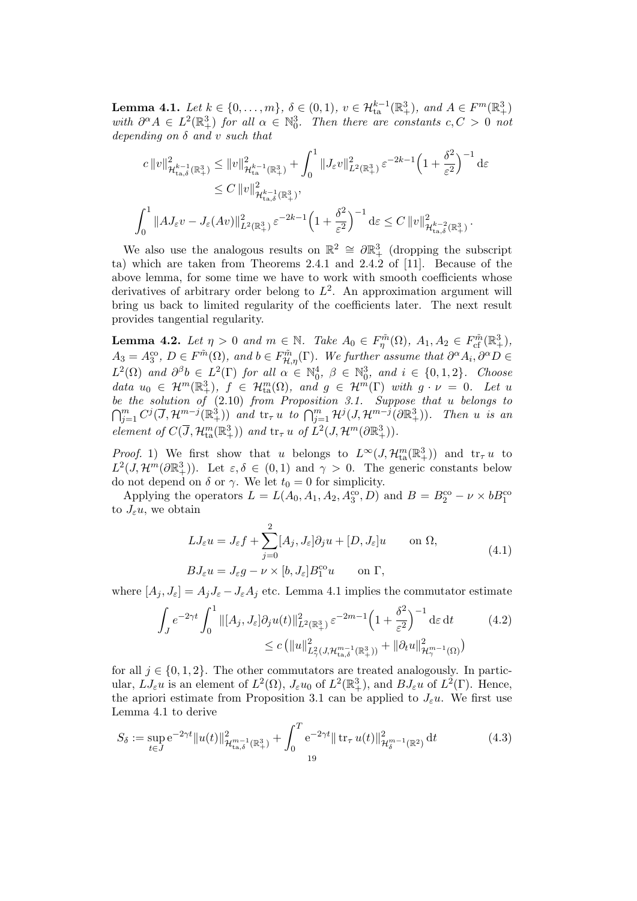**Lemma 4.1.** Let  $k \in \{0, ..., m\}$ ,  $\delta \in (0, 1)$ ,  $v \in \mathcal{H}_{ta}^{k-1}(\mathbb{R}^3_+)$ , and  $A \in F^m(\mathbb{R}^3_+)$ with  $\partial^{\alpha} A \in L^2(\mathbb{R}^3_+)$  for all  $\alpha \in \mathbb{N}_0^3$ . Then there are constants  $c, C > 0$  not depending on  $\delta$  and  $v$  such that

$$
c\|v\|_{\mathcal{H}_{\text{ta},\delta}^{k-1}(\mathbb{R}^3_{+})}^2 \le \|v\|_{\mathcal{H}_{\text{ta}}^{k-1}(\mathbb{R}^3_{+})}^2 + \int_0^1 \|J_{\varepsilon}v\|_{L^2(\mathbb{R}^3_{+})}^2 \varepsilon^{-2k-1} \left(1 + \frac{\delta^2}{\varepsilon^2}\right)^{-1} \mathrm{d}\varepsilon
$$
  

$$
\le C\|v\|_{\mathcal{H}_{\text{ta},\delta}^{k-1}(\mathbb{R}^3_{+})}^2,
$$
  

$$
\int_0^1 \|AJ_{\varepsilon}v - J_{\varepsilon}(Av)\|_{L^2(\mathbb{R}^3_{+})}^2 \varepsilon^{-2k-1} \left(1 + \frac{\delta^2}{\varepsilon^2}\right)^{-1} \mathrm{d}\varepsilon \le C\|v\|_{\mathcal{H}_{\text{ta},\delta}^{k-2}(\mathbb{R}^3_{+})}^2.
$$

We also use the analogous results on  $\mathbb{R}^2 \cong \partial \mathbb{R}^3_+$  (dropping the subscript ta) which are taken from Theorems 2.4.1 and 2.4.2 of [11]. Because of the above lemma, for some time we have to work with smooth coefficients whose derivatives of arbitrary order belong to  $L^2$ . An approximation argument will bring us back to limited regularity of the coefficients later. The next result provides tangential regularity.

**Lemma 4.2.** Let  $\eta > 0$  and  $m \in \mathbb{N}$ . Take  $A_0 \in F_{\eta}^{\tilde{m}}(\Omega)$ ,  $A_1, A_2 \in F_{cf}^{\tilde{m}}(\mathbb{R}^3_+)$ ,  $A_3 = A_3^{\text{co}}, D \in F^{\tilde{m}}(\Omega)$ , and  $b \in F^{\tilde{m}}_{\mathcal{H},\eta}(\Gamma)$ . We further assume that  $\partial^{\alpha} A_i, \partial^{\alpha} D \in$  $L^2(\Omega)$  and  $\partial^{\beta}b \in L^2(\Gamma)$  for all  $\alpha \in \mathbb{N}_0^4$ ,  $\beta \in \mathbb{N}_0^3$ , and  $i \in \{0,1,2\}$ . Choose data  $u_0 \in \mathcal{H}^m(\mathbb{R}^3_+), \ f \in \mathcal{H}^m_{\text{ta}}(\Omega)$ , and  $g \in \mathcal{H}^m(\Gamma)$  with  $g \cdot \nu = 0$ . Let u be the solution of (2.10) from Proposition 3.1. Suppose that u belongs to  $\bigcap_{j=1}^m C^j(\overline{J}, \mathcal{H}^{m-j}(\mathbb{R}^3_+))$  and  $\mathrm{tr}_{\tau} u$  to  $\bigcap_{j=1}^m \mathcal{H}^j(J, \mathcal{H}^{m-j}(\partial \mathbb{R}^3_+))$ . Then u is an element of  $C(\overline{J}, \mathcal{H}_{\text{ta}}^m(\mathbb{R}^3_+))$  and  $\text{tr}_{\tau} u$  of  $L^2(J, \mathcal{H}^m(\partial \mathbb{R}^3_+)).$ 

*Proof.* 1) We first show that u belongs to  $L^{\infty}(J, \mathcal{H}_{\text{ta}}^m(\mathbb{R}^3_+))$  and  $\text{tr}_{\tau} u$  to  $L^2(J, \mathcal{H}^m(\partial \mathbb{R}^3_+)).$  Let  $\varepsilon, \delta \in (0,1)$  and  $\gamma > 0$ . The generic constants below do not depend on  $\delta$  or  $\gamma$ . We let  $t_0 = 0$  for simplicity.

Applying the operators  $L = L(A_0, A_1, A_2, A_3^{\text{co}}, D)$  and  $B = B_2^{\text{co}} - \nu \times bB_1^{\text{co}}$ to  $J_{\varepsilon}u$ , we obtain

$$
LJ_{\varepsilon}u = J_{\varepsilon}f + \sum_{j=0}^{2} [A_j, J_{\varepsilon}]\partial_j u + [D, J_{\varepsilon}]u \quad \text{on } \Omega,
$$
  
\n
$$
BJ_{\varepsilon}u = J_{\varepsilon}g - \nu \times [b, J_{\varepsilon}]B_1^{co}u \quad \text{on } \Gamma,
$$
\n(4.1)

where  $[A_j, J_{\varepsilon}] = A_j J_{\varepsilon} - J_{\varepsilon} A_j$  etc. Lemma 4.1 implies the commutator estimate

$$
\int_{J} e^{-2\gamma t} \int_{0}^{1} \| [A_{j}, J_{\varepsilon}] \partial_{j} u(t) \|_{L^{2}(\mathbb{R}^{3}_{+})}^{2} \varepsilon^{-2m-1} \left( 1 + \frac{\delta^{2}}{\varepsilon^{2}} \right)^{-1} \mathrm{d}\varepsilon \, \mathrm{d}t \qquad (4.2)
$$
  

$$
\leq c \left( \| u \|_{L^{2}_{\gamma}(J, \mathcal{H}_{\text{ta}, \delta}^{m-1}(\mathbb{R}^{3}_{+}))}^{2} + \| \partial_{t} u \|_{\mathcal{H}_{\gamma}^{m-1}(\Omega)}^{2} \right)
$$

for all  $j \in \{0, 1, 2\}$ . The other commutators are treated analogously. In particular,  $LJ_{\varepsilon}u$  is an element of  $L^2(\Omega)$ ,  $J_{\varepsilon}u_0$  of  $L^2(\mathbb{R}^3_+)$ , and  $BJ_{\varepsilon}u$  of  $L^2(\Gamma)$ . Hence, the apriori estimate from Proposition 3.1 can be applied to  $J_{\varepsilon}u$ . We first use Lemma 4.1 to derive

$$
S_{\delta} := \sup_{t \in J} e^{-2\gamma t} ||u(t)||_{\mathcal{H}_{\text{ta},\delta}^{m-1}(\mathbb{R}^3_+)}^2 + \int_0^T e^{-2\gamma t} ||\operatorname{tr}_{\tau} u(t)||_{\mathcal{H}_{\delta}^{m-1}(\mathbb{R}^2)}^2 dt \tag{4.3}
$$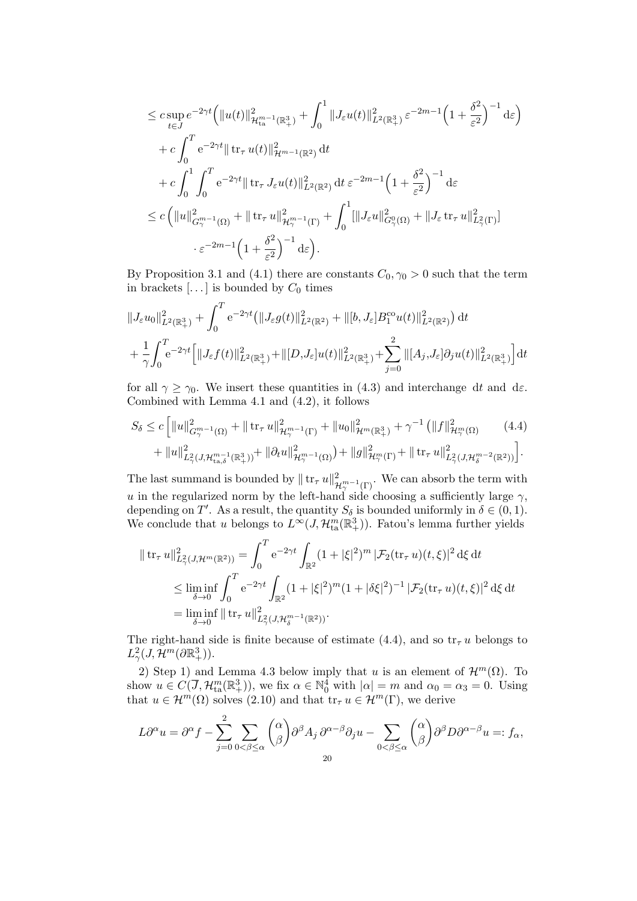$$
\leq c \sup_{t \in J} e^{-2\gamma t} \Big( \|u(t)\|_{\mathcal{H}_{\text{ta}}^{m-1}(\mathbb{R}^3_+)}^2 + \int_0^1 \|J_{\varepsilon}u(t)\|_{L^2(\mathbb{R}^3_+)}^2 \, {\varepsilon}^{-2m-1} \Big( 1 + \frac{\delta^2}{\varepsilon^2} \Big)^{-1} \, \mathrm{d}\varepsilon \Big) \n+ c \int_0^T e^{-2\gamma t} \| \operatorname{tr}_{\tau} u(t)\|_{\mathcal{H}^{m-1}(\mathbb{R}^2)}^2 \, \mathrm{d}t \n+ c \int_0^1 \int_0^T e^{-2\gamma t} \| \operatorname{tr}_{\tau} J_{\varepsilon}u(t)\|_{L^2(\mathbb{R}^2)}^2 \, \mathrm{d}t \, {\varepsilon}^{-2m-1} \Big( 1 + \frac{\delta^2}{\varepsilon^2} \Big)^{-1} \, \mathrm{d}\varepsilon \n\leq c \left( \|u\|_{G_{\gamma}^{m-1}(\Omega)}^2 + \| \operatorname{tr}_{\tau} u\|_{\mathcal{H}_{\gamma}^{m-1}(\Gamma)}^2 + \int_0^1 [||J_{\varepsilon} u||_{G_{\gamma}^0(\Omega)}^2 + ||J_{\varepsilon} \operatorname{tr}_{\tau} u||_{L_{\gamma}^2(\Gamma)}^2 \Big) \right. \n\cdot {\varepsilon}^{-2m-1} \Big( 1 + \frac{\delta^2}{\varepsilon^2} \Big)^{-1} \, \mathrm{d}\varepsilon \Big).
$$

By Proposition 3.1 and (4.1) there are constants  $C_0$ ,  $\gamma_0 > 0$  such that the term in brackets  $[...]$  is bounded by  $C_0$  times

$$
\begin{split} & \|J_{\varepsilon}u_{0}\|^{2}_{L^{2}(\mathbb{R}^{3}_{+})}+\int_{0}^{T}e^{-2\gamma t}\big(\|J_{\varepsilon}g(t)\|^{2}_{L^{2}(\mathbb{R}^{2})}+\|[b,J_{\varepsilon}]B_{1}^{\text{co}}u(t)\|^{2}_{L^{2}(\mathbb{R}^{2})}\big)\,\mathrm{d}t \\ & +\frac{1}{\gamma}\!\int_{0}^{T}\!\!e^{-2\gamma t}\Big[\|J_{\varepsilon}f(t)\|^{2}_{L^{2}(\mathbb{R}^{3}_{+})}+\|[D,J_{\varepsilon}]u(t)\|^{2}_{L^{2}(\mathbb{R}^{3}_{+})}+\sum_{j=0}^{2}\|[A_{j},J_{\varepsilon}]\partial_{j}u(t)\|^{2}_{L^{2}(\mathbb{R}^{3}_{+})}\Big]\mathrm{d}t \end{split}
$$

for all  $\gamma \geq \gamma_0$ . We insert these quantities in (4.3) and interchange dt and de. Combined with Lemma 4.1 and (4.2), it follows

$$
S_{\delta} \leq c \left[ \|u\|_{G_{\gamma}^{m-1}(\Omega)}^{2} + \|\operatorname{tr}_{\tau} u\|_{\mathcal{H}_{\gamma}^{m-1}(\Gamma)}^{2} + \|u_{0}\|_{\mathcal{H}^{m}(\mathbb{R}^{3}_{+})}^{2} + \gamma^{-1} \left( \|f\|_{\mathcal{H}_{\gamma}^{m}(\Omega)}^{2} \right) \right] + \|u\|_{L_{\gamma}^{2}(J, \mathcal{H}_{\tan,\delta}^{m-1}(\mathbb{R}^{3}_{+}))}^{2} + \|\partial_{t} u\|_{\mathcal{H}_{\gamma}^{m-1}(\Omega)}^{2} + \|g\|_{\mathcal{H}_{\gamma}^{m}(\Gamma)}^{2} + \|\operatorname{tr}_{\tau} u\|_{L_{\gamma}^{2}(J, \mathcal{H}_{\delta}^{m-2}(\mathbb{R}^{2}))}^{2} \right].
$$

The last summand is bounded by  $|| \text{ tr}_{\tau} u ||_{\mathcal{H}^{m-1}_{\gamma}(\Gamma)}^2$ . We can absorb the term with u in the regularized norm by the left-hand side choosing a sufficiently large  $\gamma$ , depending on T'. As a result, the quantity  $S_{\delta}$  is bounded uniformly in  $\delta \in (0,1)$ . We conclude that u belongs to  $L^{\infty}(J, \mathcal{H}_{\text{ta}}^{m}(\mathbb{R}^{3}_{+}))$ . Fatou's lemma further yields

$$
\|\operatorname{tr}_{\tau} u\|_{L^2(\mathcal{J}, \mathcal{H}^m(\mathbb{R}^2))}^2 = \int_0^T e^{-2\gamma t} \int_{\mathbb{R}^2} (1 + |\xi|^2)^m |\mathcal{F}_2(\operatorname{tr}_{\tau} u)(t, \xi)|^2 d\xi dt
$$
  
\$\leq \liminf\_{\delta \to 0} \int\_0^T e^{-2\gamma t} \int\_{\mathbb{R}^2} (1 + |\xi|^2)^m (1 + |\delta \xi|^2)^{-1} |\mathcal{F}\_2(\operatorname{tr}\_{\tau} u)(t, \xi)|^2 d\xi dt\$  
= \liminf\_{\delta \to 0} \|\operatorname{tr}\_{\tau} u\|\_{L^2\_{\gamma}(\mathcal{J}, \mathcal{H}\_{\delta}^{m-1}(\mathbb{R}^2))}^2.

The right-hand side is finite because of estimate (4.4), and so  $tr_\tau u$  belongs to  $L^2_\gamma(J,\mathcal{H}^m(\partial\mathbb{R}^3_+)).$ 

2) Step 1) and Lemma 4.3 below imply that u is an element of  $\mathcal{H}^m(\Omega)$ . To show  $u \in C(\overline{J}, \mathcal{H}_{\text{ta}}^m(\mathbb{R}^3_+))$ , we fix  $\alpha \in \mathbb{N}_0^4$  with  $|\alpha| = m$  and  $\alpha_0 = \alpha_3 = 0$ . Using that  $u \in \mathcal{H}^m(\Omega)$  solves  $(2.10)$  and that  $\text{tr}_{\tau} u \in \mathcal{H}^m(\Gamma)$ , we derive

$$
L\partial^{\alpha} u = \partial^{\alpha} f - \sum_{j=0}^{2} \sum_{0 < \beta \leq \alpha} \binom{\alpha}{\beta} \partial^{\beta} A_j \, \partial^{\alpha-\beta} \partial_j u - \sum_{0 < \beta \leq \alpha} \binom{\alpha}{\beta} \partial^{\beta} D \partial^{\alpha-\beta} u =: f_{\alpha},
$$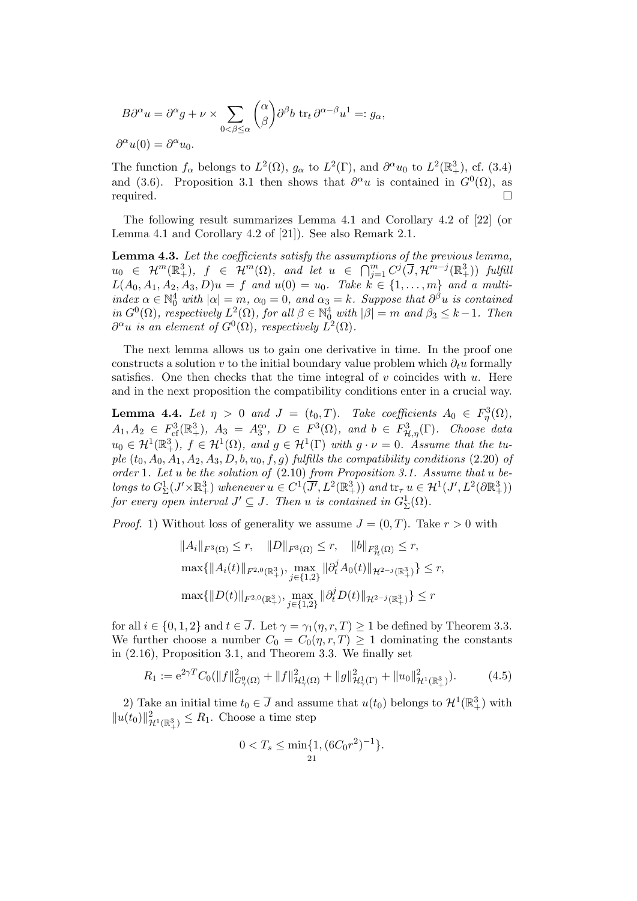$$
B\partial^{\alpha} u = \partial^{\alpha} g + \nu \times \sum_{0 < \beta \leq \alpha} \binom{\alpha}{\beta} \partial^{\beta} b \operatorname{tr}_{t} \partial^{\alpha - \beta} u^{1} =: g_{\alpha},
$$
  

$$
\partial^{\alpha} u(0) = \partial^{\alpha} u_{0}.
$$

The function  $f_{\alpha}$  belongs to  $L^2(\Omega)$ ,  $g_{\alpha}$  to  $L^2(\Gamma)$ , and  $\partial^{\alpha}u_0$  to  $L^2(\mathbb{R}^3_+)$ , cf. (3.4) and (3.6). Proposition 3.1 then shows that  $\partial^{\alpha}u$  is contained in  $G^{0}(\Omega)$ , as required.

The following result summarizes Lemma 4.1 and Corollary 4.2 of [22] (or Lemma 4.1 and Corollary 4.2 of [21]). See also Remark 2.1.

Lemma 4.3. Let the coefficients satisfy the assumptions of the previous lemma,  $u_0 \in \mathcal{H}^m(\mathbb{R}^3_+), \ \ f \ \in \ \mathcal{H}^m(\Omega), \ \ and \ \ let \ \ u \ \ \in \ \ \bigcap_{j=1}^m C^j(\overline{J}, \mathcal{H}^{m-j}(\mathbb{R}^3_+)) \ \ full \$  $L(A_0, A_1, A_2, A_3, D)u = f$  and  $u(0) = u_0$ . Take  $k \in \{1, ..., m\}$  and a multiindex  $\alpha \in \mathbb{N}_0^4$  with  $|\alpha| = m$ ,  $\alpha_0 = 0$ , and  $\alpha_3 = k$ . Suppose that  $\partial^{\beta} u$  is contained in  $G^0(\Omega)$ , respectively  $L^2(\Omega)$ , for all  $\beta \in \mathbb{N}_0^4$  with  $|\beta| = m$  and  $\beta_3 \leq k-1$ . Then  $\partial^{\alpha}u$  is an element of  $G^0(\Omega)$ , respectively  $\tilde{L}^2(\Omega)$ .

The next lemma allows us to gain one derivative in time. In the proof one constructs a solution v to the initial boundary value problem which  $\partial_t u$  formally satisfies. One then checks that the time integral of v coincides with  $u$ . Here and in the next proposition the compatibility conditions enter in a crucial way.

**Lemma 4.4.** Let  $\eta > 0$  and  $J = (t_0, T)$ . Take coefficients  $A_0 \in F_\eta^3(\Omega)$ ,  $A_1, A_2 \in F^3_{cf}(\mathbb{R}^3_+), A_3 = A_3^{co}, D \in F^3(\Omega), \text{ and } b \in F^3_{\mathcal{H},\eta}(\Gamma).$  Choose data  $u_0 \in \mathcal{H}^1(\mathbb{R}^3_+)$ ,  $f \in \mathcal{H}^1(\Omega)$ , and  $g \in \mathcal{H}^1(\Gamma)$  with  $g \cdot \nu = 0$ . Assume that the tuple  $(t_0, A_0, A_1, A_2, A_3, D, b, u_0, f, g)$  fulfills the compatibility conditions (2.20) of order 1. Let u be the solution of  $(2.10)$  from Proposition 3.1. Assume that u belongs to  $G_{\Sigma}^1(J' \times \mathbb{R}^3_+)$  whenever  $u \in C^1(\overline{J'}, L^2(\mathbb{R}^3_+))$  and  $\text{tr}_{\tau} u \in \mathcal{H}^1(J', L^2(\partial \mathbb{R}^3_+))$ for every open interval  $J' \subseteq J$ . Then u is contained in  $G_{\Sigma}^1(\Omega)$ .

*Proof.* 1) Without loss of generality we assume  $J = (0, T)$ . Take  $r > 0$  with

$$
||A_i||_{F^3(\Omega)} \le r, \quad ||D||_{F^3(\Omega)} \le r, \quad ||b||_{F^3_{\mathcal{H}}(\Omega)} \le r,
$$
  

$$
\max\{||A_i(t)||_{F^{2,0}(\mathbb{R}^3_+)}, \max_{j \in \{1,2\}} ||\partial_t^j A_0(t)||_{\mathcal{H}^{2-j}(\mathbb{R}^3_+)}\} \le r,
$$
  

$$
\max\{||D(t)||_{F^{2,0}(\mathbb{R}^3_+)}, \max_{j \in \{1,2\}} ||\partial_t^j D(t)||_{\mathcal{H}^{2-j}(\mathbb{R}^3_+)}\} \le r
$$

for all  $i \in \{0, 1, 2\}$  and  $t \in \overline{J}$ . Let  $\gamma = \gamma_1(\eta, r, T) \ge 1$  be defined by Theorem 3.3. We further choose a number  $C_0 = C_0(\eta, r, T) \geq 1$  dominating the constants in (2.16), Proposition 3.1, and Theorem 3.3. We finally set

$$
R_1 := e^{2\gamma T} C_0(||f||^2_{G^0(\Omega)} + ||f||^2_{\mathcal{H}^1_{\gamma}(\Omega)} + ||g||^2_{\mathcal{H}^1_{\gamma}(\Gamma)} + ||u_0||^2_{\mathcal{H}^1(\mathbb{R}^3_+)}).
$$
 (4.5)

2) Take an initial time  $t_0 \in \overline{J}$  and assume that  $u(t_0)$  belongs to  $\mathcal{H}^1(\mathbb{R}^3_+)$  with  $||u(t_0)||^2_{\mathcal{H}^1(\mathbb{R}^3_+)} \leq R_1$ . Choose a time step

$$
0 < T_s \le \min\{1, (6C_0r^2)^{-1}\}.
$$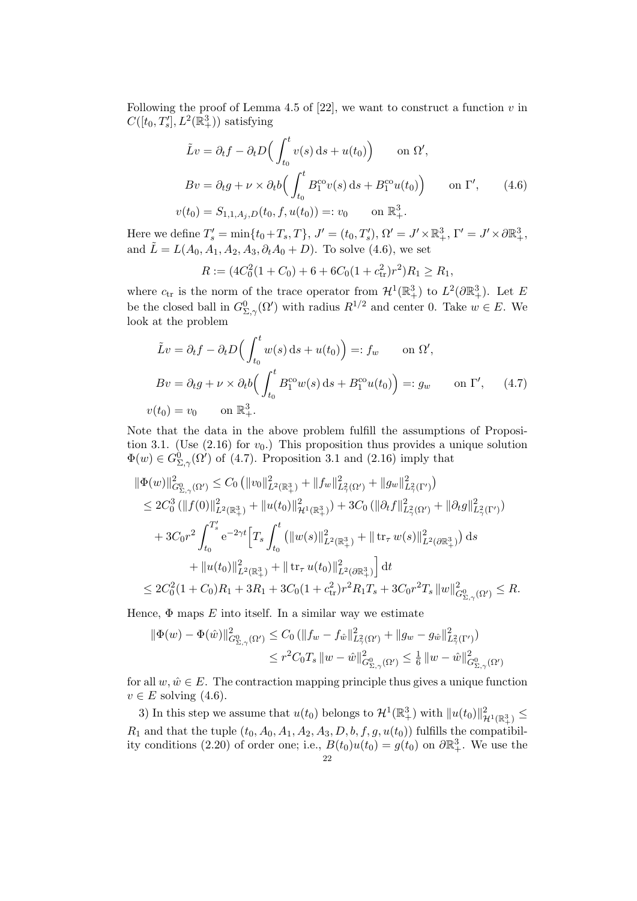Following the proof of Lemma 4.5 of [22], we want to construct a function  $v$  in  $C([t_0, T'_s], L^2(\mathbb{R}^3_+))$  satisfying

$$
\tilde{L}v = \partial_t f - \partial_t D\Big(\int_{t_0}^t v(s) ds + u(t_0)\Big) \quad \text{on } \Omega',
$$
  
\n
$$
Bv = \partial_t g + \nu \times \partial_t b\Big(\int_{t_0}^t B_1^{co} v(s) ds + B_1^{co} u(t_0)\Big) \quad \text{on } \Gamma', \qquad (4.6)
$$
  
\n
$$
v(t_0) = S_{1,1,A_j,D}(t_0, f, u(t_0)) =: v_0 \quad \text{on } \mathbb{R}^3_+.
$$

Here we define  $T_s' = \min\{t_0 + T_s, T\}$ ,  $J' = (t_0, T_s')$ ,  $\Omega' = J' \times \mathbb{R}^3_+$ ,  $\Gamma' = J' \times \partial \mathbb{R}^3_+$ , and  $\tilde{L} = L(A_0, A_1, A_2, A_3, \partial_t A_0 + D)$ . To solve (4.6), we set

$$
R := (4C_0^2(1+C_0) + 6 + 6C_0(1+c_{\text{tr}}^2)r^2)R_1 \ge R_1,
$$

where  $c_{tr}$  is the norm of the trace operator from  $\mathcal{H}^1(\mathbb{R}^3_+)$  to  $L^2(\partial \mathbb{R}^3_+)$ . Let E be the closed ball in  $G^0_{\Sigma,\gamma}(\Omega')$  with radius  $R^{1/2}$  and center 0. Take  $w \in E$ . We look at the problem

$$
\tilde{L}v = \partial_t f - \partial_t D \Big( \int_{t_0}^t w(s) \, ds + u(t_0) \Big) =: f_w \qquad \text{on } \Omega',
$$
  
\n
$$
Bv = \partial_t g + \nu \times \partial_t b \Big( \int_{t_0}^t B_1^{\text{co}} w(s) \, ds + B_1^{\text{co}} u(t_0) \Big) =: g_w \qquad \text{on } \Gamma', \qquad (4.7)
$$
  
\n
$$
v(t_0) = v_0 \qquad \text{on } \mathbb{R}^3_+.
$$

Note that the data in the above problem fulfill the assumptions of Proposition 3.1. (Use  $(2.16)$  for  $v_0$ .) This proposition thus provides a unique solution  $\Phi(w) \in G^0_{\Sigma,\gamma}(\Omega')$  of (4.7). Proposition 3.1 and (2.16) imply that

$$
\begin{split} \|\Phi(w)\|_{G_{\Sigma,\gamma}^{0}(\Omega')}^{2} &\leq C_{0} \left( \|v_{0}\|_{L^{2}(\mathbb{R}^{3}_{+})}^{2} + \|f_{w}\|_{L^{2}_{\gamma}(\Omega')}^{2} + \|g_{w}\|_{L^{2}_{\gamma}(\Gamma')}^{2} \right) \\ &\leq 2C_{0}^{3} \left( \|f(0)\|_{L^{2}(\mathbb{R}^{3}_{+})}^{2} + \|u(t_{0})\|_{\mathcal{H}^{1}(\mathbb{R}^{3}_{+})}^{2} \right) + 3C_{0} \left( \|\partial_{t}f\|_{L^{2}_{\gamma}(\Omega')}^{2} + \|\partial_{t}g\|_{L^{2}_{\gamma}(\Gamma')}^{2} \right) \\ &+ 3C_{0}r^{2} \int_{t_{0}}^{T'_{s}} e^{-2\gamma t} \Big[ T_{s} \int_{t_{0}}^{t} \left( \|w(s)\|_{L^{2}(\mathbb{R}^{3}_{+})}^{2} + \| \operatorname{tr}_{\tau} w(s)\|_{L^{2}(\partial \mathbb{R}^{3}_{+})}^{2} \right) \mathrm{d}s \\ &+ \|u(t_{0})\|_{L^{2}(\mathbb{R}^{3}_{+})}^{2} + \| \operatorname{tr}_{\tau} u(t_{0})\|_{L^{2}(\partial \mathbb{R}^{3}_{+})}^{2} \Big] \mathrm{d}t \\ &\leq 2C_{0}^{2} (1 + C_{0})R_{1} + 3R_{1} + 3C_{0} (1 + c_{\mathrm{tr}}^{2})r^{2} R_{1} T_{s} + 3C_{0}r^{2} T_{s} \left\| w\right\|_{G_{\Sigma,\gamma}^{0}(\Omega')}^{2} \leq R. \end{split}
$$

Hence,  $\Phi$  maps  $E$  into itself. In a similar way we estimate

$$
\begin{aligned} \|\Phi(w) - \Phi(\hat{w})\|_{G_{\Sigma,\gamma}^0(\Omega')}^2 &\leq C_0 \left(\|f_w - f_{\hat{w}}\|_{L_\gamma^2(\Omega')}^2 + \|g_w - g_{\hat{w}}\|_{L_\gamma^2(\Gamma')}^2\right) \\ &\leq r^2 C_0 T_s \, \|w - \hat{w}\|_{G_{\Sigma,\gamma}^0(\Omega')}^2 \leq \frac{1}{6} \, \|w - \hat{w}\|_{G_{\Sigma,\gamma}^0(\Omega')}^2 \end{aligned}
$$

for all  $w, \hat{w} \in E$ . The contraction mapping principle thus gives a unique function  $v \in E$  solving  $(4.6)$ .

3) In this step we assume that  $u(t_0)$  belongs to  $\mathcal{H}^1(\mathbb{R}^3_+)$  with  $||u(t_0)||^2_{\mathcal{H}^1(\mathbb{R}^3_+)} \leq$  $R_1$  and that the tuple  $(t_0, A_0, A_1, A_2, A_3, D, b, f, g, u(t_0))$  fulfills the compatibility conditions (2.20) of order one; i.e.,  $B(t_0)u(t_0) = g(t_0)$  on  $\partial \mathbb{R}^3_+$ . We use the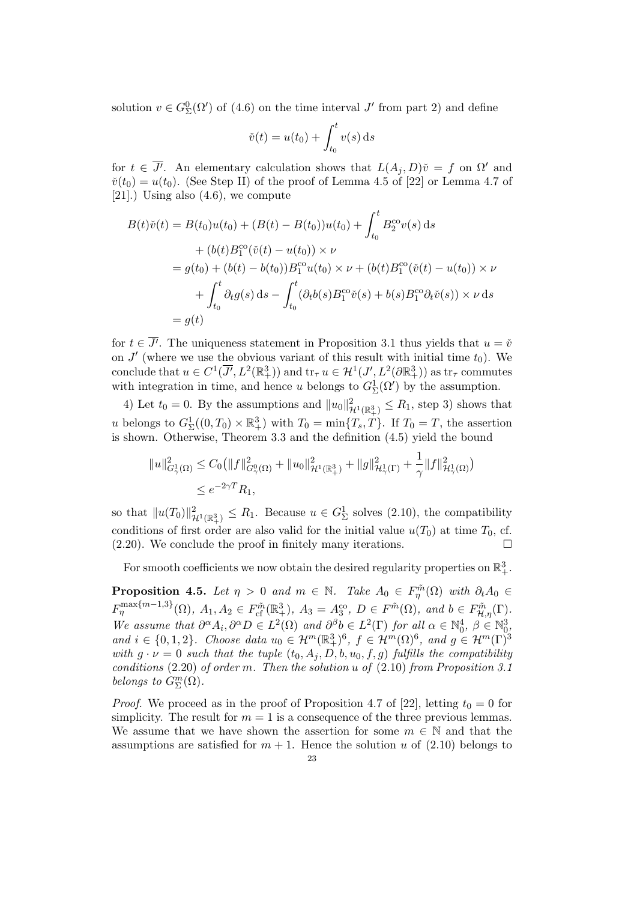solution  $v \in G_{\Sigma}^{0}(\Omega')$  of (4.6) on the time interval  $J'$  from part 2) and define

$$
\check{v}(t) = u(t_0) + \int_{t_0}^t v(s) \, \mathrm{d}s
$$

for  $t \in \overline{J'}$ . An elementary calculation shows that  $L(A_j, D)\check{\nu} = f$  on  $\Omega'$  and  $\tilde{v}(t_0) = u(t_0)$ . (See Step II) of the proof of Lemma 4.5 of [22] or Lemma 4.7 of [21].) Using also  $(4.6)$ , we compute

$$
B(t)\check{v}(t) = B(t_0)u(t_0) + (B(t) - B(t_0))u(t_0) + \int_{t_0}^t B_2^{\text{co}}v(s) ds
$$
  
+  $(b(t)B_1^{\text{co}}(\check{v}(t) - u(t_0)) \times \nu$   
=  $g(t_0) + (b(t) - b(t_0))B_1^{\text{co}}u(t_0) \times \nu + (b(t)B_1^{\text{co}}(\check{v}(t) - u(t_0)) \times \nu$   
+  $\int_{t_0}^t \partial_t g(s) ds - \int_{t_0}^t (\partial_t b(s)B_1^{\text{co}}\check{v}(s) + b(s)B_1^{\text{co}}\partial_t \check{v}(s)) \times \nu ds$   
=  $g(t)$ 

for  $t \in \overline{J'}$ . The uniqueness statement in Proposition 3.1 thus yields that  $u = \check{v}$ on  $J'$  (where we use the obvious variant of this result with initial time  $t_0$ ). We conclude that  $u \in C^1(\overline{J'}, L^2(\mathbb{R}^3_+))$  and  $\text{tr}_{\tau} u \in H^1(J', L^2(\partial \mathbb{R}^3_+))$  as  $\text{tr}_{\tau}$  commutes with integration in time, and hence u belongs to  $G_{\Sigma}^{1}(\Omega')$  by the assumption.

4) Let  $t_0 = 0$ . By the assumptions and  $||u_0||^2_{\mathcal{H}^1(\mathbb{R}^3_+)} \leq R_1$ , step 3) shows that u belongs to  $G_{\Sigma}^1((0,T_0)\times \mathbb{R}^3_+)$  with  $T_0 = \min\{T_s, T\}$ . If  $T_0 = T$ , the assertion is shown. Otherwise, Theorem 3.3 and the definition (4.5) yield the bound

$$
||u||_{G_{\gamma}^{1}(\Omega)}^{2} \leq C_{0} (||f||_{G_{\gamma}^{0}(\Omega)}^{2} + ||u_{0}||_{\mathcal{H}^{1}(\mathbb{R}_{+}^{3})}^{2} + ||g||_{\mathcal{H}_{\gamma}^{1}(\Gamma)}^{2} + \frac{1}{\gamma} ||f||_{\mathcal{H}_{\gamma}^{1}(\Omega)}^{2})
$$
  

$$
\leq e^{-2\gamma T} R_{1},
$$

so that  $||u(T_0)||^2_{\mathcal{H}^1(\mathbb{R}^3_+)} \leq R_1$ . Because  $u \in G^1_{\Sigma}$  solves (2.10), the compatibility conditions of first order are also valid for the initial value  $u(T_0)$  at time  $T_0$ , cf. (2.20). We conclude the proof in finitely many iterations.

For smooth coefficients we now obtain the desired regularity properties on  $\mathbb{R}^3_+$ .

**Proposition 4.5.** Let  $\eta > 0$  and  $m \in \mathbb{N}$ . Take  $A_0 \in F_{\eta}^{\tilde{m}}(\Omega)$  with  $\partial_t A_0 \in$  $F_{\eta}^{\max\{m-1,3\}}(\Omega), A_1, A_2 \in F_{\mathrm{cf}}^{\tilde{m}}(\mathbb{R}^3_+), A_3 = A_3^{\mathrm{co}}, D \in F^{\tilde{m}}(\Omega), \text{ and } b \in F_{\mathcal{H},\eta}^{\tilde{m}}(\Gamma).$ We assume that  $\partial^{\alpha}A_i, \partial^{\alpha}D \in L^2(\Omega)$  and  $\partial^{\beta}b \in L^2(\Gamma)$  for all  $\alpha \in \mathbb{N}_0^4$ ,  $\beta \in \mathbb{N}_0^3$ , and  $i \in \{0,1,2\}$ . Choose data  $u_0 \in \mathcal{H}^m(\mathbb{R}^3_+)^6$ ,  $f \in \mathcal{H}^m(\Omega)^6$ , and  $g \in \mathcal{H}^m(\Gamma)^3$ with  $g \cdot \nu = 0$  such that the tuple  $(t_0, A_j, D, b, u_0, f, g)$  fulfills the compatibility conditions  $(2.20)$  of order m. Then the solution u of  $(2.10)$  from Proposition 3.1 belongs to  $G^m_{\Sigma}(\Omega)$ .

*Proof.* We proceed as in the proof of Proposition 4.7 of [22], letting  $t_0 = 0$  for simplicity. The result for  $m = 1$  is a consequence of the three previous lemmas. We assume that we have shown the assertion for some  $m \in \mathbb{N}$  and that the assumptions are satisfied for  $m + 1$ . Hence the solution u of (2.10) belongs to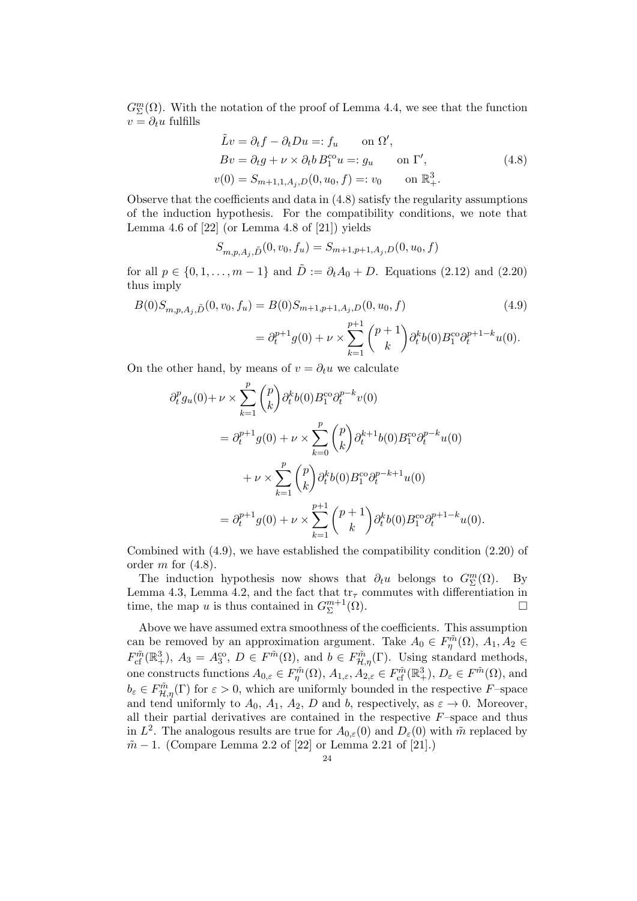$G_{\Sigma}^{m}(\Omega)$ . With the notation of the proof of Lemma 4.4, we see that the function  $v = \partial_t u$  fulfills

$$
\tilde{L}v = \partial_t f - \partial_t Du =: f_u \quad \text{on } \Omega',
$$
  
\n
$$
Bv = \partial_t g + \nu \times \partial_t b B_1^{c_0} u =: g_u \quad \text{on } \Gamma',
$$
  
\n
$$
v(0) = S_{m+1,1,A_j,D}(0, u_0, f) =: v_0 \quad \text{on } \mathbb{R}^3_+.
$$
\n(4.8)

Observe that the coefficients and data in (4.8) satisfy the regularity assumptions of the induction hypothesis. For the compatibility conditions, we note that Lemma 4.6 of  $[22]$  (or Lemma 4.8 of  $[21]$ ) yields

$$
S_{m,p,A_j,\tilde{D}}(0,v_0,f_u) = S_{m+1,p+1,A_j,D}(0,u_0,f)
$$

for all  $p \in \{0, 1, ..., m-1\}$  and  $\tilde{D} := \partial_t A_0 + D$ . Equations (2.12) and (2.20) thus imply

$$
B(0)S_{m,p,A_j,\tilde{D}}(0,v_0,f_u) = B(0)S_{m+1,p+1,A_j,D}(0,u_0,f)
$$
(4.9)  

$$
= \partial_t^{p+1} g(0) + \nu \times \sum_{k=1}^{p+1} {p+1 \choose k} \partial_t^k b(0) B_1^{co} \partial_t^{p+1-k} u(0).
$$

On the other hand, by means of  $v = \partial_t u$  we calculate

$$
\partial_t^p g_u(0) + \nu \times \sum_{k=1}^p {p \choose k} \partial_t^k b(0) B_1^{\text{co}} \partial_t^{p-k} v(0)
$$
  
=  $\partial_t^{p+1} g(0) + \nu \times \sum_{k=0}^p {p \choose k} \partial_t^{k+1} b(0) B_1^{\text{co}} \partial_t^{p-k} u(0)$   
+  $\nu \times \sum_{k=1}^p {p \choose k} \partial_t^k b(0) B_1^{\text{co}} \partial_t^{p-k+1} u(0)$   
=  $\partial_t^{p+1} g(0) + \nu \times \sum_{k=1}^{p+1} {p+1 \choose k} \partial_t^k b(0) B_1^{\text{co}} \partial_t^{p+1-k} u(0).$ 

Combined with (4.9), we have established the compatibility condition (2.20) of order  $m$  for  $(4.8)$ .

The induction hypothesis now shows that  $\partial_t u$  belongs to  $G^m_{\Sigma}(\Omega)$ . By Lemma 4.3, Lemma 4.2, and the fact that  $tr_{\tau}$  commutes with differentiation in time, the map u is thus contained in  $G_{\Sigma}^{m+1}$  $\sum_{\Sigma}^{m+1}(\Omega).$ 

Above we have assumed extra smoothness of the coefficients. This assumption can be removed by an approximation argument. Take  $A_0 \in F_{\eta}^{\tilde{m}}(\Omega)$ ,  $A_1, A_2 \in$  $F_{\rm cf}^{\tilde{m}}(\mathbb{R}^3_+), A_3 = A_3^{\rm co}, D \in F^{\tilde{m}}(\Omega), \text{ and } b \in F_{\mathcal{H},\eta}^{\tilde{m}}(\Gamma).$  Using standard methods, one constructs functions  $A_{0,\varepsilon} \in F_{\eta}^{\tilde{m}}(\Omega)$ ,  $A_{1,\varepsilon}, A_{2,\varepsilon} \in F_{\mathrm{cf}}^{\tilde{m}}(\mathbb{R}^3_+)$ ,  $D_{\varepsilon} \in F^{\tilde{m}}(\Omega)$ , and  $b_{\varepsilon} \in F_{\mathcal{H},\eta}^{\tilde{m}}(\Gamma)$  for  $\varepsilon > 0$ , which are uniformly bounded in the respective F-space and tend uniformly to  $A_0$ ,  $A_1$ ,  $A_2$ , D and b, respectively, as  $\varepsilon \to 0$ . Moreover, all their partial derivatives are contained in the respective  $F$ –space and thus in  $L^2$ . The analogous results are true for  $A_{0,\varepsilon}(0)$  and  $D_{\varepsilon}(0)$  with  $\tilde{m}$  replaced by  $m - 1$ . (Compare Lemma 2.2 of [22] or Lemma 2.21 of [21].)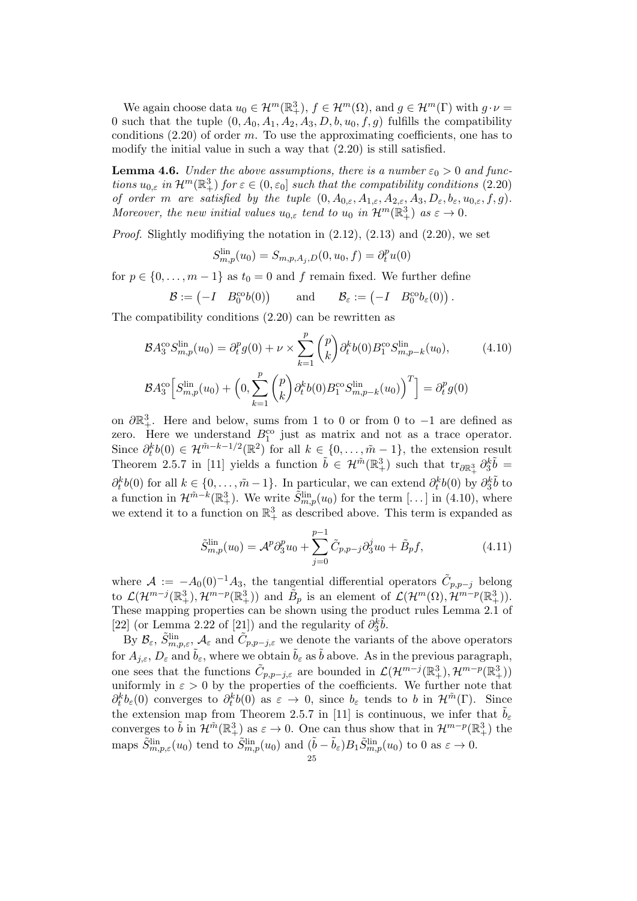We again choose data  $u_0 \in \mathcal{H}^m(\mathbb{R}^3_+), f \in \mathcal{H}^m(\Omega)$ , and  $g \in \mathcal{H}^m(\Gamma)$  with  $g \cdot \nu =$ 0 such that the tuple  $(0, A_0, A_1, A_2, A_3, D, b, u_0, f, g)$  fulfills the compatibility conditions  $(2.20)$  of order m. To use the approximating coefficients, one has to modify the initial value in such a way that (2.20) is still satisfied.

**Lemma 4.6.** Under the above assumptions, there is a number  $\varepsilon_0 > 0$  and functions  $u_{0,\varepsilon}$  in  $\mathcal{H}^m(\mathbb{R}^3_+)$  for  $\varepsilon \in (0,\varepsilon_0]$  such that the compatibility conditions  $(2.20)$ of order m are satisfied by the tuple  $(0, A_{0,\varepsilon}, A_{1,\varepsilon}, A_{2,\varepsilon}, A_3, D_{\varepsilon}, b_{\varepsilon}, u_{0,\varepsilon}, f, g)$ . Moreover, the new initial values  $u_{0,\varepsilon}$  tend to  $u_0$  in  $\mathcal{H}^m(\mathbb{R}^3_+)$  as  $\varepsilon \to 0$ .

*Proof.* Slightly modifiying the notation in  $(2.12)$ ,  $(2.13)$  and  $(2.20)$ , we set

$$
S_{m,p}^{\text{lin}}(u_0) = S_{m,p,A_j,D}(0, u_0, f) = \partial_t^p u(0)
$$

for  $p \in \{0, \ldots, m-1\}$  as  $t_0 = 0$  and f remain fixed. We further define

$$
\mathcal{B} := \begin{pmatrix} -I & B_0^{\text{co}}b(0) \end{pmatrix} \quad \text{and} \quad \mathcal{B}_{\varepsilon} := \begin{pmatrix} -I & B_0^{\text{co}}b_{\varepsilon}(0) \end{pmatrix}.
$$

The compatibility conditions (2.20) can be rewritten as

$$
\mathcal{B}A_3^{\text{co}}S_{m,p}^{\text{lin}}(u_0) = \partial_t^p g(0) + \nu \times \sum_{k=1}^p {p \choose k} \partial_t^k b(0) B_1^{\text{co}}S_{m,p-k}^{\text{lin}}(u_0), \qquad (4.10)
$$
  

$$
\mathcal{B}A_3^{\text{co}}\Big[S_{m,p}^{\text{lin}}(u_0) + \Big(0, \sum_{k=1}^p {p \choose k} \partial_t^k b(0) B_1^{\text{co}}S_{m,p-k}^{\text{lin}}(u_0) \Big)^T \Big] = \partial_t^p g(0)
$$

on  $\partial \mathbb{R}^3_+$ . Here and below, sums from 1 to 0 or from 0 to -1 are defined as zero. Here we understand  $B_1^{\text{co}}$  just as matrix and not as a trace operator. Since  $\partial_t^k b(0) \in \mathcal{H}^{\tilde{m}-k-1/2}(\mathbb{R}^2)$  for all  $k \in \{0, \ldots, \tilde{m}-1\}$ , the extension result Theorem 2.5.7 in [11] yields a function  $\tilde{b} \in \mathcal{H}^{\tilde{m}}(\mathbb{R}^3_+)$  such that  $\text{tr}_{\partial \mathbb{R}^3_+} \partial_3^k \tilde{b} =$  $\partial_t^k b(0)$  for all  $k \in \{0, \ldots, \tilde{m} - 1\}$ . In particular, we can extend  $\partial_t^k b(0)$  by  $\partial_3^k \tilde{b}$  to a function in  $\mathcal{H}^{\tilde{m}-\tilde{k}}(\mathbb{R}^3_+)$ . We write  $\tilde{S}^{\text{lin}}_{m,p}(u_0)$  for the term [...] in (4.10), where we extend it to a function on  $\mathbb{R}^3_+$  as described above. This term is expanded as

$$
\tilde{S}_{m,p}^{\text{lin}}(u_0) = \mathcal{A}^p \partial_3^p u_0 + \sum_{j=0}^{p-1} \tilde{C}_{p,p-j} \partial_3^j u_0 + \tilde{B}_p f,\tag{4.11}
$$

where  $\mathcal{A} := -A_0(0)^{-1}A_3$ , the tangential differential operators  $\tilde{C}_{p,p-j}$  belong to  $\mathcal{L}(\mathcal{H}^{m-j}(\mathbb{R}^3_+),\mathcal{H}^{m-p}(\mathbb{R}^3_+))$  and  $\tilde{B}_p$  is an element of  $\mathcal{L}(\mathcal{H}^m(\Omega),\tilde{\mathcal{H}}^{m-p}(\mathbb{R}^3_+)).$ These mapping properties can be shown using the product rules Lemma 2.1 of [22] (or Lemma 2.22 of [21]) and the regularity of  $\partial_3^k \tilde{b}$ .

By  $\mathcal{B}_{\varepsilon}$ ,  $\tilde{S}_{m,p,\varepsilon}^{\text{lin}}, \mathcal{A}_{\varepsilon}$  and  $\tilde{C}_{p,p-j,\varepsilon}$  we denote the variants of the above operators for  $A_{j,\varepsilon}$ ,  $D_{\varepsilon}$  and  $\tilde{b}_{\varepsilon}$ , where we obtain  $\tilde{b}_{\varepsilon}$  as  $\tilde{b}$  above. As in the previous paragraph, one sees that the functions  $\tilde{C}_{p,p-j,\varepsilon}$  are bounded in  $\mathcal{L}(\mathcal{H}^{m-j}(\mathbb{R}^3_+),\mathcal{H}^{m-p}(\mathbb{R}^3_+))$ uniformly in  $\varepsilon > 0$  by the properties of the coefficients. We further note that  $\partial_t^k b_\varepsilon(0)$  converges to  $\partial_t^k b(0)$  as  $\varepsilon \to 0$ , since  $b_\varepsilon$  tends to b in  $\mathcal{H}^{\tilde{m}}(\Gamma)$ . Since the extension map from Theorem 2.5.7 in [11] is continuous, we infer that  $\tilde{b}_{\varepsilon}$ converges to  $\tilde{b}$  in  $\mathcal{H}^{\tilde{m}}(\mathbb{R}^3_+)$  as  $\varepsilon \to 0$ . One can thus show that in  $\mathcal{H}^{m-p}(\mathbb{R}^3_+)$  the maps  $\tilde{S}_{m,p,\varepsilon}^{\text{lin}}(u_0)$  tend to  $\tilde{S}_{m,p}^{\text{lin}}(u_0)$  and  $(\tilde{b}-\tilde{b}_{\varepsilon})B_1\tilde{S}_{m,p}^{\text{lin}}(u_0)$  to 0 as  $\varepsilon \to 0$ .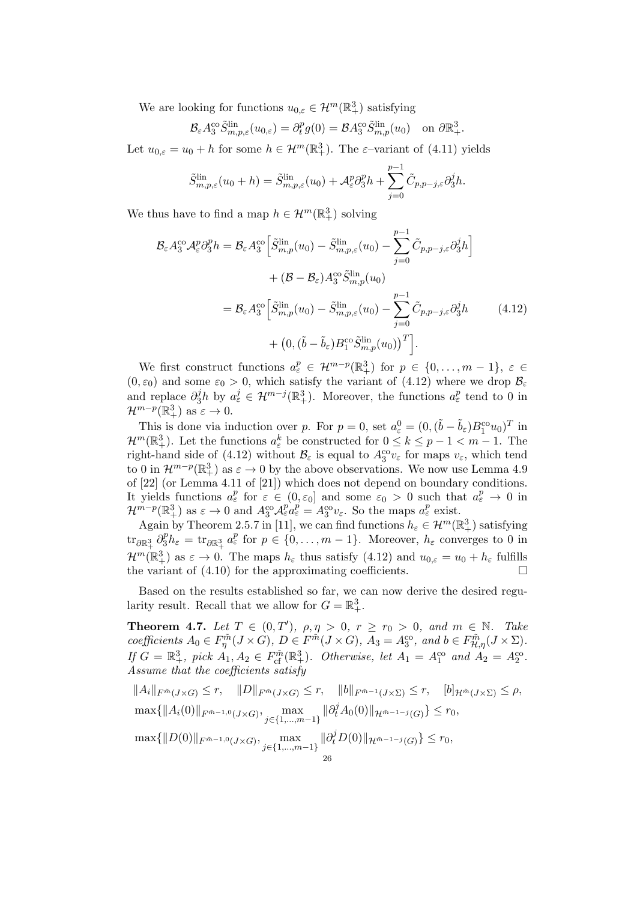We are looking for functions  $u_{0,\varepsilon} \in \mathcal{H}^m(\mathbb{R}^3_+)$  satisfying

$$
\mathcal{B}_{\varepsilon} A_3^{\rm co} \tilde{S}_{m,p,\varepsilon}^{\rm lin}(u_{0,\varepsilon}) = \partial_t^p g(0) = \mathcal{B} A_3^{\rm co} \tilde{S}_{m,p}^{\rm lin}(u_0) \quad \text{on } \partial \mathbb{R}^3_+.
$$

Let  $u_{0,\varepsilon} = u_0 + h$  for some  $h \in \mathcal{H}^m(\mathbb{R}^3_+)$ . The  $\varepsilon$ -variant of  $(4.11)$  yields

$$
\tilde{S}_{m,p,\varepsilon}^{\mathrm{lin}}(u_0+h) = \tilde{S}_{m,p,\varepsilon}^{\mathrm{lin}}(u_0) + \mathcal{A}_{\varepsilon}^p \partial_3^p h + \sum_{j=0}^{p-1} \tilde{C}_{p,p-j,\varepsilon} \partial_3^j h.
$$

We thus have to find a map  $h \in \mathcal{H}^m(\mathbb{R}^3_+)$  solving

$$
\mathcal{B}_{\varepsilon} A_3^{\rm co} \mathcal{A}_{\varepsilon}^p \partial_3^p h = \mathcal{B}_{\varepsilon} A_3^{\rm co} \Big[ \tilde{S}_{m,p}^{\rm lin}(u_0) - \tilde{S}_{m,p,\varepsilon}^{\rm lin}(u_0) - \sum_{j=0}^{p-1} \tilde{C}_{p,p-j,\varepsilon} \partial_3^j h \Big] + (\mathcal{B} - \mathcal{B}_{\varepsilon}) A_3^{\rm co} \tilde{S}_{m,p}^{\rm lin}(u_0) = \mathcal{B}_{\varepsilon} A_3^{\rm co} \Big[ \tilde{S}_{m,p}^{\rm lin}(u_0) - \tilde{S}_{m,p,\varepsilon}^{\rm lin}(u_0) - \sum_{j=0}^{p-1} \tilde{C}_{p,p-j,\varepsilon} \partial_3^j h \qquad (4.12) + \left( 0, (\tilde{b} - \tilde{b}_{\varepsilon}) B_1^{\rm co} \tilde{S}_{m,p}^{\rm lin}(u_0) \right)^T \Big].
$$

We first construct functions  $a_{\varepsilon}^p \in \mathcal{H}^{m-p}(\mathbb{R}^3_+)$  for  $p \in \{0,\ldots,m-1\}, \varepsilon \in$  $(0, \varepsilon_0)$  and some  $\varepsilon_0 > 0$ , which satisfy the variant of  $(4.12)$  where we drop  $\mathcal{B}_{\varepsilon}$ and replace  $\partial_3^j h$  by  $a_\varepsilon^j \in \mathcal{H}^{m-j}(\mathbb{R}^3_+)$ . Moreover, the functions  $a_\varepsilon^p$  tend to 0 in  $\mathcal{H}^{m-p}(\mathbb{R}^3_+)$  as  $\varepsilon \to 0$ .

This is done via induction over p. For  $p = 0$ , set  $a_{\varepsilon}^0 = (0, (\tilde{b} - \tilde{b}_{\varepsilon})B_1^{\text{co}}u_0)^T$  in  $\mathcal{H}^m(\mathbb{R}^3_+)$ . Let the functions  $a^k_\varepsilon$  be constructed for  $0 \leq k \leq p-1 < m-1$ . The right-hand side of (4.12) without  $B_{\varepsilon}$  is equal to  $A_3^{\text{co}}v_{\varepsilon}$  for maps  $v_{\varepsilon}$ , which tend to 0 in  $\mathcal{H}^{m-p}(\mathbb{R}^3_+)$  as  $\varepsilon \to 0$  by the above observations. We now use Lemma 4.9 of [22] (or Lemma 4.11 of [21]) which does not depend on boundary conditions. It yields functions  $a_{\varepsilon}^p$  for  $\varepsilon \in (0, \varepsilon_0]$  and some  $\varepsilon_0 > 0$  such that  $a_{\varepsilon}^p \to 0$  in  $\mathcal{H}^{m-p}(\mathbb{R}^3_+)$  as  $\varepsilon \to 0$  and  $A_3^{co}\mathcal{A}_{\varepsilon}^{p} = A_3^{co}\mathcal{v}_{\varepsilon}$ . So the maps  $a_{\varepsilon}^{p}$  exist.

Again by Theorem 2.5.7 in [11], we can find functions  $h_{\varepsilon} \in \mathcal{H}^m(\mathbb{R}^3_+)$  satisfying  $\text{tr}_{\partial \mathbb{R}^3_+} \partial_3^p h_{\varepsilon} = \text{tr}_{\partial \mathbb{R}^3_+} a_{\varepsilon}^p \text{ for } p \in \{0, \ldots, m-1\}.$  Moreover,  $h_{\varepsilon}$  converges to 0 in  $\mathcal{H}^m(\mathbb{R}^3_+)$  as  $\varepsilon \to 0$ . The maps  $h_{\varepsilon}$  thus satisfy  $(4.12)$  and  $u_{0,\varepsilon} = u_0 + h_{\varepsilon}$  fulfills the variant of (4.10) for the approximating coefficients.

Based on the results established so far, we can now derive the desired regularity result. Recall that we allow for  $G = \mathbb{R}^3_+$ .

**Theorem 4.7.** Let  $T \in (0,T')$ ,  $\rho, \eta > 0$ ,  $r \ge r_0 > 0$ , and  $m \in \mathbb{N}$ . Take coefficients  $A_0 \in F_{\eta}^{\tilde{m}}(J \times G), D \in F^{\tilde{m}}(J \times G), A_3 = A_3^{\text{co}}, \text{ and } b \in F_{\mathcal{H},\eta}^{\tilde{m}}(J \times \Sigma).$ If  $G = \mathbb{R}^3_+$ , pick  $A_1, A_2 \in F_{cf}^{\tilde{m}}(\mathbb{R}^3_+)$ . Otherwise, let  $A_1 = A_1^{co}$  and  $A_2 = A_2^{co}$ . Assume that the coefficients satisfy

$$
||A_i||_{F^{\tilde{m}}(J\times G)} \leq r, \quad ||D||_{F^{\tilde{m}}(J\times G)} \leq r, \quad ||b||_{F^{\tilde{m}-1}(J\times \Sigma)} \leq r, \quad [b]_{\mathcal{H}^{\tilde{m}}(J\times \Sigma)} \leq \rho,
$$
  

$$
\max\{||A_i(0)||_{F^{\tilde{m}-1,0}(J\times G)}, \max_{j\in\{1,\dots,m-1\}} ||\partial_t^j A_0(0)||_{\mathcal{H}^{\tilde{m}-1-j}(G)}\} \leq r_0,
$$
  

$$
\max\{||D(0)||_{F^{\tilde{m}-1,0}(J\times G)}, \max_{j\in\{1,\dots,m-1\}} ||\partial_t^j D(0)||_{\mathcal{H}^{\tilde{m}-1-j}(G)}\} \leq r_0,
$$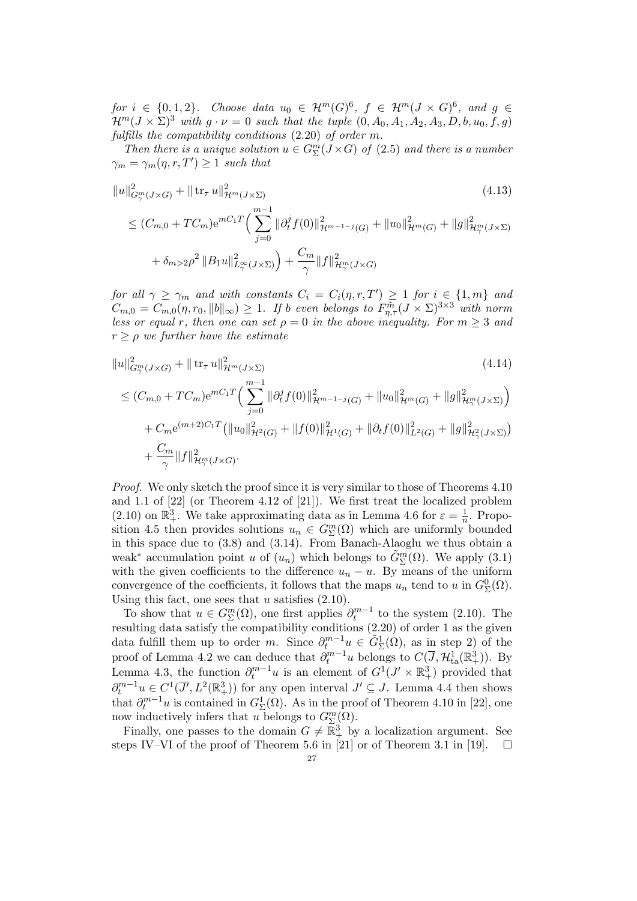for  $i \in \{0,1,2\}$ . Choose data  $u_0 \in \mathcal{H}^m(G)^6$ ,  $f \in \mathcal{H}^m(J \times G)^6$ , and  $g \in$  $\mathcal{H}^m(J \times \Sigma)^3$  with  $g \cdot \nu = 0$  such that the tuple  $(0, A_0, A_1, A_2, A_3, D, b, u_0, f, g)$ fulfills the compatibility conditions (2.20) of order m.

Then there is a unique solution  $u \in G_{\Sigma}^{m}(J \times G)$  of  $(2.5)$  and there is a number  $\gamma_m = \gamma_m(\eta, r, T') \geq 1$  such that

$$
||u||_{G_{\gamma}^{m}(J\times G)}^{2} + || \operatorname{tr}_{\tau} u||_{\mathcal{H}^{m}(J\times \Sigma)}^{2}
$$
\n
$$
\leq (C_{m,0} + TC_{m})e^{mC_{1}T} \Big(\sum_{j=0}^{m-1} ||\partial_{t}^{j} f(0)||_{\mathcal{H}^{m-1-j}(G)}^{2} + ||u_{0}||_{\mathcal{H}^{m}(G)}^{2} + ||g||_{\mathcal{H}_{\gamma}^{m}(J\times \Sigma)}^{2}
$$
\n
$$
+ \delta_{m>2}\rho^{2} ||B_{1}u||_{L_{\gamma}^{\infty}(J\times \Sigma)}^{2} + \frac{C_{m}}{\gamma} ||f||_{\mathcal{H}_{\gamma}^{m}(J\times G)}^{2}
$$
\n
$$
(4.13)
$$
\n
$$
(4.14)
$$

for all  $\gamma \geq \gamma_m$  and with constants  $C_i = C_i(\eta, r, T') \geq 1$  for  $i \in \{1, m\}$  and  $C_{m,0} = C_{m,0}(\eta,r_0, \|b\|_{\infty}) \geq 1$ . If b even belongs to  $F_{\eta,\tau}^{\tilde{m}}(J \times \Sigma)^{3 \times 3}$  with norm less or equal r, then one can set  $\rho = 0$  in the above inequality. For  $m \geq 3$  and  $r \geq \rho$  we further have the estimate

$$
||u||_{G_{\gamma}^{m}(J\times G)}^{2} + || \operatorname{tr}_{\tau} u||_{\mathcal{H}^{m}(J\times \Sigma)}^{2}
$$
\n
$$
\leq (C_{m,0} + TC_{m})e^{mC_{1}T} \Big( \sum_{j=0}^{m-1} ||\partial_{t}^{j} f(0)||_{\mathcal{H}^{m-1-j}(G)}^{2} + ||u_{0}||_{\mathcal{H}^{m}(G)}^{2} + ||g||_{\mathcal{H}_{\gamma}^{m}(J\times \Sigma)}^{2} \Big)
$$
\n
$$
+ C_{m}e^{(m+2)C_{1}T} (||u_{0}||_{\mathcal{H}^{2}(G)}^{2} + ||f(0)||_{\mathcal{H}^{1}(G)}^{2} + ||\partial_{t} f(0)||_{L^{2}(G)}^{2} + ||g||_{\mathcal{H}_{\gamma}^{2}(J\times \Sigma)}^{2})
$$
\n
$$
+ \frac{C_{m}}{\gamma} ||f||_{\mathcal{H}_{\gamma}^{m}(J\times G)}^{2}.
$$
\n
$$
(4.14)
$$
\n
$$
(4.14)
$$

Proof. We only sketch the proof since it is very similar to those of Theorems 4.10 and 1.1 of [22] (or Theorem 4.12 of [21]). We first treat the localized problem (2.10) on  $\mathbb{R}^3_+$ . We take approximating data as in Lemma 4.6 for  $\varepsilon = \frac{1}{n}$  $\frac{1}{n}$ . Proposition 4.5 then provides solutions  $u_n \in G^m_{\Sigma}(\Omega)$  which are uniformly bounded in this space due to (3.8) and (3.14). From Banach-Alaoglu we thus obtain a weak<sup>\*</sup> accumulation point u of  $(u_n)$  which belongs to  $\tilde{G}_{\Sigma}^m(\Omega)$ . We apply (3.1) with the given coefficients to the difference  $u_n - u$ . By means of the uniform convergence of the coefficients, it follows that the maps  $u_n$  tend to u in  $G_{\Sigma}^{0}(\Omega)$ . Using this fact, one sees that  $u$  satisfies  $(2.10)$ .

To show that  $u \in G_{\Sigma}^{m}(\Omega)$ , one first applies  $\partial_{t}^{m-1}$  to the system (2.10). The resulting data satisfy the compatibility conditions (2.20) of order 1 as the given data fulfill them up to order m. Since  $\partial_t^{m-1}u \in \tilde{G}_{\Sigma}^1(\Omega)$ , as in step 2) of the proof of Lemma 4.2 we can deduce that  $\partial_t^{m-1}u$  belongs to  $C(\overline{J}, \mathcal{H}^1_{\text{ta}}(\mathbb{R}^3_+))$ . By Lemma 4.3, the function  $\partial_t^{m-1}u$  is an element of  $G^1(J' \times \mathbb{R}^3_+)$  provided that  $\partial_t^{m-1} u \in C^1(\overline{J'}, L^2(\mathbb{R}^3_+))$  for any open interval  $J' \subseteq J$ . Lemma 4.4 then shows that  $\partial_t^{m-1}u$  is contained in  $G^1_{\Sigma}(\Omega)$ . As in the proof of Theorem 4.10 in [22], one now inductively infers that u belongs to  $G^m_{\Sigma}(\Omega)$ .

Finally, one passes to the domain  $G \neq \overline{\mathbb{R}}_+^3$  by a localization argument. See steps IV–VI of the proof of Theorem 5.6 in [21] or of Theorem 3.1 in [19].  $\square$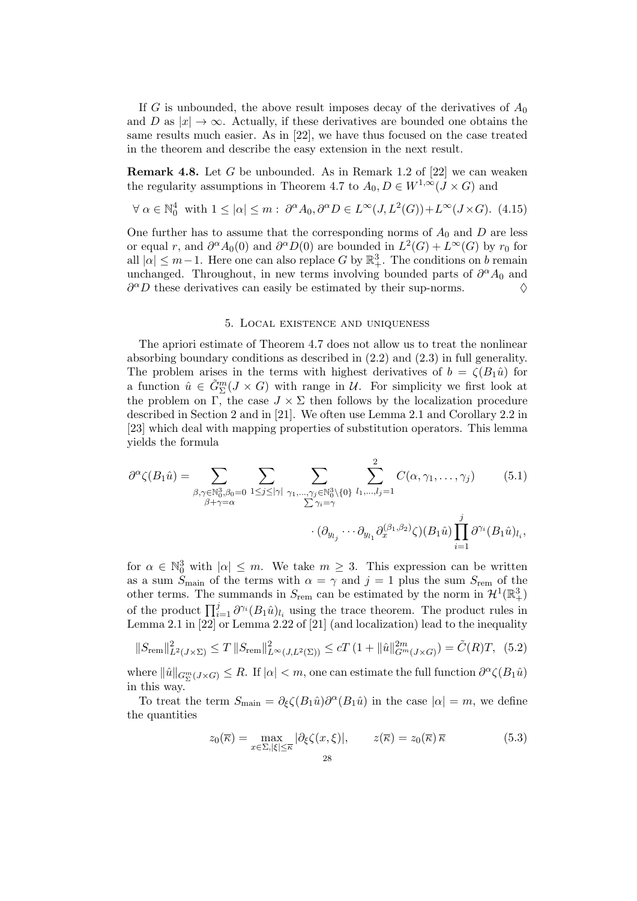If G is unbounded, the above result imposes decay of the derivatives of  $A_0$ and D as  $|x| \to \infty$ . Actually, if these derivatives are bounded one obtains the same results much easier. As in [22], we have thus focused on the case treated in the theorem and describe the easy extension in the next result.

**Remark 4.8.** Let G be unbounded. As in Remark 1.2 of  $[22]$  we can weaken the regularity assumptions in Theorem 4.7 to  $A_0$ ,  $D \in W^{1,\infty}(J \times G)$  and

$$
\forall \alpha \in \mathbb{N}_0^4 \text{ with } 1 \leq |\alpha| \leq m: \ \partial^{\alpha} A_0, \partial^{\alpha} D \in L^{\infty}(J, L^2(G)) + L^{\infty}(J \times G). \tag{4.15}
$$

One further has to assume that the corresponding norms of  $A_0$  and D are less or equal r, and  $\partial^{\alpha} A_0(0)$  and  $\partial^{\alpha} D(0)$  are bounded in  $L^2(G) + L^{\infty}(G)$  by  $r_0$  for all  $|\alpha| \leq m-1$ . Here one can also replace G by  $\mathbb{R}^3_+$ . The conditions on b remain unchanged. Throughout, in new terms involving bounded parts of  $\partial^{\alpha} A_0$  and  $\partial^{\alpha}D$  these derivatives can easily be estimated by their sup-norms.  $\diamond$ 

#### 5. Local existence and uniqueness

The apriori estimate of Theorem 4.7 does not allow us to treat the nonlinear absorbing boundary conditions as described in (2.2) and (2.3) in full generality. The problem arises in the terms with highest derivatives of  $b = \zeta(B_1\hat{u})$  for a function  $\hat{u} \in \tilde{G}_{\Sigma}^{m}(J \times G)$  with range in U. For simplicity we first look at the problem on  $\overline{\Gamma}$ , the case  $J \times \Sigma$  then follows by the localization procedure described in Section 2 and in [21]. We often use Lemma 2.1 and Corollary 2.2 in [23] which deal with mapping properties of substitution operators. This lemma yields the formula

$$
\partial^{\alpha}\zeta(B_{1}\hat{u}) = \sum_{\substack{\beta,\gamma \in \mathbb{N}_{0}^{3},\beta_{0}=0 \\ \beta+\gamma=\alpha}} \sum_{1 \leq j \leq |\gamma|} \sum_{\substack{\gamma_{1},...,\gamma_{j} \in \mathbb{N}_{0}^{3} \setminus \{0\} \\ \sum \gamma_{i}=\gamma}} \sum_{l_{1},...,l_{j}=1}^{2} C(\alpha,\gamma_{1},...,\gamma_{j}) \qquad (5.1)
$$

$$
\cdot (\partial_{y_{l_{j}}} \cdots \partial_{y_{l_{1}}} \partial_{x}^{(\beta_{1},\beta_{2})} \zeta) (B_{1}\hat{u}) \prod_{i=1}^{j} \partial^{\gamma_{i}} (B_{1}\hat{u})_{l_{i}},
$$

for  $\alpha \in \mathbb{N}_0^3$  with  $|\alpha| \leq m$ . We take  $m \geq 3$ . This expression can be written as a sum  $S_{\text{main}}$  of the terms with  $\alpha = \gamma$  and  $j = 1$  plus the sum  $S_{\text{rem}}$  of the other terms. The summands in  $S_{\text{rem}}$  can be estimated by the norm in  $\mathcal{H}^1(\mathbb{R}^3_+)$ of the product  $\prod_{i=1}^{j} \partial^{\gamma_i} (B_1 \hat{u})_{l_i}$  using the trace theorem. The product rules in Lemma 2.1 in [22] or Lemma 2.22 of [21] (and localization) lead to the inequality

$$
||S_{\text{rem}}||_{L^{2}(J\times\Sigma)}^{2} \leq T ||S_{\text{rem}}||_{L^{\infty}(J,L^{2}(\Sigma))}^{2} \leq cT (1 + ||\hat{u}||_{G^{m}(J\times G)}^{2m}) = \tilde{C}(R)T, (5.2)
$$

where  $\|\hat{u}\|_{G_{\Sigma}^m(J\times G)} \leq R$ . If  $|\alpha| < m$ , one can estimate the full function  $\partial^{\alpha}\zeta(B_1\hat{u})$ in this way.

To treat the term  $S_{\text{main}} = \partial_{\xi} \zeta(B_1 \hat{u}) \partial^{\alpha}(B_1 \hat{u})$  in the case  $|\alpha| = m$ , we define the quantities

$$
z_0(\overline{\kappa}) = \max_{x \in \Sigma, |\xi| \le \overline{\kappa}} |\partial_{\xi} \zeta(x, \xi)|, \qquad z(\overline{\kappa}) = z_0(\overline{\kappa}) \overline{\kappa}
$$
(5.3)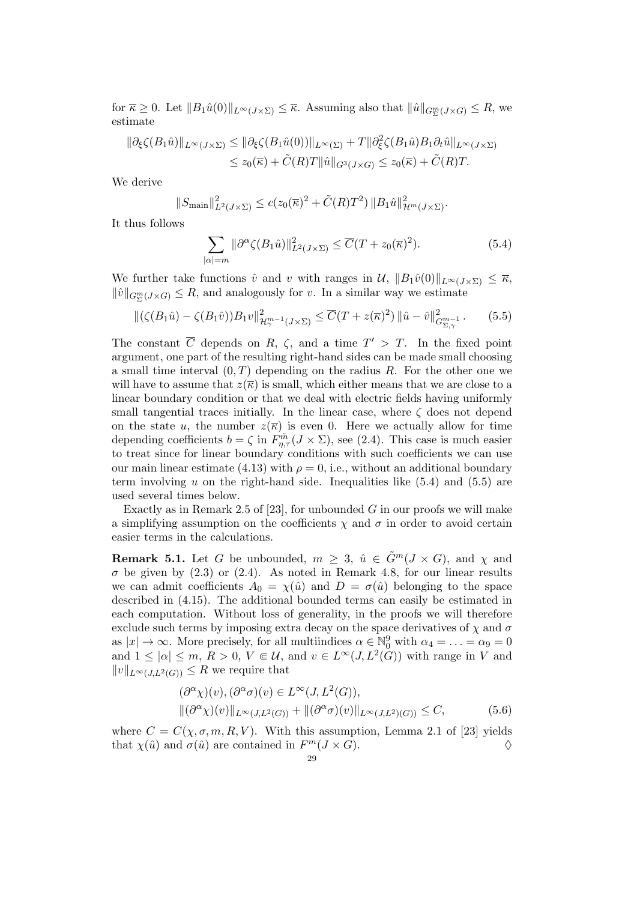for  $\overline{\kappa} \geq 0$ . Let  $||B_1\hat{u}(0)||_{L^{\infty}(J\times\Sigma)} \leq \overline{\kappa}$ . Assuming also that  $||\hat{u}||_{G^m_{\Sigma}(J\times G)} \leq R$ , we estimate

$$
\|\partial_{\xi}\zeta(B_1\hat{u})\|_{L^{\infty}(J\times\Sigma)} \le \|\partial_{\xi}\zeta(B_1\hat{u}(0))\|_{L^{\infty}(\Sigma)} + T\|\partial_{\xi}^2\zeta(B_1\hat{u})B_1\partial_t\hat{u}\|_{L^{\infty}(J\times\Sigma)}
$$
  

$$
\le z_0(\overline{\kappa}) + \tilde{C}(R)T\|\hat{u}\|_{G^3(J\times G)} \le z_0(\overline{\kappa}) + \tilde{C}(R)T.
$$

We derive

$$
||S_{\text{main}}||_{L^2(J\times \Sigma)}^2 \le c(z_0(\overline{\kappa})^2 + \tilde{C}(R)T^2) ||B_1\hat{u}||_{\mathcal{H}^m(J\times \Sigma)}^2.
$$

It thus follows

$$
\sum_{|\alpha|=m} \|\partial^{\alpha}\zeta(B_1\hat{u})\|_{L^2(J\times\Sigma)}^2 \le \overline{C}(T+z_0(\overline{\kappa})^2). \tag{5.4}
$$

We further take functions  $\hat{v}$  and v with ranges in  $\mathcal{U}, \|B_1\hat{v}(0)\|_{L^{\infty}(J\times \Sigma)} \leq \overline{\kappa},$  $\|\hat{v}\|_{G_{\Sigma}^m(J\times G)} \leq R$ , and analogously for v. In a similar way we estimate

$$
\|(\zeta(B_1\hat{u}) - \zeta(B_1\hat{v}))B_1v\|_{\mathcal{H}^{m-1}_{\gamma}(J\times \Sigma)}^2 \le \overline{C}(T + z(\overline{\kappa})^2) \|\hat{u} - \hat{v}\|_{G^{m-1}_{\Sigma,\gamma}}^2. \tag{5.5}
$$

The constant  $\overline{C}$  depends on R,  $\zeta$ , and a time  $T' > T$ . In the fixed point argument, one part of the resulting right-hand sides can be made small choosing a small time interval  $(0, T)$  depending on the radius R. For the other one we will have to assume that  $z(\overline{\kappa})$  is small, which either means that we are close to a linear boundary condition or that we deal with electric fields having uniformly small tangential traces initially. In the linear case, where  $\zeta$  does not depend on the state u, the number  $z(\overline{\kappa})$  is even 0. Here we actually allow for time depending coefficients  $b = \zeta$  in  $F_{\eta,\tau}^{\tilde{m}}(J \times \Sigma)$ , see (2.4). This case is much easier to treat since for linear boundary conditions with such coefficients we can use our main linear estimate (4.13) with  $\rho = 0$ , i.e., without an additional boundary term involving  $u$  on the right-hand side. Inequalities like  $(5.4)$  and  $(5.5)$  are used several times below.

Exactly as in Remark 2.5 of [23], for unbounded G in our proofs we will make a simplifying assumption on the coefficients  $\chi$  and  $\sigma$  in order to avoid certain easier terms in the calculations.

**Remark 5.1.** Let G be unbounded,  $m \geq 3$ ,  $\hat{u} \in \tilde{G}^m(J \times G)$ , and  $\chi$  and  $\sigma$  be given by (2.3) or (2.4). As noted in Remark 4.8, for our linear results we can admit coefficients  $A_0 = \chi(\hat{u})$  and  $D = \sigma(\hat{u})$  belonging to the space described in (4.15). The additional bounded terms can easily be estimated in each computation. Without loss of generality, in the proofs we will therefore exclude such terms by imposing extra decay on the space derivatives of  $\chi$  and  $\sigma$ as  $|x| \to \infty$ . More precisely, for all multiindices  $\alpha \in \mathbb{N}_0^9$  with  $\alpha_4 = \ldots = \alpha_9 = 0$ and  $1 \leq |\alpha| \leq m$ ,  $R > 0$ ,  $V \in \mathcal{U}$ , and  $v \in L^{\infty}(J, L^2(\tilde{G}))$  with range in V and  $||v||_{L^{\infty}(J,L^2(G))} \leq R$  we require that

$$
(\partial^{\alpha} \chi)(v), (\partial^{\alpha} \sigma)(v) \in L^{\infty}(J, L^{2}(G)),
$$
  
 
$$
\|(\partial^{\alpha} \chi)(v)\|_{L^{\infty}(J, L^{2}(G))} + \|(\partial^{\alpha} \sigma)(v)\|_{L^{\infty}(J, L^{2})(G))} \leq C,
$$
 (5.6)

where  $C = C(\chi, \sigma, m, R, V)$ . With this assumption, Lemma 2.1 of [23] yields that  $\chi(\hat{u})$  and  $\sigma(\hat{u})$  are contained in  $F^m(J \times G)$ .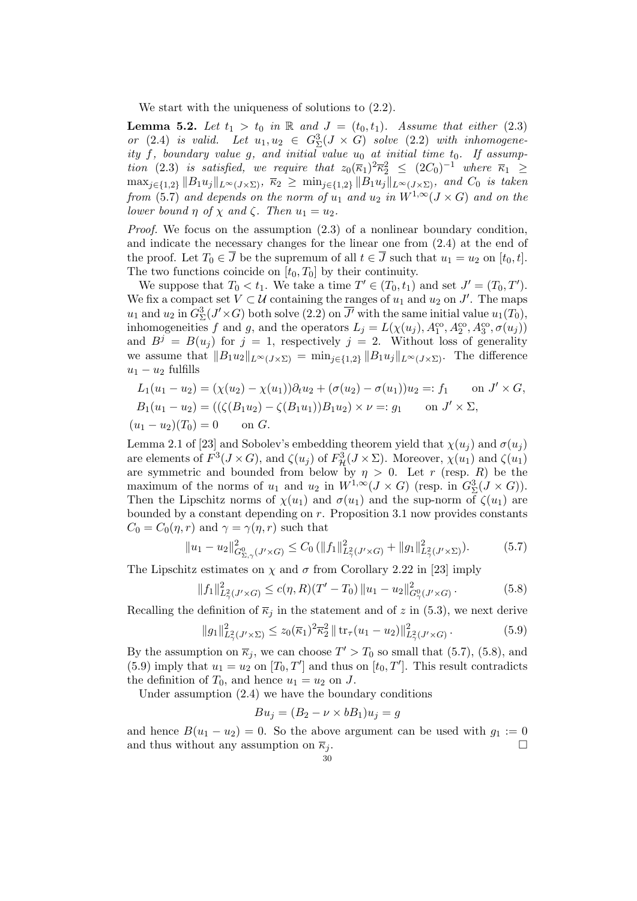We start with the uniqueness of solutions to  $(2.2)$ .

**Lemma 5.2.** Let  $t_1 > t_0$  in  $\mathbb R$  and  $J = (t_0, t_1)$ . Assume that either (2.3) or (2.4) is valid. Let  $u_1, u_2 \in G^3_{\Sigma}(J \times G)$  solve (2.2) with inhomogeneity f, boundary value g, and initial value  $u_0$  at initial time  $t_0$ . If assumption (2.3) is satisfied, we require that  $z_0(\overline{\kappa}_1)^2\overline{\kappa}_2^2 \leq (2C_0)^{-1}$  where  $\overline{\kappa}_1 \geq$  $\max_{j\in\{1,2\}} \|B_1u_j\|_{L^\infty(J\times\Sigma)}, \ \overline{\kappa}_2 \ge \min_{j\in\{1,2\}} \|B_1u_j\|_{L^\infty(J\times\Sigma)}, \text{ and } C_0 \text{ is taken}$ from (5.7) and depends on the norm of  $u_1$  and  $u_2$  in  $W^{1,\infty}(J\times G)$  and on the lower bound  $\eta$  of  $\chi$  and  $\zeta$ . Then  $u_1 = u_2$ .

Proof. We focus on the assumption  $(2.3)$  of a nonlinear boundary condition, and indicate the necessary changes for the linear one from (2.4) at the end of the proof. Let  $T_0 \in \overline{J}$  be the supremum of all  $t \in \overline{J}$  such that  $u_1 = u_2$  on  $[t_0, t]$ . The two functions coincide on  $[t_0, T_0]$  by their continuity.

We suppose that  $T_0 < t_1$ . We take a time  $T' \in (T_0, t_1)$  and set  $J' = (T_0, T')$ . We fix a compact set  $V \subset \mathcal{U}$  containing the ranges of  $u_1$  and  $u_2$  on  $J'$ . The maps  $u_1$  and  $u_2$  in  $G^3_{\Sigma}(J' \times G)$  both solve  $(2.2)$  on  $\overline{J'}$  with the same initial value  $u_1(T_0)$ , inhomogeneities f and g, and the operators  $L_j = L(\chi(u_j), A_1^{\text{co}}, A_2^{\text{co}}, A_3^{\text{co}}, \sigma(u_j))$ and  $B^j = B(u_j)$  for  $j = 1$ , respectively  $j = 2$ . Without loss of generality we assume that  $||B_1u_2||_{L^{\infty}(J\times\Sigma)} = \min_{j\in\{1,2\}} ||B_1u_j||_{L^{\infty}(J\times\Sigma)}$ . The difference  $u_1 - u_2$  fulfills

$$
L_1(u_1 - u_2) = (\chi(u_2) - \chi(u_1))\partial_t u_2 + (\sigma(u_2) - \sigma(u_1))u_2 =: f_1 \quad \text{on } J' \times G,
$$
  
\n
$$
B_1(u_1 - u_2) = ((\zeta(B_1 u_2) - \zeta(B_1 u_1))B_1 u_2) \times \nu =: g_1 \quad \text{on } J' \times \Sigma,
$$
  
\n
$$
(u_1 - u_2)(T_0) = 0 \quad \text{on } G.
$$

Lemma 2.1 of [23] and Sobolev's embedding theorem yield that  $\chi(u_i)$  and  $\sigma(u_i)$ are elements of  $F^3(J\times G)$ , and  $\zeta(u_j)$  of  $F^3_{\mathcal{H}}(J\times \Sigma)$ . Moreover,  $\chi(u_1)$  and  $\zeta(u_1)$ are symmetric and bounded from below by  $\eta > 0$ . Let r (resp. R) be the maximum of the norms of  $u_1$  and  $u_2$  in  $W^{1,\infty}(J\times G)$  (resp. in  $G^3_{\Sigma}(J\times G)$ ). Then the Lipschitz norms of  $\chi(u_1)$  and  $\sigma(u_1)$  and the sup-norm of  $\zeta(u_1)$  are bounded by a constant depending on  $r$ . Proposition 3.1 now provides constants  $C_0 = C_0(\eta, r)$  and  $\gamma = \gamma(\eta, r)$  such that

$$
||u_1 - u_2||_{G_{\Sigma,\gamma}^0(J' \times G)}^2 \le C_0 (||f_1||_{L_\gamma^2(J' \times G)}^2 + ||g_1||_{L_\gamma^2(J' \times \Sigma)}^2). \tag{5.7}
$$

The Lipschitz estimates on  $\chi$  and  $\sigma$  from Corollary 2.22 in [23] imply

$$
||f_1||^2_{L^2_\gamma(J'\times G)} \le c(\eta, R)(T'-T_0) ||u_1 - u_2||^2_{G^0_\gamma(J'\times G)}.
$$
\n(5.8)

Recalling the definition of  $\overline{\kappa}_j$  in the statement and of z in (5.3), we next derive

$$
||g_1||_{L^2(\mathcal{J}' \times \Sigma)}^2 \leq z_0(\overline{\kappa}_1)^2 \overline{\kappa}_2^2 || \operatorname{tr}_{\tau}(u_1 - u_2)||_{L^2(\mathcal{J}' \times G)}^2.
$$
 (5.9)

By the assumption on  $\overline{\kappa}_j$ , we can choose  $T' > T_0$  so small that (5.7), (5.8), and (5.9) imply that  $u_1 = u_2$  on  $[T_0, T']$  and thus on  $[t_0, T']$ . This result contradicts the definition of  $T_0$ , and hence  $u_1 = u_2$  on J.

Under assumption (2.4) we have the boundary conditions

$$
Bu_j = (B_2 - \nu \times bB_1)u_j = g
$$

and hence  $B(u_1 - u_2) = 0$ . So the above argument can be used with  $g_1 := 0$ and thus without any assumption on  $\overline{\kappa}_i$ .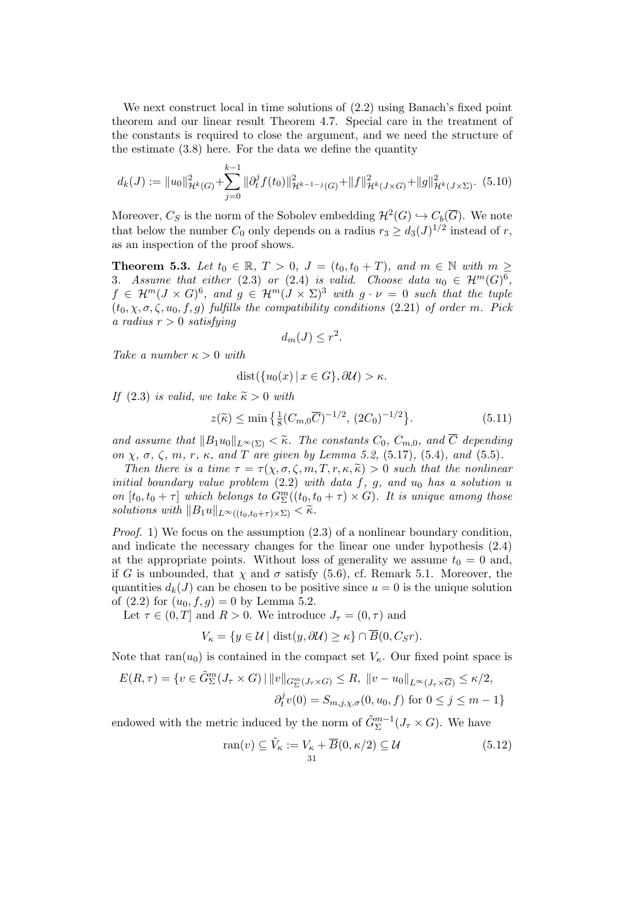We next construct local in time solutions of  $(2.2)$  using Banach's fixed point theorem and our linear result Theorem 4.7. Special care in the treatment of the constants is required to close the argument, and we need the structure of the estimate (3.8) here. For the data we define the quantity

$$
d_k(J) := \|u_0\|_{\mathcal{H}^k(G)}^2 + \sum_{j=0}^{k-1} \|\partial_t^j f(t_0)\|_{\mathcal{H}^{k-1-j}(G)}^2 + \|f\|_{\mathcal{H}^k(J \times G)}^2 + \|g\|_{\mathcal{H}^k(J \times \Sigma)}^2. \tag{5.10}
$$

Moreover,  $C_S$  is the norm of the Sobolev embedding  $\mathcal{H}^2(G) \hookrightarrow C_b(\overline{G})$ . We note that below the number  $C_0$  only depends on a radius  $r_3 \geq d_3(J)^{1/2}$  instead of r, as an inspection of the proof shows.

**Theorem 5.3.** Let  $t_0 \in \mathbb{R}$ ,  $T > 0$ ,  $J = (t_0, t_0 + T)$ , and  $m \in \mathbb{N}$  with  $m \geq$ 3. Assume that either (2.3) or (2.4) is valid. Choose data  $u_0 \in \mathcal{H}^m(G)^6$ ,  $f \in \mathcal{H}^m(J \times G)^6$ , and  $g \in \mathcal{H}^m(J \times \Sigma)^3$  with  $g \cdot \nu = 0$  such that the tuple  $(t_0, \chi, \sigma, \zeta, u_0, f, g)$  fulfills the compatibility conditions (2.21) of order m. Pick a radius  $r > 0$  satisfying

$$
d_m(J) \le r^2.
$$

Take a number  $\kappa > 0$  with

$$
dist(\{u_0(x) \mid x \in G\}, \partial \mathcal{U}) > \kappa.
$$

If (2.3) is valid, we take  $\widetilde{\kappa} > 0$  with

$$
z(\widetilde{\kappa}) \le \min\left\{ \frac{1}{8} (C_{m,0}\overline{C})^{-1/2}, (2C_0)^{-1/2} \right\}. \tag{5.11}
$$

and assume that  $||B_1u_0||_{L^{\infty}(\Sigma)} < \tilde{\kappa}$ . The constants  $C_0$ ,  $C_{m,0}$ , and  $\overline{C}$  depending on  $\chi$ ,  $\sigma$ ,  $\zeta$ ,  $m$ ,  $r$ ,  $\kappa$ , and  $T$  are given by Lemma 5.2, (5.17), (5.4), and (5.5).

Then there is a time  $\tau = \tau(\chi, \sigma, \zeta, m, T, r, \kappa, \tilde{\kappa}) > 0$  such that the nonlinear initial boundary value problem  $(2.2)$  with data f, g, and  $u_0$  has a solution u on  $[t_0, t_0 + \tau]$  which belongs to  $G^m_{\Sigma}((t_0, t_0 + \tau) \times G)$ . It is unique among those solutions with  $||B_1u||_{L^{\infty}((t_0,t_0+\tau)\times\Sigma)} < \widetilde{\kappa}.$ 

*Proof.* 1) We focus on the assumption  $(2.3)$  of a nonlinear boundary condition, and indicate the necessary changes for the linear one under hypothesis (2.4) at the appropriate points. Without loss of generality we assume  $t_0 = 0$  and, if G is unbounded, that  $\chi$  and  $\sigma$  satisfy (5.6), cf. Remark 5.1. Moreover, the quantities  $d_k(J)$  can be chosen to be positive since  $u = 0$  is the unique solution of  $(2.2)$  for  $(u_0, f, g) = 0$  by Lemma 5.2.

Let  $\tau \in (0, T]$  and  $R > 0$ . We introduce  $J_{\tau} = (0, \tau)$  and

$$
V_{\kappa} = \{ y \in \mathcal{U} \mid \text{dist}(y, \partial \mathcal{U}) \geq \kappa \} \cap \overline{B}(0, C_{S}r).
$$

Note that  $ran(u_0)$  is contained in the compact set  $V_{\kappa}$ . Our fixed point space is

$$
E(R,\tau) = \{v \in \tilde{G}_{\Sigma}^{m}(J_{\tau} \times G) \mid ||v||_{G_{\Sigma}^{m}(J_{\tau} \times G)} \leq R, ||v - u_{0}||_{L^{\infty}(J_{\tau} \times \overline{G})} \leq \kappa/2, \partial_{t}^{j}v(0) = S_{m,j,\chi,\sigma}(0,u_{0},f) \text{ for } 0 \leq j \leq m-1 \}
$$

endowed with the metric induced by the norm of  $\tilde{G}_{\Sigma}^{m-1}(J_{\tau} \times G)$ . We have

$$
\operatorname{ran}(v) \subseteq \tilde{V}_{\kappa} := V_{\kappa} + \overline{B}(0, \kappa/2) \subseteq \mathcal{U}
$$
\n(5.12)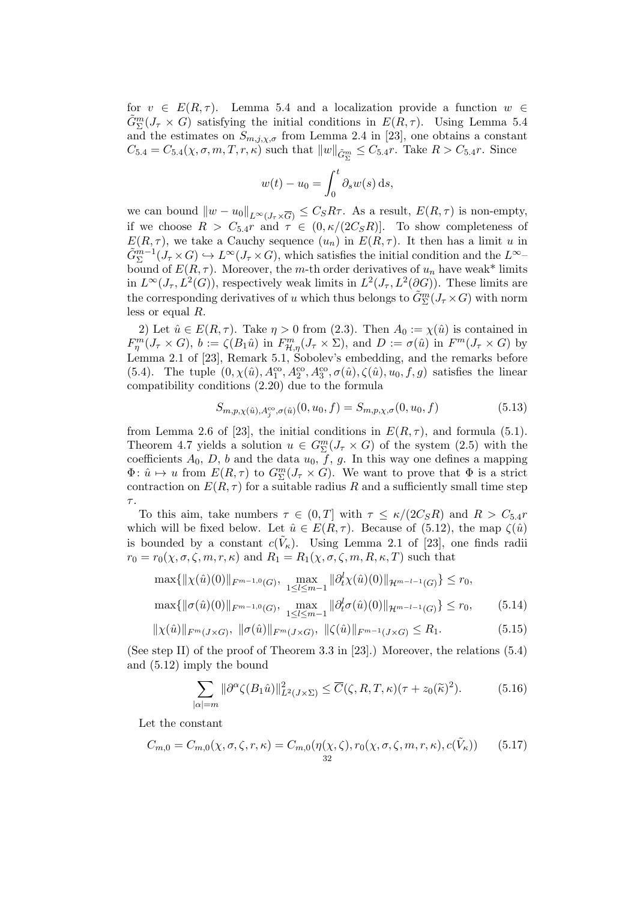for  $v \in E(R, \tau)$ . Lemma 5.4 and a localization provide a function  $w \in$  $\tilde{G}_{\Sigma}^{m}(J_{\tau} \times G)$  satisfying the initial conditions in  $E(R, \tau)$ . Using Lemma 5.4 and the estimates on  $S_{m,j,\chi,\sigma}$  from Lemma 2.4 in [23], one obtains a constant  $C_{5.4} = C_{5.4}(\chi, \sigma, m, T, r, \kappa)$  such that  $||w||_{\tilde{G}_{\Sigma}^{m}} \leq C_{5.4}r$ . Take  $R > C_{5.4}r$ . Since

$$
w(t) - u_0 = \int_0^t \partial_s w(s) \, \mathrm{d} s,
$$

we can bound  $||w - u_0||_{L^{\infty}(J_\tau \times \overline{G})} \leq C_S R \tau$ . As a result,  $E(R, \tau)$  is non-empty, if we choose  $R > C_{5,4}r$  and  $\tau \in (0, \kappa/(2C_S R))$ . To show completeness of  $E(R, \tau)$ , we take a Cauchy sequence  $(u_n)$  in  $E(R, \tau)$ . It then has a limit u in  $\tilde{G}_{\Sigma}^{m-1}(J_{\tau}\times G)\hookrightarrow L^{\infty}(J_{\tau}\times G)$ , which satisfies the initial condition and the  $L^{\infty}$ bound of  $E(R, \tau)$ . Moreover, the m-th order derivatives of  $u_n$  have weak\* limits in  $L^{\infty}(J_{\tau}, L^2(G))$ , respectively weak limits in  $L^2(J_{\tau}, L^2(\partial G))$ . These limits are the corresponding derivatives of u which thus belongs to  $\tilde{G}_{\Sigma}^{m}(J_{\tau}\times G)$  with norm less or equal R.

2) Let  $\hat{u} \in E(R, \tau)$ . Take  $\eta > 0$  from (2.3). Then  $A_0 := \chi(\hat{u})$  is contained in  $F_{\eta}^{m}(J_{\tau} \times G), b := \zeta(B_1\hat{u})$  in  $F_{\mathcal{H},\eta}^{m}(J_{\tau} \times \Sigma)$ , and  $D := \sigma(\hat{u})$  in  $F^m(J_{\tau} \times G)$  by Lemma 2.1 of [23], Remark 5.1, Sobolev's embedding, and the remarks before (5.4). The tuple  $(0, \chi(\hat{u}), A_1^{\text{co}}, A_2^{\text{co}}, A_3^{\text{co}}, \sigma(\hat{u}), \zeta(\hat{u}), u_0, f, g)$  satisfies the linear compatibility conditions (2.20) due to the formula

$$
S_{m,p,\chi(\hat{u}),A_j^{co},\sigma(\hat{u})}(0,u_0,f) = S_{m,p,\chi,\sigma}(0,u_0,f)
$$
\n(5.13)

from Lemma 2.6 of [23], the initial conditions in  $E(R, \tau)$ , and formula (5.1). Theorem 4.7 yields a solution  $u \in G_{\Sigma}^{m}(J_{\tau} \times G)$  of the system (2.5) with the coefficients  $A_0$ , D, b and the data  $u_0$ , f, g. In this way one defines a mapping  $\Phi: \hat{u} \mapsto u$  from  $E(R, \tau)$  to  $G_{\Sigma}^{m}(J_{\tau} \times G)$ . We want to prove that  $\Phi$  is a strict contraction on  $E(R, \tau)$  for a suitable radius R and a sufficiently small time step τ .

To this aim, take numbers  $\tau \in (0, T]$  with  $\tau \leq \kappa/(2C_S R)$  and  $R > C_{5.4}r$ which will be fixed below. Let  $\hat{u} \in E(R, \tau)$ . Because of (5.12), the map  $\zeta(\hat{u})$ is bounded by a constant  $c(\tilde{V}_\kappa)$ . Using Lemma 2.1 of [23], one finds radii  $r_0 = r_0(\chi, \sigma, \zeta, m, r, \kappa)$  and  $R_1 = R_1(\chi, \sigma, \zeta, m, R, \kappa, T)$  such that

$$
\max\{\|\chi(\hat{u})(0)\|_{F^{m-1,0}(G)}, \max_{1 \le l \le m-1} \|\partial_t^l \chi(\hat{u})(0)\|_{\mathcal{H}^{m-l-1}(G)}\} \le r_0,
$$
  

$$
\max\{\|\sigma(\hat{u})(0)\|_{F^{m-1,0}(G)}, \max_{1 \le l \le m-1} \|\partial_t^l \sigma(\hat{u})(0)\|_{\mathcal{H}^{m-l-1}(G)}\} \le r_0,
$$
 (5.14)

$$
\|\chi(\hat{u})\|_{F^m(J\times G)}, \ \|\sigma(\hat{u})\|_{F^m(J\times G)}, \ \|\zeta(\hat{u})\|_{F^{m-1}(J\times G)} \le R_1. \tag{5.15}
$$

(See step II) of the proof of Theorem 3.3 in [23].) Moreover, the relations  $(5.4)$ and (5.12) imply the bound

$$
\sum_{|\alpha|=m} \|\partial^{\alpha}\zeta(B_1\hat{u})\|_{L^2(J\times\Sigma)}^2 \le \overline{C}(\zeta,R,T,\kappa)(\tau+z_0(\tilde{\kappa})^2). \tag{5.16}
$$

Let the constant

$$
C_{m,0} = C_{m,0}(\chi,\sigma,\zeta,r,\kappa) = C_{m,0}(\eta(\chi,\zeta),r_0(\chi,\sigma,\zeta,m,r,\kappa),c(\tilde{V}_{\kappa})) \qquad (5.17)
$$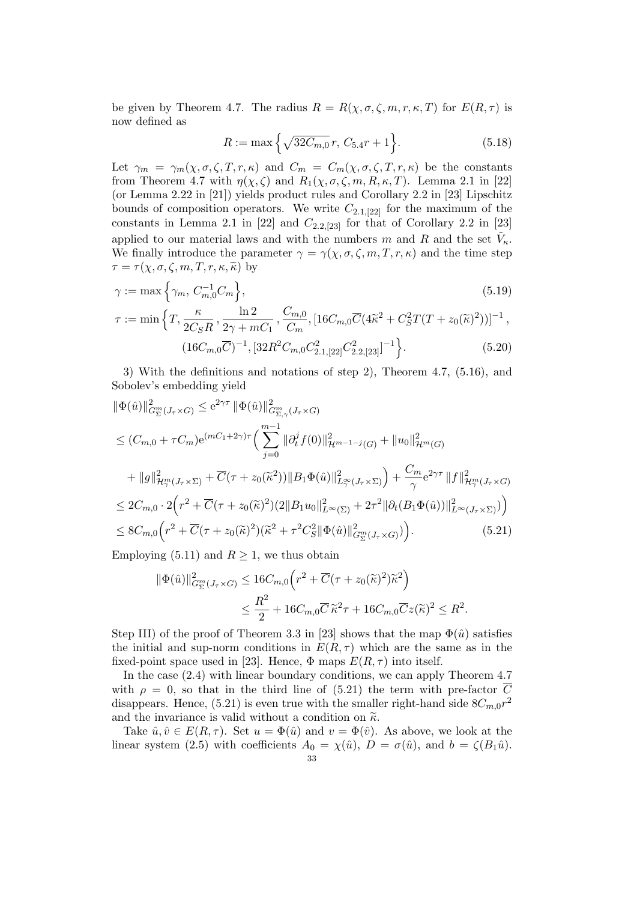be given by Theorem 4.7. The radius  $R = R(\chi, \sigma, \zeta, m, r, \kappa, T)$  for  $E(R, \tau)$  is now defined as

$$
R := \max\left\{\sqrt{32C_{m,0}}\,r,\,C_{5.4}r + 1\right\}.\tag{5.18}
$$

Let  $\gamma_m = \gamma_m(\chi, \sigma, \zeta, T, r, \kappa)$  and  $C_m = C_m(\chi, \sigma, \zeta, T, r, \kappa)$  be the constants from Theorem 4.7 with  $\eta(\chi,\zeta)$  and  $R_1(\chi,\sigma,\zeta,m,R,\kappa,T)$ . Lemma 2.1 in [22] (or Lemma 2.22 in [21]) yields product rules and Corollary 2.2 in [23] Lipschitz bounds of composition operators. We write  $C_{2.1,[22]}$  for the maximum of the constants in Lemma 2.1 in [22] and  $C_{2.2,[23]}$  for that of Corollary 2.2 in [23] applied to our material laws and with the numbers m and R and the set  $\tilde{V}_{\kappa}$ . We finally introduce the parameter  $\gamma = \gamma(\chi, \sigma, \zeta, m, T, r, \kappa)$  and the time step  $\tau = \tau(\chi, \sigma, \zeta, m, T, r, \kappa, \tilde{\kappa})$  by

$$
\gamma := \max\left\{\gamma_m, C_{m,0}^{-1}C_m\right\},\tag{5.19}
$$

$$
\tau := \min\left\{T, \frac{\kappa}{2C_{S}R}, \frac{\ln 2}{2\gamma + mC_{1}}, \frac{C_{m,0}}{C_{m}}, [16C_{m,0}\overline{C}(4\tilde{\kappa}^{2} + C_{S}^{2}T(T + z_{0}(\tilde{\kappa})^{2}))]^{-1}, \frac{(16C_{m,0}\overline{C})^{-1}, [32R^{2}C_{m,0}C_{2.1,[22]}^{2}C_{2.2,[23]}^{2}]^{-1}\right\}.
$$
\n(5.20)

3) With the definitions and notations of step 2), Theorem 4.7, (5.16), and Sobolev's embedding yield

$$
\|\Phi(\hat{u})\|_{G_{\Sigma}^{m}(J_{\tau}\times G)}^{2} \leq e^{2\gamma\tau} \|\Phi(\hat{u})\|_{G_{\Sigma,\gamma}^{m}(J_{\tau}\times G)}^{2} \n\leq (C_{m,0} + \tau C_{m})e^{(mC_{1}+2\gamma)\tau} \Big(\sum_{j=0}^{m-1} \|\partial_{t}^{j}f(0)\|_{\mathcal{H}^{m-1-j}(G)}^{2} + \|u_{0}\|_{\mathcal{H}^{m}(G)}^{2} \n+ \|g\|_{\mathcal{H}_{\gamma}^{m}(J_{\tau}\times\Sigma)}^{2} + \overline{C}(\tau + z_{0}(\tilde{\kappa}^{2}))\|B_{1}\Phi(\hat{u})\|_{L_{\gamma}^{\infty}(J_{\tau}\times\Sigma)}^{2} + \frac{C_{m}}{\gamma}e^{2\gamma\tau} \|f\|_{\mathcal{H}_{\gamma}^{m}(J_{\tau}\times G)}^{2} \n\leq 2C_{m,0} \cdot 2\Big(r^{2} + \overline{C}(\tau + z_{0}(\tilde{\kappa})^{2})(2\|B_{1}u_{0}\|_{L^{\infty}(\Sigma)}^{2} + 2\tau^{2} \|\partial_{t}(B_{1}\Phi(\hat{u}))\|_{L^{\infty}(J_{\tau}\times\Sigma)}^{2}\Big)\Big) \n\leq 8C_{m,0}\Big(r^{2} + \overline{C}(\tau + z_{0}(\tilde{\kappa})^{2})(\tilde{\kappa}^{2} + \tau^{2}C_{S}^{2}\|\Phi(\hat{u})\|_{G_{\Sigma}^{m}(J_{\tau}\times G)}^{2}\Big).
$$
\n(5.21)

Employing (5.11) and  $R \geq 1$ , we thus obtain

$$
\begin{split} \|\Phi(\hat{u})\|_{G_{\Sigma}^m(J_{\tau}\times G)}^2 &\leq 16C_{m,0}\Big(r^2+\overline{C}(\tau+z_0(\widetilde{\kappa})^2)\widetilde{\kappa}^2\Big) \\ &\leq \frac{R^2}{2}+16C_{m,0}\overline{C}\,\widetilde{\kappa}^2\tau+16C_{m,0}\overline{C}z(\widetilde{\kappa})^2\leq R^2. \end{split}
$$

Step III) of the proof of Theorem 3.3 in [23] shows that the map  $\Phi(\hat{u})$  satisfies the initial and sup-norm conditions in  $E(R, \tau)$  which are the same as in the fixed-point space used in [23]. Hence,  $\Phi$  maps  $E(R, \tau)$  into itself.

In the case (2.4) with linear boundary conditions, we can apply Theorem 4.7 with  $\rho = 0$ , so that in the third line of (5.21) the term with pre-factor  $\overline{C}$ disappears. Hence, (5.21) is even true with the smaller right-hand side  $8C_{m,0}r^2$ and the invariance is valid without a condition on  $\tilde{\kappa}$ .

Take  $\hat{u}, \hat{v} \in E(R, \tau)$ . Set  $u = \Phi(\hat{u})$  and  $v = \Phi(\hat{v})$ . As above, we look at the linear system (2.5) with coefficients  $A_0 = \chi(\hat{u})$ ,  $D = \sigma(\hat{u})$ , and  $b = \zeta(B_1\hat{u})$ .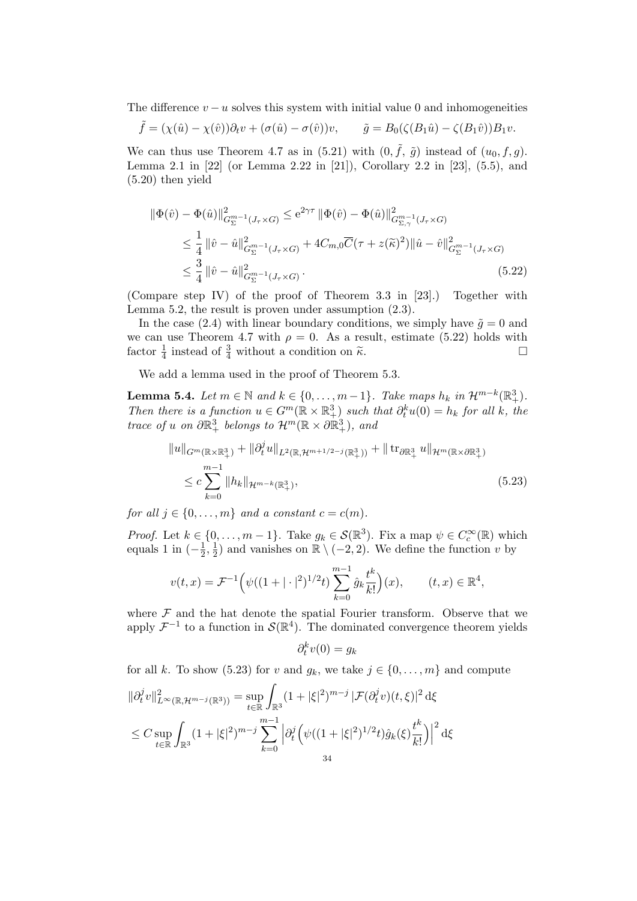The difference  $v - u$  solves this system with initial value 0 and inhomogeneities

$$
\tilde{f} = (\chi(\hat{u}) - \chi(\hat{v}))\partial_t v + (\sigma(\hat{u}) - \sigma(\hat{v}))v, \qquad \tilde{g} = B_0(\zeta(B_1\hat{u}) - \zeta(B_1\hat{v}))B_1v.
$$

We can thus use Theorem 4.7 as in (5.21) with  $(0, \tilde{f}, \tilde{g})$  instead of  $(u_0, f, g)$ . Lemma 2.1 in [22] (or Lemma 2.22 in [21]), Corollary 2.2 in [23], (5.5), and (5.20) then yield

$$
\begin{split} \|\Phi(\hat{v}) - \Phi(\hat{u})\|_{G_{\Sigma}^{m-1}(J_{\tau} \times G)}^2 &\leq e^{2\gamma \tau} \|\Phi(\hat{v}) - \Phi(\hat{u})\|_{G_{\Sigma,\gamma}^{m-1}(J_{\tau} \times G)}^2 \\ &\leq \frac{1}{4} \|\hat{v} - \hat{u}\|_{G_{\Sigma}^{m-1}(J_{\tau} \times G)}^2 + 4C_{m,0} \overline{C}(\tau + z(\widetilde{\kappa})^2) \|\hat{u} - \hat{v}\|_{G_{\Sigma}^{m-1}(J_{\tau} \times G)}^2 \\ &\leq \frac{3}{4} \|\hat{v} - \hat{u}\|_{G_{\Sigma}^{m-1}(J_{\tau} \times G)}^2. \end{split} \tag{5.22}
$$

(Compare step IV) of the proof of Theorem 3.3 in [23].) Together with Lemma 5.2, the result is proven under assumption (2.3).

In the case (2.4) with linear boundary conditions, we simply have  $\tilde{q} = 0$  and we can use Theorem 4.7 with  $\rho = 0$ . As a result, estimate (5.22) holds with factor  $\frac{1}{4}$  instead of  $\frac{3}{4}$  without a condition on  $\tilde{\kappa}$ .

We add a lemma used in the proof of Theorem 5.3.

**Lemma 5.4.** Let  $m \in \mathbb{N}$  and  $k \in \{0, ..., m-1\}$ . Take maps  $h_k$  in  $\mathcal{H}^{m-k}(\mathbb{R}^3_+)$ . Then there is a function  $u \in G^m(\mathbb{R} \times \mathbb{R}^3_+)$  such that  $\partial_t^k u(0) = h_k$  for all k, the trace of u on  $\partial \mathbb{R}^3_+$  belongs to  $\mathcal{H}^m(\mathbb{R} \times \partial \mathbb{R}^3_+)$ , and

$$
||u||_{G^{m}(\mathbb{R}\times\mathbb{R}^{3}_{+})} + ||\partial_{t}^{j}u||_{L^{2}(\mathbb{R},\mathcal{H}^{m+1/2-j}(\mathbb{R}^{3}_{+}))} + ||\operatorname{tr}_{\partial\mathbb{R}^{3}_{+}} u||_{\mathcal{H}^{m}(\mathbb{R}\times\partial\mathbb{R}^{3}_{+})}
$$
  
\n
$$
\leq c \sum_{k=0}^{m-1} ||h_{k}||_{\mathcal{H}^{m-k}(\mathbb{R}^{3}_{+})},
$$
\n(5.23)

for all  $j \in \{0, \ldots, m\}$  and a constant  $c = c(m)$ .

*Proof.* Let  $k \in \{0, ..., m-1\}$ . Take  $g_k \in \mathcal{S}(\mathbb{R}^3)$ . Fix a map  $\psi \in C_c^{\infty}(\mathbb{R})$  which equals 1 in  $\left(-\frac{1}{2}\right)$  $\frac{1}{2}, \frac{1}{2}$  $\frac{1}{2}$ ) and vanishes on  $\mathbb{R} \setminus (-2, 2)$ . We define the function v by

$$
v(t,x) = \mathcal{F}^{-1}\Big(\psi((1+|\cdot|^2)^{1/2}t)\sum_{k=0}^{m-1}\hat{g}_k\frac{t^k}{k!}\Big)(x), \qquad (t,x) \in \mathbb{R}^4,
$$

where  $\mathcal F$  and the hat denote the spatial Fourier transform. Observe that we apply  $\mathcal{F}^{-1}$  to a function in  $\mathcal{S}(\mathbb{R}^4)$ . The dominated convergence theorem yields

$$
\partial_t^k v(0) = g_k
$$

for all k. To show (5.23) for v and  $g_k$ , we take  $j \in \{0, \ldots, m\}$  and compute

$$
\|\partial_t^j v\|_{L^\infty(\mathbb{R}, \mathcal{H}^{m-j}(\mathbb{R}^3))}^2 = \sup_{t \in \mathbb{R}} \int_{\mathbb{R}^3} (1 + |\xi|^2)^{m-j} |\mathcal{F}(\partial_t^j v)(t, \xi)|^2 d\xi
$$
  
\n
$$
\leq C \sup_{t \in \mathbb{R}} \int_{\mathbb{R}^3} (1 + |\xi|^2)^{m-j} \sum_{k=0}^{m-1} |\partial_t^j \left( \psi((1 + |\xi|^2)^{1/2} t) \hat{g}_k(\xi) \frac{t^k}{k!} \right)|^2 d\xi
$$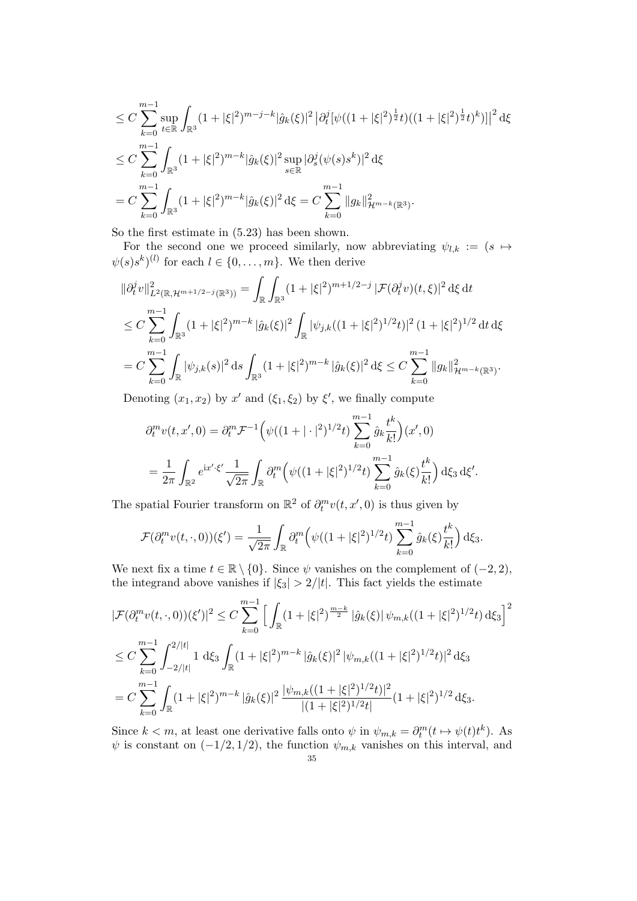$$
\leq C \sum_{k=0}^{m-1} \sup_{t \in \mathbb{R}} \int_{\mathbb{R}^3} (1+|\xi|^2)^{m-j-k} |\hat{g}_k(\xi)|^2 |\partial_t^j [\psi((1+|\xi|^2)^{\frac{1}{2}}t)((1+|\xi|^2)^{\frac{1}{2}}t)^k] |^2 d\xi
$$
  
\n
$$
\leq C \sum_{k=0}^{m-1} \int_{\mathbb{R}^3} (1+|\xi|^2)^{m-k} |\hat{g}_k(\xi)|^2 \sup_{s \in \mathbb{R}} |\partial_s^j (\psi(s)s^k)|^2 d\xi
$$
  
\n
$$
= C \sum_{k=0}^{m-1} \int_{\mathbb{R}^3} (1+|\xi|^2)^{m-k} |\hat{g}_k(\xi)|^2 d\xi = C \sum_{k=0}^{m-1} \|g_k\|_{\mathcal{H}^{m-k}(\mathbb{R}^3)}^2.
$$

So the first estimate in (5.23) has been shown.

For the second one we proceed similarly, now abbreviating  $\psi_{l,k} := (s \mapsto$  $\psi(s) s^k$ <sup>(l)</sup> for each  $l \in \{0, \ldots, m\}$ . We then derive

$$
\begin{split}\n\|\partial_t^j v\|_{L^2(\mathbb{R}, \mathcal{H}^{m+1/2-j}(\mathbb{R}^3))}^2 &= \int_{\mathbb{R}} \int_{\mathbb{R}^3} (1 + |\xi|^2)^{m+1/2-j} \, |\mathcal{F}(\partial_t^j v)(t, \xi)|^2 \, \mathrm{d}\xi \, \mathrm{d}t \\
&\leq C \sum_{k=0}^{m-1} \int_{\mathbb{R}^3} (1 + |\xi|^2)^{m-k} \, |\hat{g}_k(\xi)|^2 \int_{\mathbb{R}} |\psi_{j,k}((1 + |\xi|^2)^{1/2} t)|^2 \, (1 + |\xi|^2)^{1/2} \, \mathrm{d}t \, \mathrm{d}\xi \\
&= C \sum_{k=0}^{m-1} \int_{\mathbb{R}} |\psi_{j,k}(s)|^2 \, \mathrm{d}s \int_{\mathbb{R}^3} (1 + |\xi|^2)^{m-k} \, |\hat{g}_k(\xi)|^2 \, \mathrm{d}\xi \leq C \sum_{k=0}^{m-1} \|g_k\|_{\mathcal{H}^{m-k}(\mathbb{R}^3)}^2.\n\end{split}
$$

Denoting  $(x_1, x_2)$  by  $x'$  and  $(\xi_1, \xi_2)$  by  $\xi'$ , we finally compute

$$
\partial_t^m v(t, x', 0) = \partial_t^m \mathcal{F}^{-1} \Big( \psi((1 + |\cdot|^2)^{1/2} t) \sum_{k=0}^{m-1} \hat{g}_k \frac{t^k}{k!} \Big) (x', 0)
$$
  
= 
$$
\frac{1}{2\pi} \int_{\mathbb{R}^2} e^{ix' \cdot \xi'} \frac{1}{\sqrt{2\pi}} \int_{\mathbb{R}} \partial_t^m \Big( \psi((1 + |\xi|^2)^{1/2} t) \sum_{k=0}^{m-1} \hat{g}_k(\xi) \frac{t^k}{k!} \Big) d\xi_3 d\xi'.
$$

The spatial Fourier transform on  $\mathbb{R}^2$  of  $\partial_t^m v(t, x', 0)$  is thus given by

$$
\mathcal{F}(\partial_t^m v(t,\cdot,0))(\xi') = \frac{1}{\sqrt{2\pi}} \int_{\mathbb{R}} \partial_t^m \left( \psi((1+|\xi|^2)^{1/2}t) \sum_{k=0}^{m-1} \hat{g}_k(\xi) \frac{t^k}{k!} \right) d\xi_3.
$$

We next fix a time  $t \in \mathbb{R} \setminus \{0\}$ . Since  $\psi$  vanishes on the complement of  $(-2, 2)$ , the integrand above vanishes if  $|\xi_3| > 2/|t|$ . This fact yields the estimate

$$
|\mathcal{F}(\partial_t^m v(t,\cdot,0))(\xi')|^2 \leq C \sum_{k=0}^{m-1} \left[ \int_{\mathbb{R}} (1+|\xi|^2)^{\frac{m-k}{2}} |\hat{g}_k(\xi)| \psi_{m,k}((1+|\xi|^2)^{1/2}t) d\xi_3 \right]^2
$$
  

$$
\leq C \sum_{k=0}^{m-1} \int_{-2/|t|}^{2/|t|} 1 \, d\xi_3 \int_{\mathbb{R}} (1+|\xi|^2)^{m-k} |\hat{g}_k(\xi)|^2 |\psi_{m,k}((1+|\xi|^2)^{1/2}t)|^2 d\xi_3
$$
  

$$
= C \sum_{k=0}^{m-1} \int_{\mathbb{R}} (1+|\xi|^2)^{m-k} |\hat{g}_k(\xi)|^2 \frac{|\psi_{m,k}((1+|\xi|^2)^{1/2}t)|^2}{|(1+|\xi|^2)^{1/2}t|} (1+|\xi|^2)^{1/2} d\xi_3.
$$

Since  $k < m$ , at least one derivative falls onto  $\psi$  in  $\psi_{m,k} = \partial_t^m(t \mapsto \psi(t)t^k)$ . As  $\psi$  is constant on  $(-1/2, 1/2)$ , the function  $\psi_{m,k}$  vanishes on this interval, and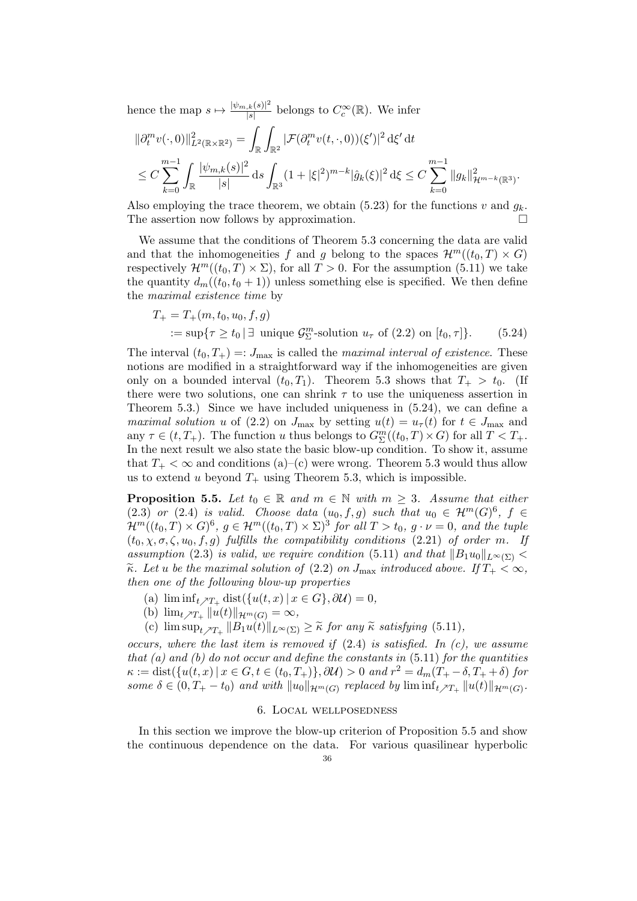hence the map  $s \mapsto \frac{|\psi_{m,k}(s)|^2}{|s|}$  $\frac{d}{s}$  belongs to  $C_c^{\infty}(\mathbb{R})$ . We infer

$$
\begin{aligned} &\|\partial_t^m v(\cdot,0)\|_{L^2(\mathbb{R}\times\mathbb{R}^2)}^2 = \int_{\mathbb{R}} \int_{\mathbb{R}^2} |\mathcal{F}(\partial_t^m v(t,\cdot,0))(\xi')|^2 \,d\xi' \,dt \\ &\leq C \sum_{k=0}^{m-1} \int_{\mathbb{R}} \frac{|\psi_{m,k}(s)|^2}{|s|} \,ds \int_{\mathbb{R}^3} (1+|\xi|^2)^{m-k} |\hat{g}_k(\xi)|^2 \,d\xi \leq C \sum_{k=0}^{m-1} \|g_k\|_{\mathcal{H}^{m-k}(\mathbb{R}^3)}^2. \end{aligned}
$$

Also employing the trace theorem, we obtain (5.23) for the functions v and  $g_k$ . The assertion now follows by approximation.  $\Box$ 

We assume that the conditions of Theorem 5.3 concerning the data are valid and that the inhomogeneities f and g belong to the spaces  $\mathcal{H}^m((t_0, T) \times G)$ respectively  $\mathcal{H}^m((t_0,T)\times\Sigma)$ , for all  $T>0$ . For the assumption (5.11) we take the quantity  $d_m((t_0, t_0 + 1))$  unless something else is specified. We then define the maximal existence time by

$$
T_{+} = T_{+}(m, t_{0}, u_{0}, f, g)
$$
  
 := sup{ $\tau \ge t_{0} | \exists$  unique  $\mathcal{G}_{\Sigma}^{m}$ -solution  $u_{\tau}$  of (2.2) on  $[t_{0}, \tau]$ }. (5.24)

The interval  $(t_0, T_+) =: J_{\text{max}}$  is called the *maximal interval of existence*. These notions are modified in a straightforward way if the inhomogeneities are given only on a bounded interval  $(t_0, T_1)$ . Theorem 5.3 shows that  $T_+ > t_0$ . (If there were two solutions, one can shrink  $\tau$  to use the uniqueness assertion in Theorem 5.3.) Since we have included uniqueness in  $(5.24)$ , we can define a *maximal solution u* of (2.2) on  $J_{\text{max}}$  by setting  $u(t) = u_{\tau}(t)$  for  $t \in J_{\text{max}}$  and any  $\tau \in (t, T_+)$ . The function u thus belongs to  $G^m_{\Sigma}((t_0, T) \times G)$  for all  $T < T_+$ . In the next result we also state the basic blow-up condition. To show it, assume that  $T_{+} < \infty$  and conditions (a)–(c) were wrong. Theorem 5.3 would thus allow us to extend u beyond  $T_+$  using Theorem 5.3, which is impossible.

**Proposition 5.5.** Let  $t_0 \in \mathbb{R}$  and  $m \in \mathbb{N}$  with  $m \geq 3$ . Assume that either (2.3) or (2.4) is valid. Choose data  $(u_0, f, g)$  such that  $u_0 \in \mathcal{H}^m(G)^6$ ,  $f \in$  $\mathcal{H}^m((t_0,T)\times G)^6$ ,  $g\in\mathcal{H}^m((t_0,T)\times\Sigma)^3$  for all  $T>t_0$ ,  $g\cdot\nu=0$ , and the tuple  $(t_0, \chi, \sigma, \zeta, u_0, f, g)$  fulfills the compatibility conditions (2.21) of order m. If assumption (2.3) is valid, we require condition (5.11) and that  $||B_1u_0||_{L^{\infty}(\Sigma)}$  $\widetilde{\kappa}$ . Let u be the maximal solution of (2.2) on  $J_{\text{max}}$  introduced above. If  $T_+ < \infty$ , then one of the following blow-up properties

- (a)  $\liminf_{t \nearrow T_+} \text{dist}(\{u(t,x) \mid x \in G\}, \partial \mathcal{U}) = 0,$
- (b)  $\lim_{t \nearrow T_+} ||u(t)||_{\mathcal{H}^m(G)} = \infty$ ,
- (c)  $\limsup_{t \nearrow T_+} ||B_1u(t)||_{L^{\infty}(\Sigma)} \geq \tilde{\kappa}$  for any  $\tilde{\kappa}$  satisfying (5.11),

occurs, where the last item is removed if  $(2.4)$  is satisfied. In  $(c)$ , we assume that (a) and (b) do not occur and define the constants in  $(5.11)$  for the quantities  $\kappa := \text{dist}(\{u(t,x) \mid x \in G, t \in (t_0, T_+) \}, \partial \mathcal{U}) > 0 \text{ and } r^2 = d_m(T_+ - \delta, T_+ + \delta) \text{ for }$ some  $\delta \in (0, T_+ - t_0)$  and with  $||u_0||_{\mathcal{H}^m(G)}$  replaced by  $\liminf_{t \nearrow T_+} ||u(t)||_{\mathcal{H}^m(G)}$ .

## 6. Local wellposedness

In this section we improve the blow-up criterion of Proposition 5.5 and show the continuous dependence on the data. For various quasilinear hyperbolic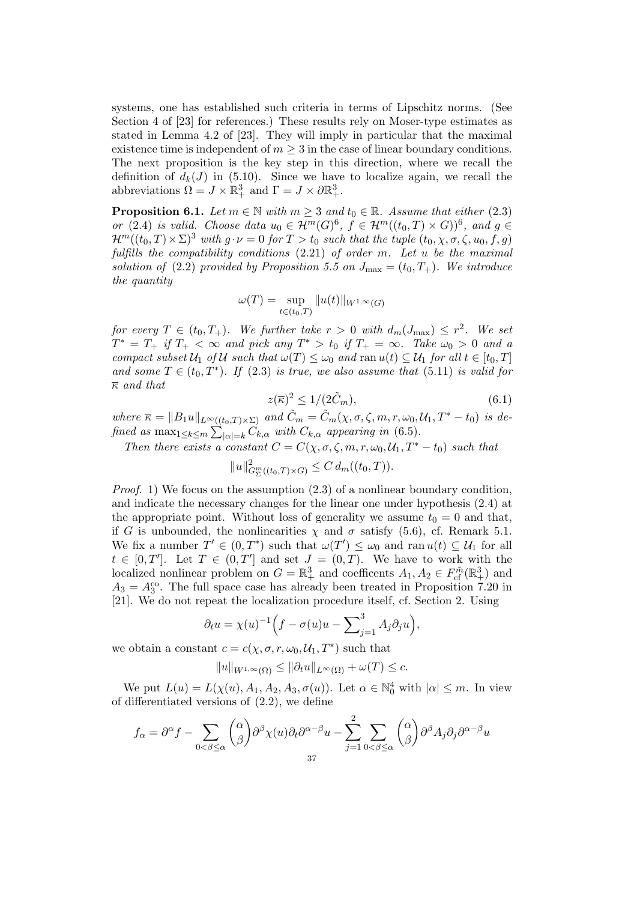systems, one has established such criteria in terms of Lipschitz norms. (See Section 4 of [23] for references.) These results rely on Moser-type estimates as stated in Lemma 4.2 of [23]. They will imply in particular that the maximal existence time is independent of  $m > 3$  in the case of linear boundary conditions. The next proposition is the key step in this direction, where we recall the definition of  $d_k(J)$  in (5.10). Since we have to localize again, we recall the abbreviations  $\Omega = J \times \mathbb{R}^3_+$  and  $\Gamma = J \times \partial \mathbb{R}^3_+$ .

**Proposition 6.1.** Let  $m \in \mathbb{N}$  with  $m \geq 3$  and  $t_0 \in \mathbb{R}$ . Assume that either (2.3) or (2.4) is valid. Choose data  $u_0 \in \mathcal{H}^m(G)^6$ ,  $f \in \mathcal{H}^m((t_0, T) \times G))^6$ , and  $g \in$  $\mathcal{H}^m((t_0,T)\times\Sigma)^3$  with  $g\cdot\nu=0$  for  $T>t_0$  such that the tuple  $(t_0,\chi,\sigma,\zeta,u_0,f,g)$ fulfills the compatibility conditions  $(2.21)$  of order m. Let u be the maximal solution of (2.2) provided by Proposition 5.5 on  $J_{\text{max}} = (t_0, T_+)$ . We introduce the quantity

$$
\omega(T) = \sup_{t \in (t_0, T)} ||u(t)||_{W^{1,\infty}(G)}
$$

for every  $T \in (t_0, T_+)$ . We further take  $r > 0$  with  $d_m(J_{\text{max}}) \leq r^2$ . We set  $T^* = T_+$  if  $T_+ < \infty$  and pick any  $T^* > t_0$  if  $T_+ = \infty$ . Take  $\omega_0 > 0$  and a compact subset  $U_1$  of U such that  $\omega(T) \leq \omega_0$  and ran  $u(t) \subseteq U_1$  for all  $t \in [t_0, T]$ and some  $T \in (t_0, T^*)$ . If (2.3) is true, we also assume that (5.11) is valid for  $\overline{\kappa}$  and that

$$
z(\overline{\kappa})^2 \le 1/(2\tilde{C}_m),\tag{6.1}
$$

where  $\overline{\kappa} = ||B_1u||_{L^{\infty}((t_0,T)\times\Sigma)}$  and  $\tilde{C}_m = \tilde{C}_m(\chi,\sigma,\zeta,m,r,\omega_0,\mathcal{U}_1,T^*-t_0)$  is defined as  $\max_{1 \leq k \leq m} \sum_{|\alpha|=k} C_{k,\alpha}$  with  $C_{k,\alpha}$  appearing in (6.5).

Then there exists a constant  $C = C(\chi, \sigma, \zeta, m, r, \omega_0, \mathcal{U}_1, T^* - t_0)$  such that

$$
||u||_{G_{\Sigma}^{m}((t_{0},T)\times G)}^{2} \leq C d_{m}((t_{0},T)).
$$

*Proof.* 1) We focus on the assumption  $(2.3)$  of a nonlinear boundary condition, and indicate the necessary changes for the linear one under hypothesis (2.4) at the appropriate point. Without loss of generality we assume  $t_0 = 0$  and that, if G is unbounded, the nonlinearities  $\chi$  and  $\sigma$  satisfy (5.6), cf. Remark 5.1. We fix a number  $T' \in (0, T^*)$  such that  $\omega(T') \leq \omega_0$  and ran  $u(t) \subseteq \mathcal{U}_1$  for all  $t \in [0,T']$ . Let  $T \in (0,T']$  and set  $J = (0,T)$ . We have to work with the localized nonlinear problem on  $G = \mathbb{R}^3_+$  and coefficents  $A_1, A_2 \in F_{cf}^{\tilde{m}}(\mathbb{R}^3_+)$  and  $A_3 = A_3^{\text{co}}$ . The full space case has already been treated in Proposition 7.20 in [21]. We do not repeat the localization procedure itself, cf. Section 2. Using

$$
\partial_t u = \chi(u)^{-1} \Big( f - \sigma(u)u - \sum_{j=1}^3 A_j \partial_j u \Big),
$$

we obtain a constant  $c = c(\chi, \sigma, r, \omega_0, \mathcal{U}_1, T^*)$  such that

$$
||u||_{W^{1,\infty}(\Omega)} \le ||\partial_t u||_{L^{\infty}(\Omega)} + \omega(T) \le c.
$$

We put  $L(u) = L(\chi(u), A_1, A_2, A_3, \sigma(u))$ . Let  $\alpha \in \mathbb{N}_0^4$  with  $|\alpha| \leq m$ . In view of differentiated versions of (2.2), we define

$$
f_{\alpha} = \partial^{\alpha} f - \sum_{0 < \beta \leq \alpha} \binom{\alpha}{\beta} \partial^{\beta} \chi(u) \partial_t \partial^{\alpha - \beta} u - \sum_{j=1}^{2} \sum_{0 < \beta \leq \alpha} \binom{\alpha}{\beta} \partial^{\beta} A_j \partial_j \partial^{\alpha - \beta} u
$$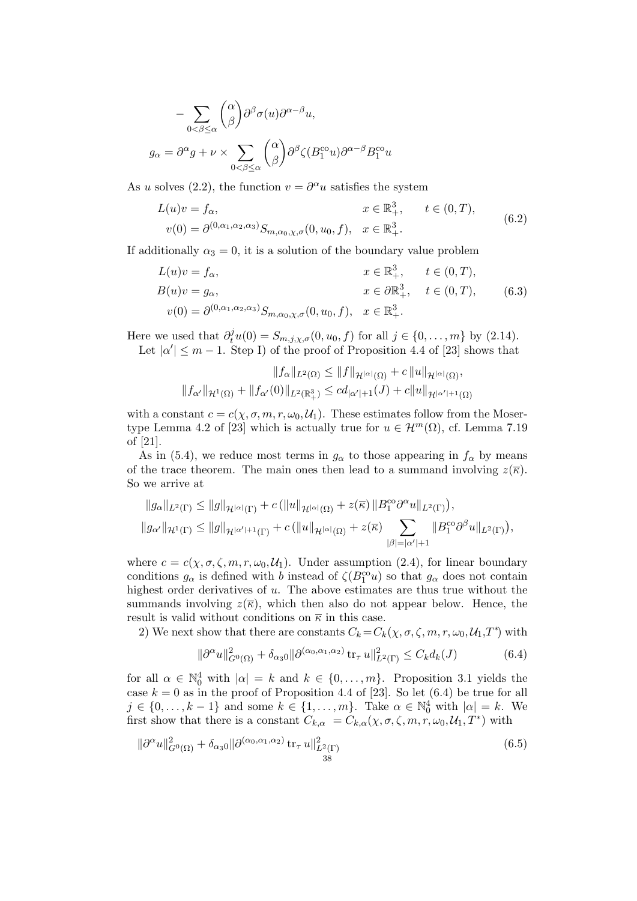$$
- \sum_{0 < \beta \le \alpha} \binom{\alpha}{\beta} \partial^{\beta} \sigma(u) \partial^{\alpha - \beta} u,
$$
\n
$$
g_{\alpha} = \partial^{\alpha} g + \nu \times \sum_{0 < \beta \le \alpha} \binom{\alpha}{\beta} \partial^{\beta} \zeta(B_1^{\text{co}} u) \partial^{\alpha - \beta} B_1^{\text{co}} u
$$

As u solves (2.2), the function  $v = \partial^{\alpha} u$  satisfies the system

$$
L(u)v = f_{\alpha}, \qquad x \in \mathbb{R}^{3}_{+}, \qquad t \in (0, T),
$$
  

$$
v(0) = \partial^{(0, \alpha_1, \alpha_2, \alpha_3)} S_{m, \alpha_0, \chi, \sigma}(0, u_0, f), \quad x \in \mathbb{R}^{3}_{+}.
$$
 (6.2)

If additionally  $\alpha_3 = 0$ , it is a solution of the boundary value problem

$$
L(u)v = f_{\alpha}, \t x \in \mathbb{R}^{3}_{+}, t \in (0, T),
$$
  
\n
$$
B(u)v = g_{\alpha}, \t x \in \partial \mathbb{R}^{3}_{+}, t \in (0, T),
$$
  
\n
$$
v(0) = \partial^{(0,\alpha_{1},\alpha_{2},\alpha_{3})} S_{m,\alpha_{0},\chi,\sigma}(0, u_{0}, f), x \in \mathbb{R}^{3}_{+}.
$$
  
\n(6.3)

Here we used that  $\partial_t^j u(0) = S_{m,j,\chi,\sigma}(0, u_0, f)$  for all  $j \in \{0, \ldots, m\}$  by (2.14). Let  $|\alpha'| \leq m-1$ . Step I) of the proof of Proposition 4.4 of [23] shows that

$$
||f_{\alpha}||_{L^{2}(\Omega)} \leq ||f||_{\mathcal{H}^{|\alpha|}(\Omega)} + c ||u||_{\mathcal{H}^{|\alpha|}(\Omega)},
$$
  

$$
||f_{\alpha'}||_{\mathcal{H}^{1}(\Omega)} + ||f_{\alpha'}(0)||_{L^{2}(\mathbb{R}^{3}_{+})} \leq cd_{|\alpha'|+1}(J) + c ||u||_{\mathcal{H}^{|\alpha'|+1}(\Omega)}
$$

with a constant  $c = c(\chi, \sigma, m, r, \omega_0, \mathcal{U}_1)$ . These estimates follow from the Mosertype Lemma 4.2 of [23] which is actually true for  $u \in \mathcal{H}^m(\Omega)$ , cf. Lemma 7.19 of [21].

As in (5.4), we reduce most terms in  $g_{\alpha}$  to those appearing in  $f_{\alpha}$  by means of the trace theorem. The main ones then lead to a summand involving  $z(\overline{\kappa})$ . So we arrive at

$$
||g_{\alpha}||_{L^{2}(\Gamma)} \leq ||g||_{\mathcal{H}^{|\alpha|}(\Gamma)} + c (||u||_{\mathcal{H}^{|\alpha|}(\Omega)} + z(\overline{\kappa}) ||B_{1}^{\text{co}} \partial^{\alpha} u||_{L^{2}(\Gamma)}),
$$
  

$$
||g_{\alpha'}||_{\mathcal{H}^{1}(\Gamma)} \leq ||g||_{\mathcal{H}^{|\alpha'|+1}(\Gamma)} + c (||u||_{\mathcal{H}^{|\alpha|}(\Omega)} + z(\overline{\kappa}) \sum_{|\beta|=|\alpha'|+1} ||B_{1}^{\text{co}} \partial^{\beta} u||_{L^{2}(\Gamma)}),
$$

where  $c = c(\chi, \sigma, \zeta, m, r, \omega_0, \mathcal{U}_1)$ . Under assumption (2.4), for linear boundary conditions  $g_{\alpha}$  is defined with b instead of  $\zeta(B_1^{co}u)$  so that  $g_{\alpha}$  does not contain highest order derivatives of u. The above estimates are thus true without the summands involving  $z(\overline{\kappa})$ , which then also do not appear below. Hence, the result is valid without conditions on  $\bar{\kappa}$  in this case.

2) We next show that there are constants  $C_k = C_k(\chi, \sigma, \zeta, m, r, \omega_0, \mathcal{U}_1, T^*)$  with

$$
\|\partial^{\alpha}u\|_{G^{0}(\Omega)}^{2} + \delta_{\alpha}^{0}\|\partial^{(\alpha_{0},\alpha_{1},\alpha_{2})}\operatorname{tr}_{\tau}u\|_{L^{2}(\Gamma)}^{2} \leq C_{k}d_{k}(J) \tag{6.4}
$$

for all  $\alpha \in \mathbb{N}_0^4$  with  $|\alpha| = k$  and  $k \in \{0, ..., m\}$ . Proposition 3.1 yields the case  $k = 0$  as in the proof of Proposition 4.4 of [23]. So let (6.4) be true for all  $j \in \{0, \ldots, k-1\}$  and some  $k \in \{1, \ldots, m\}$ . Take  $\alpha \in \mathbb{N}_0^4$  with  $|\alpha| = k$ . We first show that there is a constant  $C_{k,\alpha} = C_{k,\alpha}(\chi,\sigma,\zeta,m,r,\omega_0,\mathcal{U}_1,T^*)$  with

$$
\|\partial^{\alpha}u\|_{G^{0}(\Omega)}^{2} + \delta_{\alpha_{3}0} \|\partial^{(\alpha_{0}, \alpha_{1}, \alpha_{2})} \operatorname{tr}_{\tau} u\|_{L^{2}(\Gamma)}^{2} \tag{6.5}
$$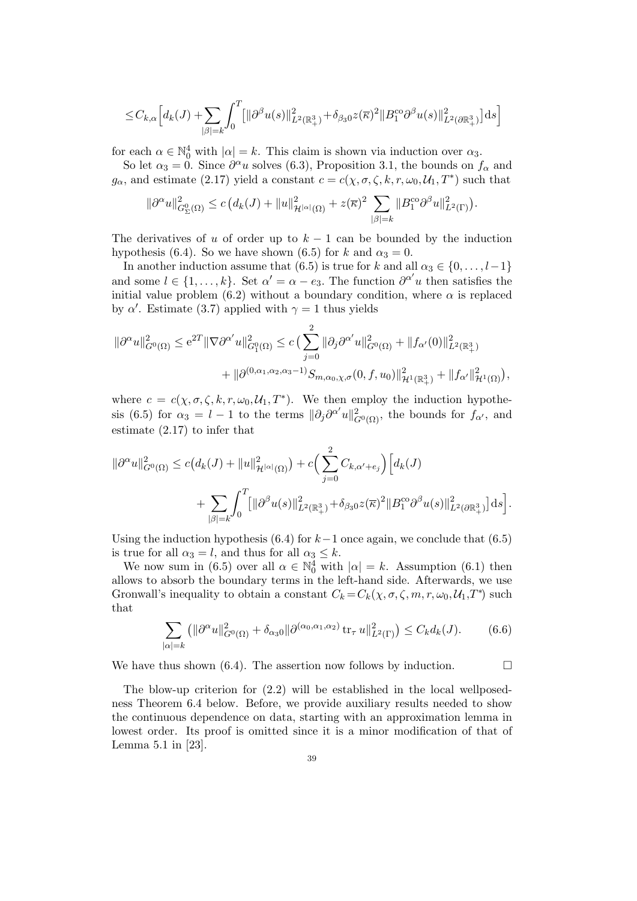$$
\leq C_{k,\alpha}\Big[d_{k}(J)+\sum_{|\beta|=k}\int_{0}^{T}[\|\partial^{\beta}u(s)\|_{L^{2}(\mathbb{R}^{3}_{+})}^{2}+\delta_{\beta_{3}0}z(\overline{\kappa})^{2}\|B_{1}^{\cos}\partial^{\beta}u(s)\|_{L^{2}(\partial\mathbb{R}^{3}_{+})}^{2}\Big]ds\Big]
$$

for each  $\alpha \in \mathbb{N}_0^4$  with  $|\alpha| = k$ . This claim is shown via induction over  $\alpha_3$ .

So let  $\alpha_3 = 0$ . Since  $\partial^{\alpha} u$  solves (6.3), Proposition 3.1, the bounds on  $f_{\alpha}$  and  $g_{\alpha}$ , and estimate (2.17) yield a constant  $c = c(\chi, \sigma, \zeta, k, r, \omega_0, \mathcal{U}_1, T^*)$  such that

$$
\|\partial^{\alpha}u\|_{G_{\Sigma}^{0}(\Omega)}^{2} \leq c\left(d_{k}(J) + \|u\|_{\mathcal{H}^{|\alpha|}(\Omega)}^{2} + z(\overline{\kappa})^{2} \sum_{|\beta|=k} \|B_{1}^{\cos}\partial^{\beta}u\|_{L^{2}(\Gamma)}^{2}\right).
$$

The derivatives of u of order up to  $k - 1$  can be bounded by the induction hypothesis (6.4). So we have shown (6.5) for k and  $\alpha_3 = 0$ .

In another induction assume that (6.5) is true for k and all  $\alpha_3 \in \{0, \ldots, l-1\}$ and some  $l \in \{1, ..., k\}$ . Set  $\alpha' = \alpha - e_3$ . The function  $\partial^{\alpha'} u$  then satisfies the initial value problem (6.2) without a boundary condition, where  $\alpha$  is replaced by  $\alpha'$ . Estimate (3.7) applied with  $\gamma = 1$  thus yields

$$
\|\partial^{\alpha}u\|_{G^{0}(\Omega)}^{2} \leq e^{2T}\|\nabla\partial^{\alpha'}u\|_{G_{1}^{0}(\Omega)}^{2} \leq c\left(\sum_{j=0}^{2}\|\partial_{j}\partial^{\alpha'}u\|_{G^{0}(\Omega)}^{2} + \|f_{\alpha'}(0)\|_{L^{2}(\mathbb{R}^{3}_{+})}^{2}\right) + \|\partial^{(0,\alpha_{1},\alpha_{2},\alpha_{3}-1)}S_{m,\alpha_{0},\chi,\sigma}(0,f,u_{0})\|_{\mathcal{H}^{1}(\mathbb{R}^{3}_{+})}^{2} + \|f_{\alpha'}\|_{\mathcal{H}^{1}(\Omega)}^{2}\right),
$$

where  $c = c(\chi, \sigma, \zeta, k, r, \omega_0, \mathcal{U}_1, T^*)$ . We then employ the induction hypothesis (6.5) for  $\alpha_3 = l - 1$  to the terms  $\|\partial_j \partial^{\alpha'} u\|_{G^0(\Omega)}^2$ , the bounds for  $f_{\alpha'}$ , and estimate (2.17) to infer that

$$
\|\partial^{\alpha}u\|_{G^{0}(\Omega)}^{2} \leq c\big(d_{k}(J) + \|u\|_{\mathcal{H}^{|\alpha|}(\Omega)}^{2}\big) + c\Big(\sum_{j=0}^{2} C_{k,\alpha'+e_{j}}\Big) \Big[d_{k}(J) + \sum_{|\beta|=k} \int_{0}^{T} \big[ \|\partial^{\beta}u(s)\|_{L^{2}(\mathbb{R}^{3}_{+})}^{2} + \delta_{\beta_{3}0}z(\overline{\kappa})^{2} \|B_{1}^{\cos}\partial^{\beta}u(s)\|_{L^{2}(\partial\mathbb{R}^{3}_{+})}^{2}\big]ds\Big].
$$

Using the induction hypothesis (6.4) for  $k-1$  once again, we conclude that (6.5) is true for all  $\alpha_3 = l$ , and thus for all  $\alpha_3 \leq k$ .

We now sum in (6.5) over all  $\alpha \in \mathbb{N}_0^4$  with  $|\alpha| = k$ . Assumption (6.1) then allows to absorb the boundary terms in the left-hand side. Afterwards, we use Gronwall's inequality to obtain a constant  $C_k = C_k(\chi, \sigma, \zeta, m, r, \omega_0, \mathcal{U}_1, T^*)$  such that

$$
\sum_{|\alpha|=k} \left( \|\partial^{\alpha} u\|_{G^0(\Omega)}^2 + \delta_{\alpha_3 0} \|\partial^{(\alpha_0, \alpha_1, \alpha_2)} \operatorname{tr}_{\tau} u\|_{L^2(\Gamma)}^2 \right) \le C_k d_k(J). \tag{6.6}
$$

We have thus shown (6.4). The assertion now follows by induction.  $\Box$ 

The blow-up criterion for (2.2) will be established in the local wellposedness Theorem 6.4 below. Before, we provide auxiliary results needed to show the continuous dependence on data, starting with an approximation lemma in lowest order. Its proof is omitted since it is a minor modification of that of Lemma 5.1 in [23].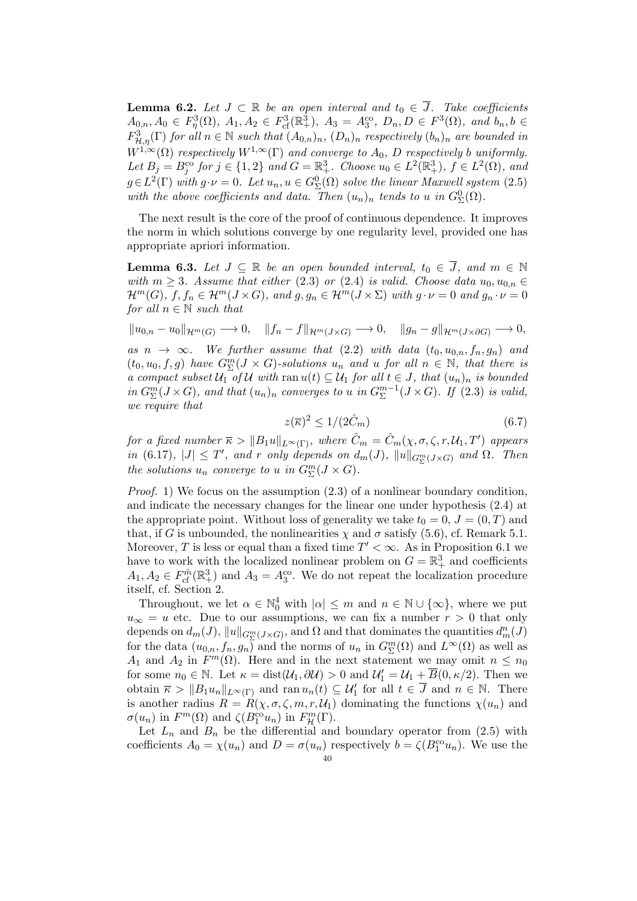**Lemma 6.2.** Let  $J \subset \mathbb{R}$  be an open interval and  $t_0 \in \overline{J}$ . Take coefficients  $A_{0,n}, A_0 \in F_\eta^3(\Omega)$ ,  $A_1, A_2 \in F_{cf}^3(\mathbb{R}^3_+)$ ,  $A_3 = A_3^{\text{co}}, D_n, D \in F^3(\Omega)$ , and  $b_n, b \in$  $F^3_{\mathcal{H},\eta}(\Gamma)$  for all  $n \in \mathbb{N}$  such that  $(A_{0,n})_n$ ,  $(D_n)_n$  respectively  $(b_n)_n$  are bounded in  $W^{1,\infty}(\Omega)$  respectively  $W^{1,\infty}(\Gamma)$  and converge to  $A_0$ , D respectively b uniformly. Let  $B_j = B_j^{\rm co}$  for  $j \in \{1,2\}$  and  $G = \mathbb{R}^3_+$ . Choose  $u_0 \in L^2(\mathbb{R}^3_+)$ ,  $f \in L^2(\Omega)$ , and  $g \in L^2(\Gamma)$  with  $g \cdot \nu = 0$ . Let  $u_n, u \in G^0_{\Sigma}(\Omega)$  solve the linear Maxwell system (2.5) with the above coefficients and data. Then  $(u_n)_n$  tends to u in  $G_{\Sigma}^{0}(\Omega)$ .

The next result is the core of the proof of continuous dependence. It improves the norm in which solutions converge by one regularity level, provided one has appropriate apriori information.

**Lemma 6.3.** Let  $J \subseteq \mathbb{R}$  be an open bounded interval,  $t_0 \in \overline{J}$ , and  $m \in \mathbb{N}$ with  $m \geq 3$ . Assume that either (2.3) or (2.4) is valid. Choose data  $u_0, u_{0,n} \in$  $\mathcal{H}^m(G)$ ,  $f, f_n \in \mathcal{H}^m(J \times G)$ , and  $g, g_n \in \mathcal{H}^m(J \times \Sigma)$  with  $g \cdot \nu = 0$  and  $g_n \cdot \nu = 0$ for all  $n \in \mathbb{N}$  such that

 $\|u_{0,n} - u_0\|_{\mathcal{H}^m(G)} \longrightarrow 0, \quad \|f_n - f\|_{\mathcal{H}^m(J \times G)} \longrightarrow 0, \quad \|g_n - g\|_{\mathcal{H}^m(J \times \partial G)} \longrightarrow 0,$ 

as  $n \to \infty$ . We further assume that (2.2) with data  $(t_0, u_{0,n}, f_n, g_n)$  and  $(t_0, u_0, f, g)$  have  $G^m_{\Sigma}(J \times G)$ -solutions  $u_n$  and  $u$  for all  $n \in \mathbb{N}$ , that there is a compact subset  $\mathcal{U}_1$  of  $\mathcal{U}$  with ran  $u(t) \subseteq \mathcal{U}_1$  for all  $t \in J$ , that  $(u_n)_n$  is bounded  $in G_{\Sigma}^{m}(J\times G)$ , and that  $(u_{n})_{n}$  converges to u in  $G_{\Sigma}^{m-1}$  $\mathbb{Z}^{m-1}(J\times G)$ . If  $(2.3)$  is valid, we require that

$$
z(\overline{\kappa})^2 \le 1/(2\hat{C}_m) \tag{6.7}
$$

for a fixed number  $\overline{\kappa} > ||B_1u||_{L^{\infty}(\Gamma)}$ , where  $\hat{C}_m = \hat{C}_m(\chi, \sigma, \zeta, r, \mathcal{U}_1, T')$  appears in (6.17),  $|J| \leq T'$ , and r only depends on  $d_m(J)$ ,  $||u||_{G_{\Sigma}^m(J \times G)}$  and  $\Omega$ . Then the solutions  $u_n$  converge to u in  $G^m_{\Sigma}(J \times G)$ .

*Proof.* 1) We focus on the assumption  $(2.3)$  of a nonlinear boundary condition, and indicate the necessary changes for the linear one under hypothesis (2.4) at the appropriate point. Without loss of generality we take  $t_0 = 0, J = (0, T)$  and that, if G is unbounded, the nonlinearities  $\chi$  and  $\sigma$  satisfy (5.6), cf. Remark 5.1. Moreover, T is less or equal than a fixed time  $T' < \infty$ . As in Proposition 6.1 we have to work with the localized nonlinear problem on  $G = \mathbb{R}^3_+$  and coefficients  $A_1, A_2 \in F_{\text{cf}}^{\tilde{m}}(\mathbb{R}^3_+)$  and  $A_3 = A_3^{\text{co}}$ . We do not repeat the localization procedure itself, cf. Section 2.

Throughout, we let  $\alpha \in \mathbb{N}_0^4$  with  $|\alpha| \leq m$  and  $n \in \mathbb{N} \cup \{\infty\}$ , where we put  $u_{\infty} = u$  etc. Due to our assumptions, we can fix a number  $r > 0$  that only depends on  $d_m(J)$ ,  $\|u\|_{G^m_\Sigma(J\times G)}$ , and  $\Omega$  and that dominates the quantities  $d_m^n(J)$ for the data  $(u_{0,n}, f_n, g_n)$  and the norms of  $u_n$  in  $G^m_{\Sigma}(\Omega)$  and  $L^{\infty}(\Omega)$  as well as  $A_1$  and  $A_2$  in  $F^m(\Omega)$ . Here and in the next statement we may omit  $n \leq n_0$ for some  $n_0 \in \mathbb{N}$ . Let  $\kappa = \text{dist}(\mathcal{U}_1, \partial \mathcal{U}) > 0$  and  $\mathcal{U}_1' = \mathcal{U}_1 + \overline{B}(0, \kappa/2)$ . Then we obtain  $\bar{\kappa} > ||B_1 u_n||_{L^{\infty}(\Gamma)}$  and ran  $u_n(t) \subseteq \mathcal{U}'_1$  for all  $t \in \bar{J}$  and  $n \in \mathbb{N}$ . There is another radius  $R = R(\chi, \sigma, \zeta, m, r, \mathcal{U}_1)$  dominating the functions  $\chi(u_n)$  and  $\sigma(u_n)$  in  $F^m(\Omega)$  and  $\zeta(B_1^{\text{co}}u_n)$  in  $F^m_{\mathcal{H}}(\Gamma)$ .

Let  $L_n$  and  $B_n$  be the differential and boundary operator from (2.5) with coefficients  $A_0 = \chi(u_n)$  and  $D = \sigma(u_n)$  respectively  $b = \zeta(B_1^{\text{co}}u_n)$ . We use the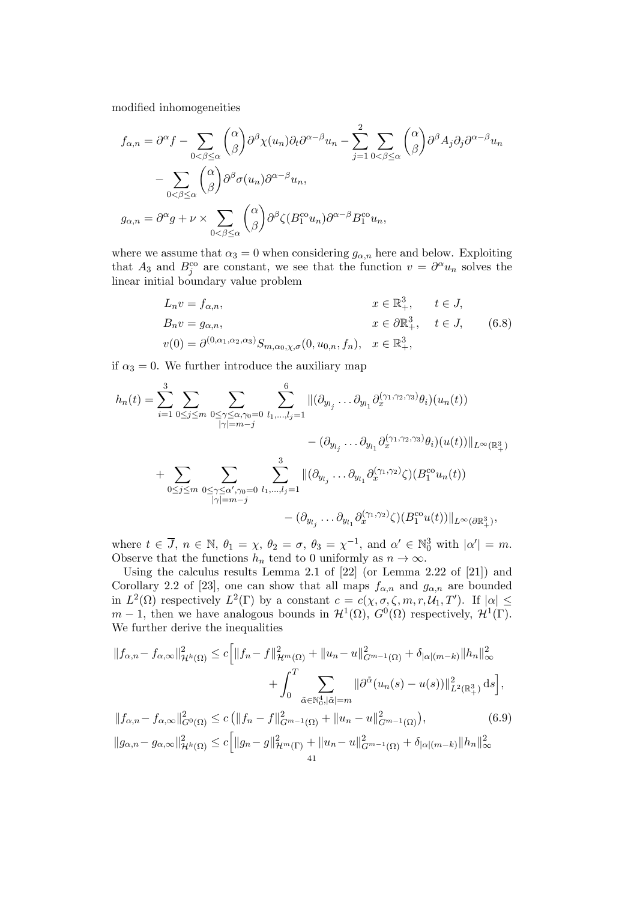modified inhomogeneities

$$
f_{\alpha,n} = \partial^{\alpha} f - \sum_{0 < \beta \leq \alpha} \binom{\alpha}{\beta} \partial^{\beta} \chi(u_n) \partial_t \partial^{\alpha-\beta} u_n - \sum_{j=1}^2 \sum_{0 < \beta \leq \alpha} \binom{\alpha}{\beta} \partial^{\beta} A_j \partial_j \partial^{\alpha-\beta} u_n
$$
\n
$$
- \sum_{0 < \beta \leq \alpha} \binom{\alpha}{\beta} \partial^{\beta} \sigma(u_n) \partial^{\alpha-\beta} u_n,
$$
\n
$$
g_{\alpha,n} = \partial^{\alpha} g + \nu \times \sum_{0 < \beta \leq \alpha} \binom{\alpha}{\beta} \partial^{\beta} \zeta(B_1^{\text{co}} u_n) \partial^{\alpha-\beta} B_1^{\text{co}} u_n,
$$

where we assume that  $\alpha_3 = 0$  when considering  $g_{\alpha,n}$  here and below. Exploiting that  $A_3$  and  $B_j^{co}$  are constant, we see that the function  $v = \partial^{\alpha} u_n$  solves the linear initial boundary value problem

$$
L_n v = f_{\alpha,n}, \t x \in \mathbb{R}^3_+, \t t \in J,
$$
  
\n
$$
B_n v = g_{\alpha,n}, \t x \in \partial \mathbb{R}^3_+, \t t \in J, \t (6.8)
$$
  
\n
$$
v(0) = \partial^{(0,\alpha_1,\alpha_2,\alpha_3)} S_{m,\alpha_0,\chi,\sigma}(0,u_{0,n},f_n), \t x \in \mathbb{R}^3_+,
$$

if  $\alpha_3 = 0$ . We further introduce the auxiliary map

$$
h_n(t) = \sum_{i=1}^3 \sum_{0 \le j \le m} \sum_{\substack{0 \le \gamma \le \alpha, \gamma_0 = 0 \\ |\gamma| = m - j}} \sum_{\substack{l_1, \ldots, l_j = 1 \\ l_j = m - j}}^6 \|( \partial_{y_{l_j}} \ldots \partial_{y_{l_1}} \partial_x^{(\gamma_1, \gamma_2, \gamma_3)} \theta_i)(u_n(t))
$$
  

$$
+ \sum_{0 \le j \le m} \sum_{\substack{0 \le \gamma \le \alpha', \gamma_0 = 0 \\ |\gamma| = m - j}} \sum_{\substack{l_1, \ldots, l_j = 1 \\ l_j = m - j}}^3 \|( \partial_{y_{l_j}} \ldots \partial_{y_{l_1}} \partial_x^{(\gamma_1, \gamma_2, \gamma_3)} \zeta)(B_1^{\text{co}} u_n(t))\|_{L^{\infty}(\mathbb{R}^3_+)},
$$

where  $t \in \overline{J}$ ,  $n \in \mathbb{N}$ ,  $\theta_1 = \chi$ ,  $\theta_2 = \sigma$ ,  $\theta_3 = \chi^{-1}$ , and  $\alpha' \in \mathbb{N}_0^3$  with  $|\alpha'| = m$ . Observe that the functions  $h_n$  tend to 0 uniformly as  $n \to \infty$ .

Using the calculus results Lemma 2.1 of [22] (or Lemma 2.22 of [21]) and Corollary 2.2 of [23], one can show that all maps  $f_{\alpha,n}$  and  $g_{\alpha,n}$  are bounded in  $L^2(\Omega)$  respectively  $L^2(\Gamma)$  by a constant  $c = c(\chi, \sigma, \zeta, m, r, \mathcal{U}_1, T')$ . If  $|\alpha| \leq$  $m-1$ , then we have analogous bounds in  $\mathcal{H}^1(\Omega)$ ,  $G^0(\Omega)$  respectively,  $\mathcal{H}^1(\Gamma)$ . We further derive the inequalities

$$
||f_{\alpha,n} - f_{\alpha,\infty}||_{\mathcal{H}^k(\Omega)}^2 \le c \Big[ ||f_n - f||_{\mathcal{H}^m(\Omega)}^2 + ||u_n - u||_{G^{m-1}(\Omega)}^2 + \delta_{|\alpha|(m-k)}||h_n||_{\infty}^2 + \int_0^T \sum_{\tilde{\alpha} \in \mathbb{N}_0^4, |\tilde{\alpha}| = m} ||\partial^{\tilde{\alpha}}(u_n(s) - u(s))||_{L^2(\mathbb{R}_+^3)}^2 ds \Big],
$$
  

$$
||f_{\alpha,n} - f_{\alpha,\infty}||_{G^0(\Omega)}^2 \le c \left( ||f_n - f||_{G^{m-1}(\Omega)}^2 + ||u_n - u||_{G^{m-1}(\Omega)}^2 \right),
$$
  

$$
||g_{\alpha,n} - g_{\alpha,\infty}||_{\mathcal{H}^k(\Omega)}^2 \le c \Big[ ||g_n - g||_{\mathcal{H}^m(\Gamma)}^2 + ||u_n - u||_{G^{m-1}(\Omega)}^2 + \delta_{|\alpha|(m-k)}||h_n||_{\infty}^2 + \delta_{|\alpha|(m-k)}||h_n||_{\infty}^2 \Big]
$$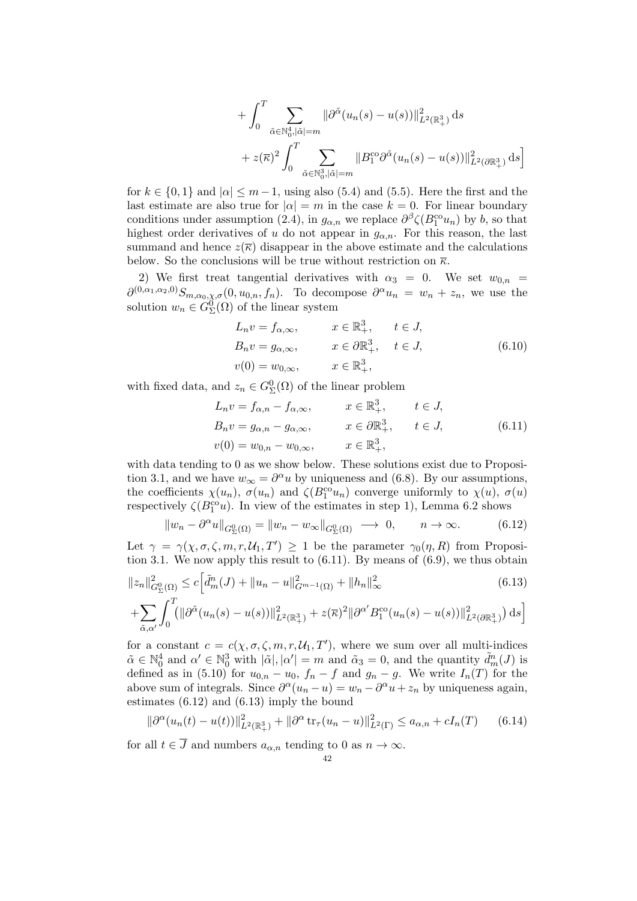+ 
$$
\int_0^T \sum_{\tilde{\alpha} \in \mathbb{N}_0^4, |\tilde{\alpha}| = m} ||\partial^{\tilde{\alpha}}(u_n(s) - u(s))||_{L^2(\mathbb{R}^3_+)}^2 ds
$$
  
+ 
$$
z(\overline{\kappa})^2 \int_0^T \sum_{\tilde{\alpha} \in \mathbb{N}_0^3, |\tilde{\alpha}| = m} ||B_1^{\text{co}} \partial^{\tilde{\alpha}}(u_n(s) - u(s))||_{L^2(\partial \mathbb{R}^3_+)}^2 ds
$$

for  $k \in \{0,1\}$  and  $|\alpha| \leq m-1$ , using also (5.4) and (5.5). Here the first and the last estimate are also true for  $|\alpha| = m$  in the case  $k = 0$ . For linear boundary conditions under assumption (2.4), in  $g_{\alpha,n}$  we replace  $\partial^{\beta} \zeta (B_1^{\text{co}} u_n)$  by b, so that highest order derivatives of u do not appear in  $g_{\alpha,n}$ . For this reason, the last summand and hence  $z(\overline{\kappa})$  disappear in the above estimate and the calculations below. So the conclusions will be true without restriction on  $\bar{\kappa}$ .

2) We first treat tangential derivatives with  $\alpha_3 = 0$ . We set  $w_{0,n} =$  $\partial^{(0,\alpha_1,\alpha_2,0)} S_{m,\alpha_0,\chi,\sigma}(0,u_{0,n},f_n)$ . To decompose  $\partial^{\alpha} u_n = w_n + z_n$ , we use the solution  $w_n \in G^0_{\Sigma}(\Omega)$  of the linear system

$$
L_n v = f_{\alpha,\infty}, \qquad x \in \mathbb{R}^3_+, \qquad t \in J,
$$
  
\n
$$
B_n v = g_{\alpha,\infty}, \qquad x \in \partial \mathbb{R}^3_+, \qquad t \in J,
$$
  
\n
$$
v(0) = w_{0,\infty}, \qquad x \in \mathbb{R}^3_+, \qquad (6.10)
$$

with fixed data, and  $z_n \in G_{\Sigma}^0(\Omega)$  of the linear problem

$$
L_n v = f_{\alpha,n} - f_{\alpha,\infty}, \qquad x \in \mathbb{R}^3_+, \qquad t \in J,
$$
  
\n
$$
B_n v = g_{\alpha,n} - g_{\alpha,\infty}, \qquad x \in \partial \mathbb{R}^3_+, \qquad t \in J,
$$
  
\n
$$
v(0) = w_{0,n} - w_{0,\infty}, \qquad x \in \mathbb{R}^3_+, \qquad (6.11)
$$

with data tending to 0 as we show below. These solutions exist due to Proposition 3.1, and we have  $w_{\infty} = \partial^{\alpha} u$  by uniqueness and (6.8). By our assumptions, the coefficients  $\chi(u_n)$ ,  $\sigma(u_n)$  and  $\zeta(B_1^{\text{co}} u_n)$  converge uniformly to  $\chi(u)$ ,  $\sigma(u)$ respectively  $\zeta(B_1^{\text{co}}u)$ . In view of the estimates in step 1), Lemma 6.2 shows

$$
||w_n - \partial^{\alpha}u||_{G_{\Sigma}^{0}(\Omega)} = ||w_n - w_{\infty}||_{G_{\Sigma}^{0}(\Omega)} \longrightarrow 0, \qquad n \to \infty.
$$
 (6.12)

Let  $\gamma = \gamma(\chi, \sigma, \zeta, m, r, \mathcal{U}_1, T') \geq 1$  be the parameter  $\gamma_0(\eta, R)$  from Proposition 3.1. We now apply this result to  $(6.11)$ . By means of  $(6.9)$ , we thus obtain

$$
||z_{n}||_{G_{\Sigma}^{0}(\Omega)}^{2} \leq c \Big[\tilde{d}_{m}^{n}(J) + ||u_{n} - u||_{G^{m-1}(\Omega)}^{2} + ||h_{n}||_{\infty}^{2} \qquad (6.13)
$$
  
+ 
$$
\sum_{\tilde{\alpha},\alpha'} \int_{0}^{T} (||\partial^{\tilde{\alpha}}(u_{n}(s) - u(s))||_{L^{2}(\mathbb{R}_{+}^{3})}^{2} + z(\overline{\kappa})^{2} ||\partial^{\alpha'}B_{1}^{\text{co}}(u_{n}(s) - u(s))||_{L^{2}(\partial\mathbb{R}_{+}^{3})}^{2} ds \Big]
$$

for a constant  $c = c(\chi, \sigma, \zeta, m, r, \mathcal{U}_1, T')$ , where we sum over all multi-indices  $\tilde{\alpha} \in \mathbb{N}_0^4$  and  $\alpha' \in \mathbb{N}_0^3$  with  $|\tilde{\alpha}|, |\alpha'| = m$  and  $\tilde{\alpha}_3 = 0$ , and the quantity  $\tilde{d}_m^n(J)$  is defined as in (5.10) for  $u_{0,n} - u_0$ ,  $f_n - f$  and  $g_n - g$ . We write  $I_n(T)$  for the above sum of integrals. Since  $\partial^{\alpha}(u_n - u) = w_n - \partial^{\alpha}u + z_n$  by uniqueness again, estimates (6.12) and (6.13) imply the bound

$$
\|\partial^{\alpha}(u_n(t) - u(t))\|_{L^2(\mathbb{R}^3_+)}^2 + \|\partial^{\alpha} \operatorname{tr}_{\tau}(u_n - u)\|_{L^2(\Gamma)}^2 \le a_{\alpha,n} + cI_n(T) \qquad (6.14)
$$

for all  $t \in \overline{J}$  and numbers  $a_{\alpha,n}$  tending to 0 as  $n \to \infty$ .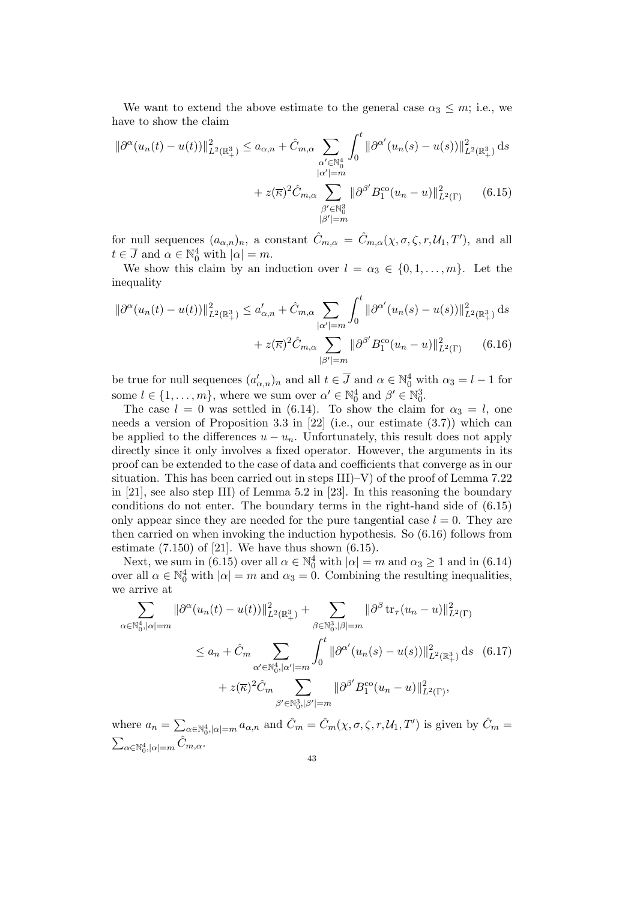We want to extend the above estimate to the general case  $\alpha_3 \leq m$ ; i.e., we have to show the claim

$$
\|\partial^{\alpha}(u_{n}(t) - u(t))\|_{L^{2}(\mathbb{R}^{3}_{+})}^{2} \leq a_{\alpha,n} + \hat{C}_{m,\alpha} \sum_{\substack{\alpha' \in \mathbb{N}_{0}^{4} \\ |\alpha'| = m}} \int_{0}^{t} \|\partial^{\alpha'}(u_{n}(s) - u(s))\|_{L^{2}(\mathbb{R}^{3}_{+})}^{2} ds
$$

$$
+ z(\overline{\kappa})^{2} \hat{C}_{m,\alpha} \sum_{\substack{\beta' \in \mathbb{N}_{0}^{3} \\ |\beta'| = m}} \|\partial^{\beta'}B_{1}^{\text{co}}(u_{n} - u)\|_{L^{2}(\Gamma)}^{2} \qquad (6.15)
$$

for null sequences  $(a_{\alpha,n})_n$ , a constant  $\hat{C}_{m,\alpha} = \hat{C}_{m,\alpha}(\chi,\sigma,\zeta,r,\mathcal{U}_1,T')$ , and all  $t \in \overline{J}$  and  $\alpha \in \mathbb{N}_0^4$  with  $|\alpha| = m$ .

We show this claim by an induction over  $l = \alpha_3 \in \{0, 1, \ldots, m\}$ . Let the inequality

$$
\|\partial^{\alpha}(u_n(t) - u(t))\|_{L^2(\mathbb{R}^3_+)}^2 \le a'_{\alpha,n} + \hat{C}_{m,\alpha} \sum_{|\alpha'|=m} \int_0^t \|\partial^{\alpha'}(u_n(s) - u(s))\|_{L^2(\mathbb{R}^3_+)}^2 ds
$$
  
+  $z(\overline{\kappa})^2 \hat{C}_{m,\alpha} \sum_{|\beta'|=m} \|\partial^{\beta'} B_1^{\text{co}}(u_n - u)\|_{L^2(\Gamma)}^2$  (6.16)

be true for null sequences  $(a'_{\alpha,n})_n$  and all  $t \in \overline{J}$  and  $\alpha \in \mathbb{N}_0^4$  with  $\alpha_3 = l - 1$  for some  $l \in \{1, \ldots, m\}$ , where we sum over  $\alpha' \in \mathbb{N}_0^4$  and  $\beta' \in \mathbb{N}_0^3$ .

The case  $l = 0$  was settled in (6.14). To show the claim for  $\alpha_3 = l$ , one needs a version of Proposition 3.3 in [22] (i.e., our estimate (3.7)) which can be applied to the differences  $u - u_n$ . Unfortunately, this result does not apply directly since it only involves a fixed operator. However, the arguments in its proof can be extended to the case of data and coefficients that converge as in our situation. This has been carried out in steps III)–V) of the proof of Lemma 7.22 in [21], see also step III) of Lemma 5.2 in [23]. In this reasoning the boundary conditions do not enter. The boundary terms in the right-hand side of (6.15) only appear since they are needed for the pure tangential case  $l = 0$ . They are then carried on when invoking the induction hypothesis. So (6.16) follows from estimate  $(7.150)$  of  $[21]$ . We have thus shown  $(6.15)$ .

Next, we sum in (6.15) over all  $\alpha \in \mathbb{N}_0^4$  with  $|\alpha| = m$  and  $\alpha_3 \ge 1$  and in (6.14) over all  $\alpha \in \mathbb{N}_0^4$  with  $|\alpha| = m$  and  $\alpha_3 = 0$ . Combining the resulting inequalities, we arrive at

$$
\sum_{\alpha \in \mathbb{N}_0^4, |\alpha| = m} \|\partial^{\alpha}(u_n(t) - u(t))\|_{L^2(\mathbb{R}^3_+)}^2 + \sum_{\beta \in \mathbb{N}_0^3, |\beta| = m} \|\partial^{\beta} \text{tr}_{\tau}(u_n - u)\|_{L^2(\Gamma)}^2
$$
\n
$$
\le a_n + \hat{C}_m \sum_{\alpha' \in \mathbb{N}_0^4, |\alpha'| = m} \int_0^t \|\partial^{\alpha'}(u_n(s) - u(s))\|_{L^2(\mathbb{R}^3_+)}^2 ds \quad (6.17)
$$
\n
$$
+ z(\overline{\kappa})^2 \hat{C}_m \sum_{\beta' \in \mathbb{N}_0^3, |\beta'| = m} \|\partial^{\beta'} B_1^{\text{co}}(u_n - u)\|_{L^2(\Gamma)}^2,
$$

where  $a_n = \sum_{\alpha \in \mathbb{N}_0^4, |\alpha| = m} a_{\alpha,n}$  and  $\hat{C}_m = \hat{C}_m(\chi, \sigma, \zeta, r, \mathcal{U}_1, T')$  is given by  $\hat{C}_m =$  $\sum_{\alpha \in \mathbb{N}_0^4, |\alpha| = m} \hat{C}_{m,\alpha}.$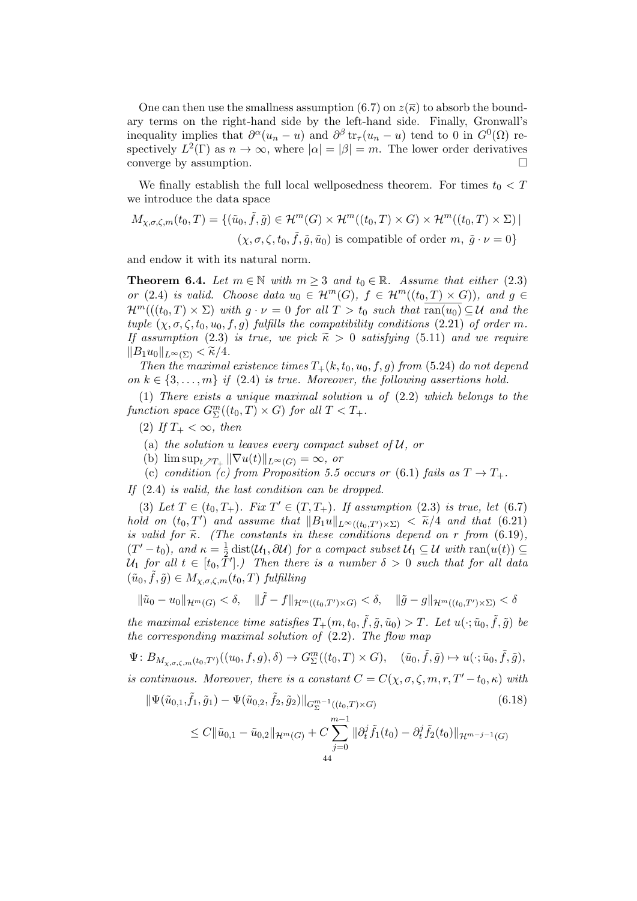One can then use the smallness assumption (6.7) on  $z(\overline{\kappa})$  to absorb the boundary terms on the right-hand side by the left-hand side. Finally, Gronwall's inequality implies that  $\partial^{\alpha}(u_n - u)$  and  $\partial^{\beta} \text{tr}_{\tau}(u_n - u)$  tend to 0 in  $G^0(\Omega)$  respectively  $L^2(\Gamma)$  as  $n \to \infty$ , where  $|\alpha| = |\beta| = m$ . The lower order derivatives converge by assumption.  $\Box$ 

We finally establish the full local wellposedness theorem. For times  $t_0 < T$ we introduce the data space

$$
M_{\chi,\sigma,\zeta,m}(t_0,T) = \{ (\tilde{u}_0,\tilde{f},\tilde{g}) \in \mathcal{H}^m(G) \times \mathcal{H}^m((t_0,T) \times G) \times \mathcal{H}^m((t_0,T) \times \Sigma) |
$$
  

$$
(\chi,\sigma,\zeta,t_0,\tilde{f},\tilde{g},\tilde{u}_0) \text{ is compatible of order } m, \tilde{g} \cdot \nu = 0 \}
$$

and endow it with its natural norm.

**Theorem 6.4.** Let  $m \in \mathbb{N}$  with  $m \geq 3$  and  $t_0 \in \mathbb{R}$ . Assume that either (2.3) or (2.4) is valid. Choose data  $u_0 \in \mathcal{H}^m(G)$ ,  $f \in \mathcal{H}^m((t_0,T) \times G)$ , and  $g \in$  $\mathcal{H}^m((t_0,T)\times\Sigma)$  with  $q\cdot\nu=0$  for all  $T>t_0$  such that  $\overline{\text{ran}(u_0)}\subseteq\mathcal{U}$  and the tuple  $(\chi, \sigma, \zeta, t_0, u_0, f, g)$  fulfills the compatibility conditions (2.21) of order m. If assumption (2.3) is true, we pick  $\widetilde{\kappa} > 0$  satisfying (5.11) and we require  $||B_1u_0||_{L^{\infty}(\Sigma)} < \widetilde{\kappa}/4.$ 

Then the maximal existence times  $T_+(k, t_0, u_0, f, g)$  from (5.24) do not depend on  $k \in \{3, \ldots, m\}$  if (2.4) is true. Moreover, the following assertions hold.

(1) There exists a unique maximal solution u of (2.2) which belongs to the function space  $G^m_{\Sigma}((t_0,T) \times G)$  for all  $T < T_+$ .

- (2) If  $T_+ < \infty$ , then
- (a) the solution u leaves every compact subset of  $U$ , or
- (b)  $\limsup_{t \nearrow T_+} ||\nabla u(t)||_{L^{\infty}(G)} = \infty$ , or
- (c) condition (c) from Proposition 5.5 occurs or (6.1) fails as  $T \to T_{+}$ .

If (2.4) is valid, the last condition can be dropped.

(3) Let  $T \in (t_0, T_+)$ . Fix  $T' \in (T, T_+)$ . If assumption (2.3) is true, let (6.7) hold on  $(t_0, T')$  and assume that  $||B_1u||_{L^{\infty}((t_0, T') \times \Sigma)} < \tilde{\kappa}/4$  and that  $(6.21)$ is valid for  $\tilde{\kappa}$ . (The constants in these conditions depend on r from (6.19),  $(T'-t_0)$ , and  $\kappa = \frac{1}{2}$  $\frac{1}{2}$  dist( $\mathcal{U}_1$ ,  $\partial \mathcal{U}$ ) for a compact subset  $\mathcal{U}_1 \subseteq \mathcal{U}$  with  $\text{ran}(u(t)) \subseteq$  $\mathcal{U}_1$  for all  $t \in [t_0, \tilde{T}']$ .) Then there is a number  $\delta > 0$  such that for all data  $(\tilde{u}_0, \tilde{f}, \tilde{g}) \in M_{\chi, \sigma, \zeta, m}(t_0, T)$  fulfilling

$$
\|\tilde{u}_0 - u_0\|_{\mathcal{H}^m(G)} < \delta, \quad \|\tilde{f} - f\|_{\mathcal{H}^m((t_0, T') \times G)} < \delta, \quad \|\tilde{g} - g\|_{\mathcal{H}^m((t_0, T') \times \Sigma)} < \delta
$$

the maximal existence time satisfies  $T_+(m, t_0, \tilde{f}, \tilde{g}, \tilde{u}_0) > T$ . Let  $u(\cdot; \tilde{u}_0, \tilde{f}, \tilde{g})$  be the corresponding maximal solution of (2.2). The flow map

 $\Psi: B_{M_{\chi,\sigma,\zeta,m}(t_0,T')}((u_0,f,g),\delta) \to G^m_{\Sigma}((t_0,T)\times G), \quad (\tilde{u}_0,\tilde{f},\tilde{g})\mapsto u(\cdot;\tilde{u}_0,\tilde{f},\tilde{g}),$ is continuous. Moreover, there is a constant  $C = C(\chi, \sigma, \zeta, m, r, T'-t_0, \kappa)$  with

$$
\|\Psi(\tilde{u}_{0,1}, \tilde{f}_1, \tilde{g}_1) - \Psi(\tilde{u}_{0,2}, \tilde{f}_2, \tilde{g}_2)\|_{G_{\Sigma}^{m-1}((t_0, T) \times G)}
$$
(6.18)  

$$
\leq C \|\tilde{u}_{0,1} - \tilde{u}_{0,2}\|_{\mathcal{H}^m(G)} + C \sum_{j=0}^{m-1} \|\partial_t^j \tilde{f}_1(t_0) - \partial_t^j \tilde{f}_2(t_0)\|_{\mathcal{H}^{m-j-1}(G)}
$$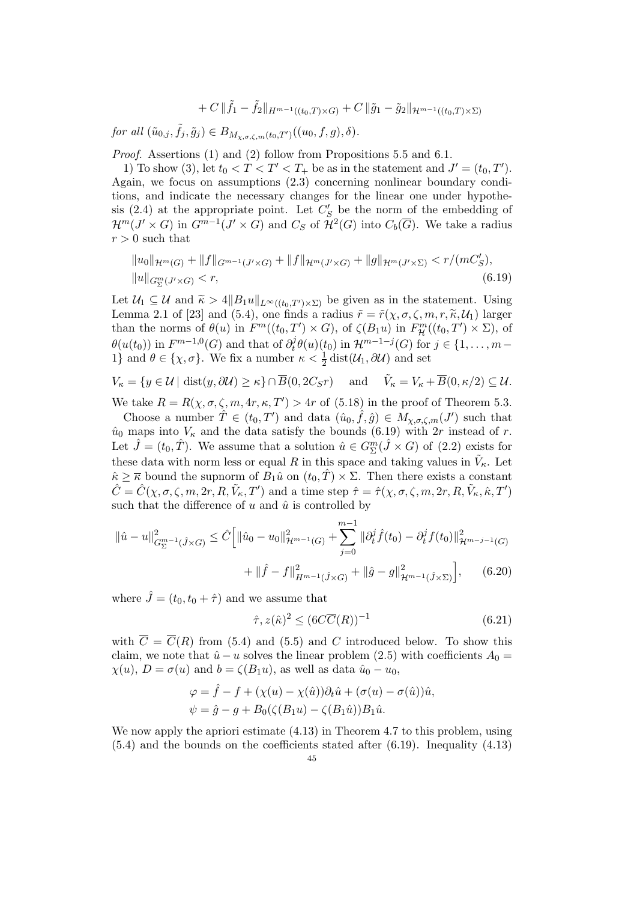$$
+ C \|\tilde{f}_1 - \tilde{f}_2\|_{H^{m-1}((t_0,T) \times G)} + C \|\tilde{g}_1 - \tilde{g}_2\|_{\mathcal{H}^{m-1}((t_0,T) \times \Sigma)}
$$

for all  $(\tilde{u}_{0,j}, \tilde{f}_j, \tilde{g}_j) \in B_{M_{\chi,\sigma,\zeta,m}(t_0,T')}((u_0, f, g), \delta).$ 

Proof. Assertions (1) and (2) follow from Propositions 5.5 and 6.1.

1) To show (3), let  $t_0 < T < T' < T_+$  be as in the statement and  $J' = (t_0, T')$ . Again, we focus on assumptions (2.3) concerning nonlinear boundary conditions, and indicate the necessary changes for the linear one under hypothesis (2.4) at the appropriate point. Let  $C'_{S}$  be the norm of the embedding of  $\mathcal{H}^m(J' \times G)$  in  $G^{m-1}(J' \times G)$  and  $C_S$  of  $\mathcal{H}^2(G)$  into  $C_b(\overline{G})$ . We take a radius  $r > 0$  such that

$$
||u_0||_{\mathcal{H}^m(G)} + ||f||_{G^{m-1}(J' \times G)} + ||f||_{\mathcal{H}^m(J' \times G)} + ||g||_{\mathcal{H}^m(J' \times \Sigma)} < r/(mC'_S),
$$
  
\n
$$
||u||_{G^m_{\Sigma}(J' \times G)} < r,
$$
\n(6.19)

Let  $\mathcal{U}_1 \subseteq \mathcal{U}$  and  $\widetilde{\kappa} > 4||B_1u||_{L^{\infty}((t_0,T')\times \Sigma)}$  be given as in the statement. Using Lemma 2.1 of [23] and (5.4), one finds a radius  $\tilde{r} = \tilde{r}(\chi, \sigma, \zeta, m, r, \tilde{\kappa}, \mathcal{U}_1)$  larger than the norms of  $\theta(u)$  in  $F^m((t_0, T') \times G)$ , of  $\zeta(B_1u)$  in  $F^m_{\mathcal{H}}((t_0, T') \times \Sigma)$ , of  $\theta(u(t_0))$  in  $F^{m-1,0}(G)$  and that of  $\partial_t^j$  $t^j_t \theta(u)(t_0)$  in  $\mathcal{H}^{m-1-j}(G)$  for  $j \in \{1, \ldots, m-1\}$ 1} and  $\theta \in \{\chi, \sigma\}$ . We fix a number  $\kappa < \frac{1}{2}$  dist $(\mathcal{U}_1, \partial \mathcal{U})$  and set

$$
V_{\kappa} = \{ y \in \mathcal{U} \mid \text{dist}(y, \partial \mathcal{U}) \ge \kappa \} \cap \overline{B}(0, 2C_{S}r) \quad \text{and} \quad \tilde{V}_{\kappa} = V_{\kappa} + \overline{B}(0, \kappa/2) \subseteq \mathcal{U}.
$$

We take  $R = R(\chi, \sigma, \zeta, m, 4r, \kappa, T') > 4r$  of (5.18) in the proof of Theorem 5.3.

Choose a number  $\hat{T} \in (t_0, T')$  and data  $(\hat{u}_0, \hat{f}, \hat{g}) \in M_{\chi,\sigma,\zeta,m}(J')$  such that  $\hat{u}_0$  maps into  $V_\kappa$  and the data satisfy the bounds (6.19) with 2r instead of r. Let  $\hat{J} = (t_0, \hat{T})$ . We assume that a solution  $\hat{u} \in G_{\Sigma}^{m}(\hat{J} \times G)$  of (2.2) exists for these data with norm less or equal R in this space and taking values in  $\tilde{V}_{\kappa}$ . Let  $k \geq \overline{\kappa}$  bound the supnorm of  $B_1\hat{u}$  on  $(t_0, \hat{T}) \times \Sigma$ . Then there exists a constant  $\hat{C} = \hat{C}(\chi, \sigma, \zeta, m, 2r, R, \tilde{V}_{\kappa}, T')$  and a time step  $\hat{\tau} = \hat{\tau}(\chi, \sigma, \zeta, m, 2r, R, \tilde{V}_{\kappa}, \hat{\kappa}, T')$ such that the difference of  $u$  and  $\hat{u}$  is controlled by

$$
\|\hat{u} - u\|_{G_{\Sigma}^{m-1}(\hat{J}\times G)}^2 \leq \hat{C} \Big[ \|\hat{u}_0 - u_0\|_{\mathcal{H}^{m-1}(G)}^2 + \sum_{j=0}^{m-1} \|\partial_t^j \hat{f}(t_0) - \partial_t^j f(t_0)\|_{\mathcal{H}^{m-j-1}(G)}^2 + \|\hat{f} - f\|_{H^{m-1}(\hat{J}\times G)}^2 + \|\hat{g} - g\|_{\mathcal{H}^{m-1}(\hat{J}\times \Sigma)}^2 \Big], \quad (6.20)
$$

where  $\hat{J} = (t_0, t_0 + \hat{\tau})$  and we assume that

$$
\hat{\tau}, z(\hat{\kappa})^2 \le (6C\overline{C}(R))^{-1} \tag{6.21}
$$

with  $\overline{C} = \overline{C}(R)$  from (5.4) and (5.5) and C introduced below. To show this claim, we note that  $\hat{u} - u$  solves the linear problem (2.5) with coefficients  $A_0 =$  $\chi(u)$ ,  $D = \sigma(u)$  and  $b = \zeta(B_1u)$ , as well as data  $\hat{u}_0 - u_0$ ,

$$
\varphi = \hat{f} - f + (\chi(u) - \chi(\hat{u}))\partial_t \hat{u} + (\sigma(u) - \sigma(\hat{u}))\hat{u},
$$
  

$$
\psi = \hat{g} - g + B_0(\zeta(B_1u) - \zeta(B_1\hat{u}))B_1\hat{u}.
$$

We now apply the apriori estimate (4.13) in Theorem 4.7 to this problem, using  $(5.4)$  and the bounds on the coefficients stated after  $(6.19)$ . Inequality  $(4.13)$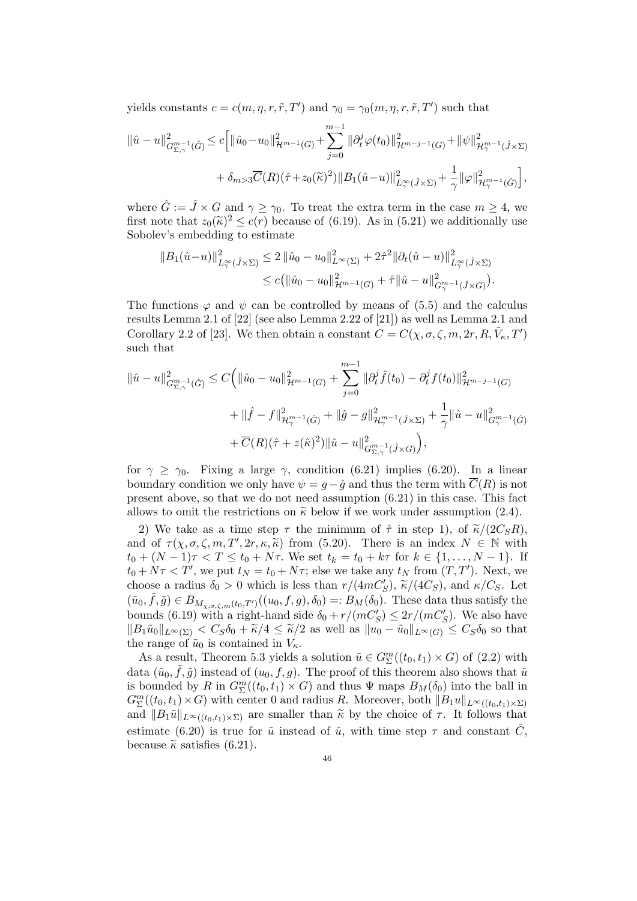yields constants  $c = c(m, \eta, r, \tilde{r}, T')$  and  $\gamma_0 = \gamma_0(m, \eta, r, \tilde{r}, T')$  such that

$$
\begin{split} \|\hat{u}-u\|_{G_{\Sigma,\gamma}^{m-1}(\hat{G})}^2 &\leq c\Big[\|\hat{u}_0-u_0\|_{\mathcal{H}^{m-1}(G)}^2+\sum_{j=0}^{m-1}\|\partial_t^j\varphi(t_0)\|_{\mathcal{H}^{m-j-1}(G)}^2+\|\psi\|_{\mathcal{H}^{m-1}_{\gamma}(\hat{J}\times \Sigma)}^2\\ &\quad+\delta_{m>3}\overline{C}(R)(\hat{\tau}+z_0(\tilde{\kappa})^2)\|B_1(\hat{u}-u)\|_{L_{\gamma}^{\infty}(\hat{J}\times \Sigma)}^2+\frac{1}{\gamma}\|\varphi\|_{\mathcal{H}^{m-1}_{\gamma}(\hat{G})}^2\Big], \end{split}
$$

where  $\hat{G} := \hat{J} \times G$  and  $\gamma \geq \gamma_0$ . To treat the extra term in the case  $m \geq 4$ , we first note that  $z_0(\tilde{\kappa})^2 \leq c(r)$  because of (6.19). As in (5.21) we additionally use<br>Sobolar's embedding to estimate Sobolev's embedding to estimate

$$
||B_1(\hat{u}-u)||^2_{L^{\infty}_{\gamma}(\hat{J}\times\Sigma)} \leq 2 ||\hat{u}_0 - u_0||^2_{L^{\infty}(\Sigma)} + 2\hat{\tau}^2 ||\partial_t(\hat{u}-u)||^2_{L^{\infty}_{\gamma}(\hat{J}\times\Sigma)} \leq c (||\hat{u}_0 - u_0||^2_{\mathcal{H}^{m-1}(G)} + \hat{\tau} ||\hat{u} - u||^2_{G^{m-1}_{\gamma}(\hat{J}\times G)}).
$$

The functions  $\varphi$  and  $\psi$  can be controlled by means of (5.5) and the calculus results Lemma 2.1 of [22] (see also Lemma 2.22 of [21]) as well as Lemma 2.1 and Corollary 2.2 of [23]. We then obtain a constant  $C = C(\chi, \sigma, \zeta, m, 2r, R, \tilde{V}_{\kappa}, T')$ such that

$$
\begin{split} \|\hat{u} - u\|_{G_{\Sigma,\gamma}^{m-1}(\hat{G})}^2 &\leq C \Big( \|\hat{u}_0 - u_0\|_{\mathcal{H}^{m-1}(G)}^2 + \sum_{j=0}^{m-1} \|\partial_t^j \hat{f}(t_0) - \partial_t^j f(t_0)\|_{\mathcal{H}^{m-j-1}(G)}^2 \\ &+ \|\hat{f} - f\|_{\mathcal{H}^{m-1}_{\gamma}(\hat{G})}^2 + \|\hat{g} - g\|_{\mathcal{H}^{m-1}_{\gamma}(\hat{J}\times\Sigma)}^2 + \frac{1}{\gamma} \|\hat{u} - u\|_{G_{\gamma}^{m-1}(\hat{G})}^2 \\ &+ \overline{C}(R)(\hat{\tau} + z(\hat{\kappa})^2) \|\hat{u} - u\|_{G_{\Sigma,\gamma}^{m-1}(\hat{J}\times G)}^2 \Big), \end{split}
$$

for  $\gamma \geq \gamma_0$ . Fixing a large  $\gamma$ , condition (6.21) implies (6.20). In a linear boundary condition we only have  $\psi = g - \hat{g}$  and thus the term with  $\overline{C}(R)$  is not present above, so that we do not need assumption (6.21) in this case. This fact allows to omit the restrictions on  $\tilde{\kappa}$  below if we work under assumption (2.4).

2) We take as a time step  $\tau$  the minimum of  $\hat{\tau}$  in step 1), of  $\tilde{\kappa}/(2C_{S}R)$ , and of  $\tau(\chi, \sigma, \zeta, m, T', 2r, \kappa, \tilde{\kappa})$  from (5.20). There is an index  $N \in \mathbb{N}$  with  $t_0 + (N-1)\tau \leq T \leq t_0 + N\tau$ . We set  $t_1 = t_0 + k\tau$  for  $k \in \{1, \ldots, N-1\}$ . If  $t_0 + (N-1)\tau < T \le t_0 + N\tau$ . We set  $t_k = t_0 + k\tau$  for  $k \in \{1, ..., N-1\}$ . If  $t_0 + N\tau < T'$ , we put  $t_N = t_0 + N\tau$ ; else we take any  $t_N$  from  $(T, T')$ . Next, we choose a radius  $\delta_0 > 0$  which is less than  $r/(4mC'_S)$ ,  $\tilde{\kappa}/(4C_S)$ , and  $\kappa/C_S$ . Let  $(\tilde{u}_0, \tilde{f}, \tilde{g}) \in B_{M_{\chi,\sigma,\zeta,m}(t_0,T')}((u_0, f, g), \delta_0) =: B_M(\delta_0)$ . These data thus satisfy the bounds (6.19) with a right-hand side  $\delta_0 + r/(mC_S') \leq 2r/(mC_S')$ . We also have  $||B_1\tilde{u}_0||_{L^{\infty}(\Sigma)} < C_S\delta_0 + \tilde{\kappa}/4 \leq \tilde{\kappa}/2$  as well as  $||u_0 - \tilde{u}_0||_{L^{\infty}(G)} \leq C_S\delta_0$  so that the range of  $\tilde{u}_0$  is contained in  $V_{\kappa}$ .

As a result, Theorem 5.3 yields a solution  $\tilde{u} \in G_{\Sigma}^{m}((t_0, t_1) \times G)$  of  $(2.2)$  with data  $(\tilde{u}_0, \tilde{f}, \tilde{g})$  instead of  $(u_0, f, g)$ . The proof of this theorem also shows that  $\tilde{u}$ is bounded by R in  $G_{\Sigma}^{m}((t_0,t_1) \times G)$  and thus  $\Psi$  maps  $B_M(\delta_0)$  into the ball in  $G_{\Sigma}^{m}((t_{0}, t_{1}) \times G)$  with center 0 and radius R. Moreover, both  $||B_{1}u||_{L^{\infty}((t_{0}, t_{1}) \times \Sigma)}$ and  $||B_1\tilde{u}||_{L^{\infty}((t_0,t_1)\times\Sigma)}$  are smaller than  $\tilde{\kappa}$  by the choice of  $\tau$ . It follows that estimate (6.20) is true for  $\tilde{u}$  instead of  $\hat{u}$ , with time step  $\tau$  and constant  $\tilde{C}$ , because  $\tilde{\kappa}$  satisfies (6.21).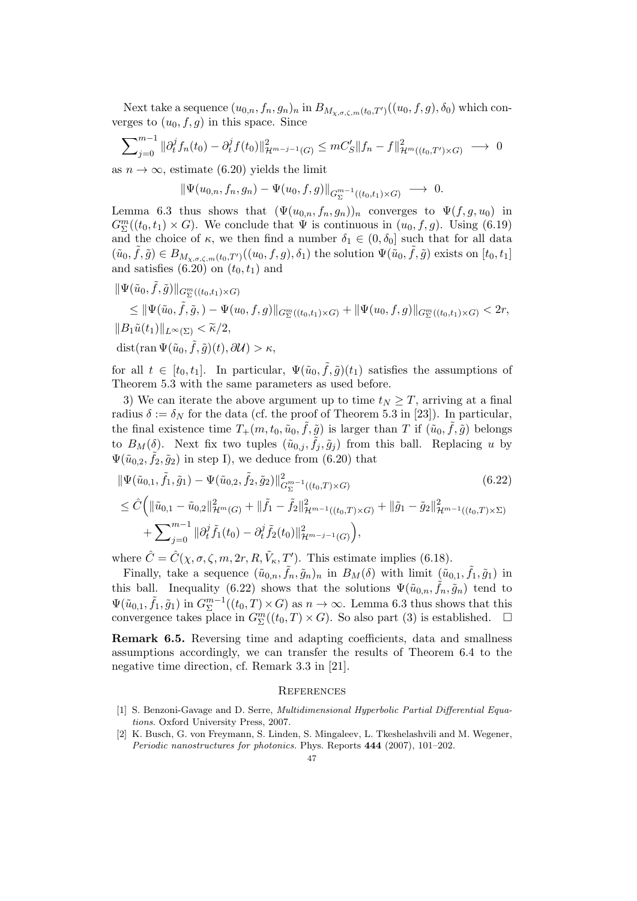Next take a sequence  $(u_{0,n}, f_n, g_n)_n$  in  $B_{M_{\chi,\sigma,\zeta,m}(t_0,T')}((u_0, f, g), \delta_0)$  which converges to  $(u_0, f, g)$  in this space. Since

$$
\sum_{j=0}^{m-1} \|\partial_t^j f_n(t_0) - \partial_t^j f(t_0)\|_{\mathcal{H}^{m-j-1}(G)}^2 \leq mC_S' \|f_n - f\|_{\mathcal{H}^m((t_0, T') \times G)}^2 \longrightarrow 0
$$

as  $n \to \infty$ , estimate (6.20) yields the limit

$$
\|\Psi(u_{0,n},f_n,g_n)-\Psi(u_0,f,g)\|_{G^{m-1}_\Sigma((t_0,t_1)\times G)}\to 0.
$$

Lemma 6.3 thus shows that  $(\Psi(u_{0,n}, f_n, g_n))_n$  converges to  $\Psi(f, g, u_0)$  in  $G_{\Sigma}^{m}((t_{0}, t_{1}) \times G)$ . We conclude that  $\Psi$  is continuous in  $(u_{0}, f, g)$ . Using (6.19) and the choice of  $\kappa$ , we then find a number  $\delta_1 \in (0, \delta_0]$  such that for all data  $(\tilde{u}_0, \tilde{f}, \tilde{g}) \in B_{M_{\chi,\sigma,\zeta,m}(t_0,T')}((u_0, f, g), \delta_1)$  the solution  $\Psi(\tilde{u}_0, \tilde{f}, \tilde{g})$  exists on  $[t_0, t_1]$ and satisfies  $(6.20)$  on  $(t_0, t_1)$  and

 $\|\Psi(\tilde u_0,\tilde f,\tilde g)\|_{G^m_\Sigma((t_0,t_1)\times G)}$  $\leq \|\Psi(\tilde{u}_0, \tilde{f}, \tilde{g},) - \Psi(u_0, f, g)\|_{G^m_{\Sigma}((t_0,t_1) \times G)} + \|\Psi(u_0, f, g)\|_{G^m_{\Sigma}((t_0,t_1) \times G)} < 2r,$  $||B_1\tilde{u}(t_1)||_{L^{\infty}(\Sigma)} < \tilde{\kappa}/2,$  $dist(\operatorname{ran} \Psi(\tilde{u}_0, \tilde{f}, \tilde{g})(t), \partial \mathcal{U}) > \kappa,$ 

for all  $t \in [t_0, t_1]$ . In particular,  $\Psi(\tilde{u}_0, \tilde{f}, \tilde{g})(t_1)$  satisfies the assumptions of Theorem 5.3 with the same parameters as used before.

3) We can iterate the above argument up to time  $t_N \geq T$ , arriving at a final radius  $\delta := \delta_N$  for the data (cf. the proof of Theorem 5.3 in [23]). In particular, the final existence time  $T_+(m, t_0, \tilde{u}_0, \tilde{f}, \tilde{g})$  is larger than T if  $(\tilde{u}_0, \tilde{f}, \tilde{g})$  belongs to  $B_M(\delta)$ . Next fix two tuples  $(\tilde{u}_{0,j}, \tilde{f}_j, \tilde{g}_j)$  from this ball. Replacing u by  $\Psi(\tilde{u}_{0,2}, \tilde{f}_2, \tilde{g}_2)$  in step I), we deduce from (6.20) that

$$
\|\Psi(\tilde{u}_{0,1}, \tilde{f}_1, \tilde{g}_1) - \Psi(\tilde{u}_{0,2}, \tilde{f}_2, \tilde{g}_2)\|_{G_{\Sigma}^{m-1}((t_0, T) \times G)}^2
$$
\n
$$
\leq \hat{C}\left(\|\tilde{u}_{0,1} - \tilde{u}_{0,2}\|_{\mathcal{H}^m(G)}^2 + \|\tilde{f}_1 - \tilde{f}_2\|_{\mathcal{H}^{m-1}((t_0, T) \times G)}^2 + \|\tilde{g}_1 - \tilde{g}_2\|_{\mathcal{H}^{m-1}((t_0, T) \times \Sigma)}^2 + \sum_{j=0}^{m-1} \|\partial_t^j \tilde{f}_1(t_0) - \partial_t^j \tilde{f}_2(t_0)\|_{\mathcal{H}^{m-j-1}(G)}^2\right),
$$
\n(6.22)

where  $\hat{C} = \hat{C}(\chi, \sigma, \zeta, m, 2r, R, \tilde{V}_{\kappa}, T')$ . This estimate implies (6.18).

Finally, take a sequence  $(\tilde{u}_{0,n}, \tilde{f}_n, \tilde{g}_n)_n$  in  $B_M(\delta)$  with limit  $(\tilde{u}_{0,1}, \tilde{f}_1, \tilde{g}_1)$  in this ball. Inequality (6.22) shows that the solutions  $\Psi(\tilde{u}_{0,n}, \tilde{f}_n, \tilde{g}_n)$  tend to  $\Psi(\tilde{u}_{0,1}, \tilde{f}_1, \tilde{g}_1)$  in  $G^{m-1}_{\Sigma}$  $\sum_{\Sigma}^{m-1}((t_0,T)\times G)$  as  $n\to\infty$ . Lemma 6.3 thus shows that this convergence takes place in  $G^m_{\Sigma}((t_0,T)\times G)$ . So also part (3) is established.  $\square$ 

Remark 6.5. Reversing time and adapting coefficients, data and smallness assumptions accordingly, we can transfer the results of Theorem 6.4 to the negative time direction, cf. Remark 3.3 in [21].

### **REFERENCES**

- [1] S. Benzoni-Gavage and D. Serre, Multidimensional Hyperbolic Partial Differential Equations. Oxford University Press, 2007.
- [2] K. Busch, G. von Freymann, S. Linden, S. Mingaleev, L. Tkeshelashvili and M. Wegener, Periodic nanostructures for photonics. Phys. Reports 444 (2007), 101–202.